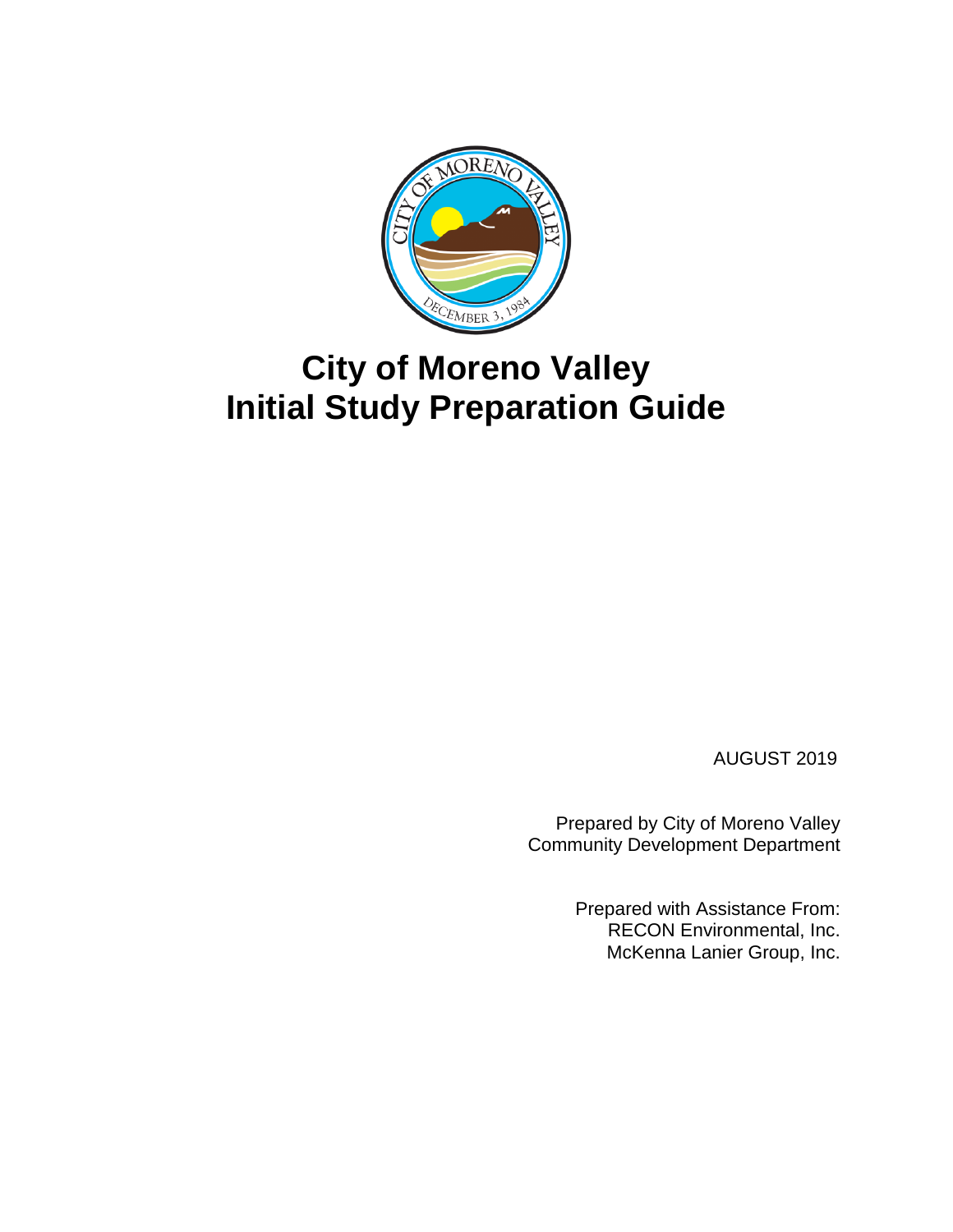

# **City of Moreno Valley Initial Study Preparation Guide**

AUGUST 2019

Prepared by City of Moreno Valley Community Development Department

> Prepared with Assistance From: RECON Environmental, Inc. McKenna Lanier Group, Inc.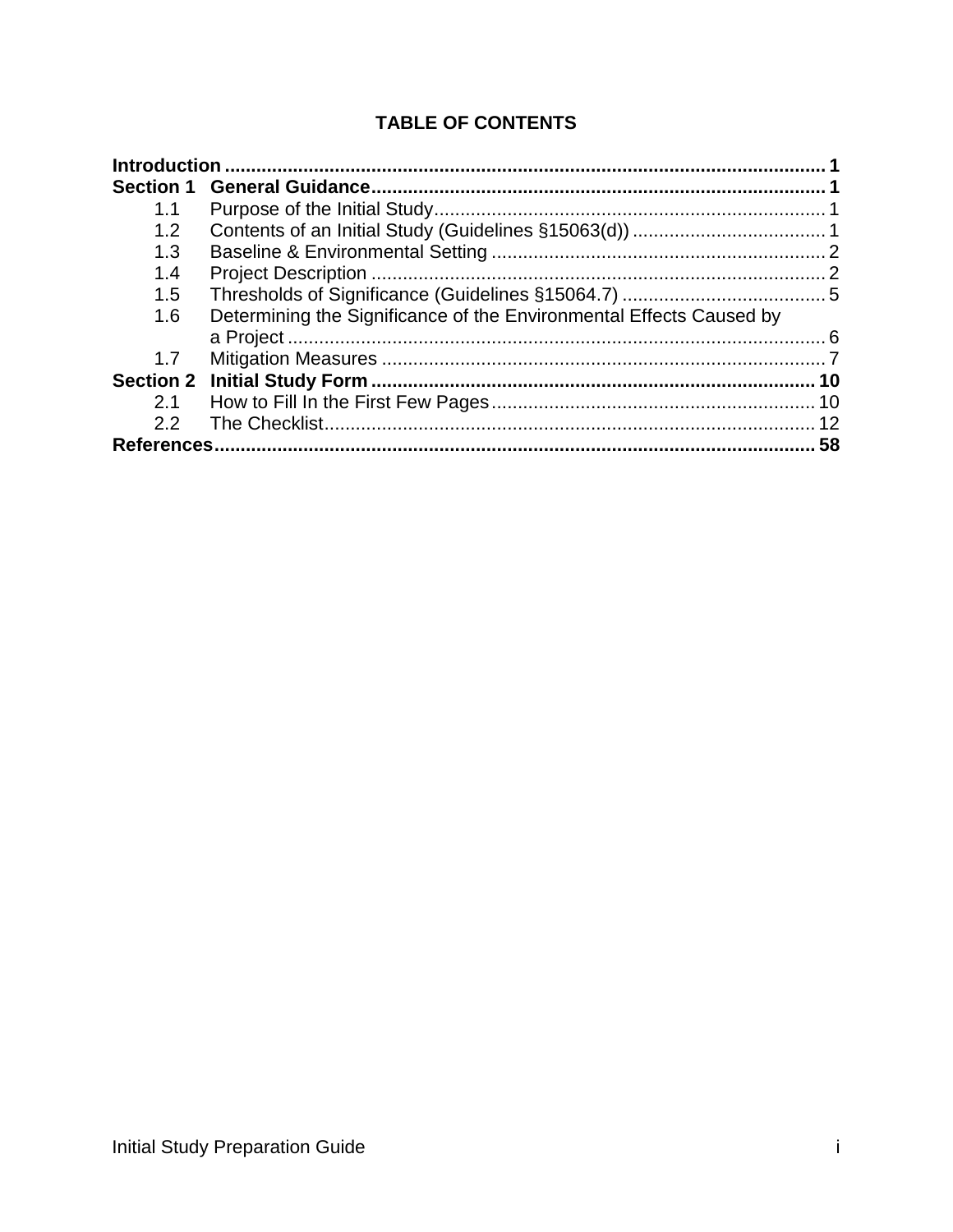# **TABLE OF CONTENTS**

| 1.1 |                                                                     |    |
|-----|---------------------------------------------------------------------|----|
| 1.2 |                                                                     |    |
| 1.3 |                                                                     |    |
| 1.4 |                                                                     |    |
| 1.5 |                                                                     |    |
| 1.6 | Determining the Significance of the Environmental Effects Caused by |    |
|     |                                                                     |    |
| 1.7 |                                                                     |    |
|     |                                                                     |    |
| 2.1 |                                                                     |    |
| 2.2 |                                                                     |    |
|     |                                                                     | 58 |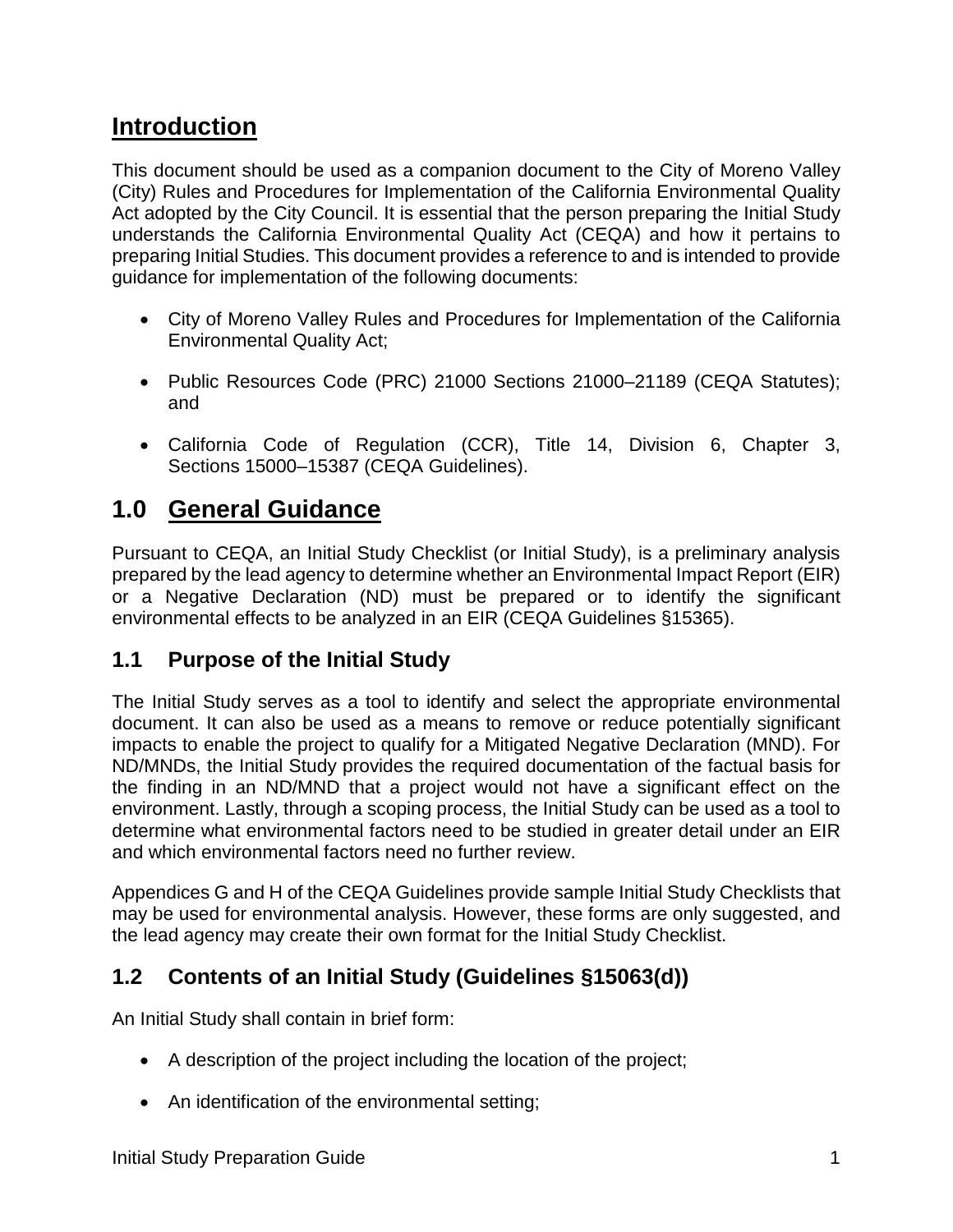# <span id="page-2-0"></span>**Introduction**

This document should be used as a companion document to the City of Moreno Valley (City) Rules and Procedures for Implementation of the California Environmental Quality Act adopted by the City Council. It is essential that the person preparing the Initial Study understands the California Environmental Quality Act (CEQA) and how it pertains to preparing Initial Studies. This document provides a reference to and is intended to provide guidance for implementation of the following documents:

- City of Moreno Valley Rules and Procedures for Implementation of the California Environmental Quality Act;
- Public Resources Code (PRC) 21000 Sections 21000–21189 (CEQA Statutes); and
- California Code of Regulation (CCR), Title 14, Division 6, Chapter 3, Sections 15000–15387 (CEQA Guidelines).

# <span id="page-2-1"></span>**1.0 General Guidance**

Pursuant to CEQA, an Initial Study Checklist (or Initial Study), is a preliminary analysis prepared by the lead agency to determine whether an Environmental Impact Report (EIR) or a Negative Declaration (ND) must be prepared or to identify the significant environmental effects to be analyzed in an EIR (CEQA Guidelines §15365).

# <span id="page-2-2"></span>**1.1 Purpose of the Initial Study**

The Initial Study serves as a tool to identify and select the appropriate environmental document. It can also be used as a means to remove or reduce potentially significant impacts to enable the project to qualify for a Mitigated Negative Declaration (MND). For ND/MNDs, the Initial Study provides the required documentation of the factual basis for the finding in an ND/MND that a project would not have a significant effect on the environment. Lastly, through a scoping process, the Initial Study can be used as a tool to determine what environmental factors need to be studied in greater detail under an EIR and which environmental factors need no further review.

Appendices G and H of the CEQA Guidelines provide sample Initial Study Checklists that may be used for environmental analysis. However, these forms are only suggested, and the lead agency may create their own format for the Initial Study Checklist.

# <span id="page-2-3"></span>**1.2 Contents of an Initial Study (Guidelines §15063(d))**

An Initial Study shall contain in brief form:

- A description of the project including the location of the project;
- An identification of the environmental setting;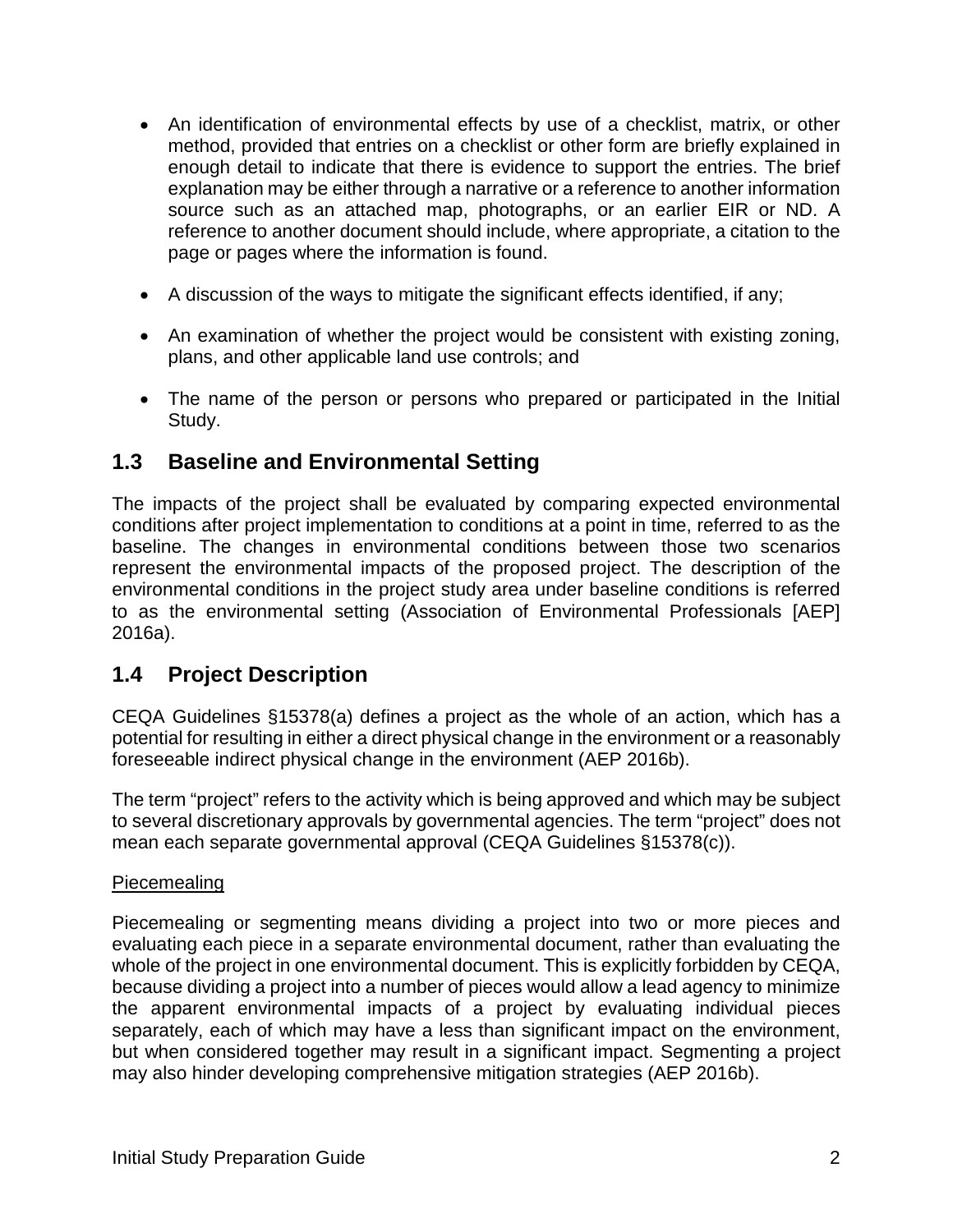- An identification of environmental effects by use of a checklist, matrix, or other method, provided that entries on a checklist or other form are briefly explained in enough detail to indicate that there is evidence to support the entries. The brief explanation may be either through a narrative or a reference to another information source such as an attached map, photographs, or an earlier EIR or ND. A reference to another document should include, where appropriate, a citation to the page or pages where the information is found.
- A discussion of the ways to mitigate the significant effects identified, if any;
- An examination of whether the project would be consistent with existing zoning, plans, and other applicable land use controls; and
- The name of the person or persons who prepared or participated in the Initial Study.

### <span id="page-3-0"></span>**1.3 Baseline and Environmental Setting**

The impacts of the project shall be evaluated by comparing expected environmental conditions after project implementation to conditions at a point in time, referred to as the baseline. The changes in environmental conditions between those two scenarios represent the environmental impacts of the proposed project. The description of the environmental conditions in the project study area under baseline conditions is referred to as the environmental setting (Association of Environmental Professionals [AEP] 2016a).

# <span id="page-3-1"></span>**1.4 Project Description**

CEQA Guidelines §15378(a) defines a project as the whole of an action, which has a potential for resulting in either a direct physical change in the environment or a reasonably foreseeable indirect physical change in the environment (AEP 2016b).

The term "project" refers to the activity which is being approved and which may be subject to several discretionary approvals by governmental agencies. The term "project" does not mean each separate governmental approval (CEQA Guidelines §15378(c)).

#### Piecemealing

Piecemealing or segmenting means dividing a project into two or more pieces and evaluating each piece in a separate environmental document, rather than evaluating the whole of the project in one environmental document. This is explicitly forbidden by CEQA, because dividing a project into a number of pieces would allow a lead agency to minimize the apparent environmental impacts of a project by evaluating individual pieces separately, each of which may have a less than significant impact on the environment, but when considered together may result in a significant impact. Segmenting a project may also hinder developing comprehensive mitigation strategies (AEP 2016b).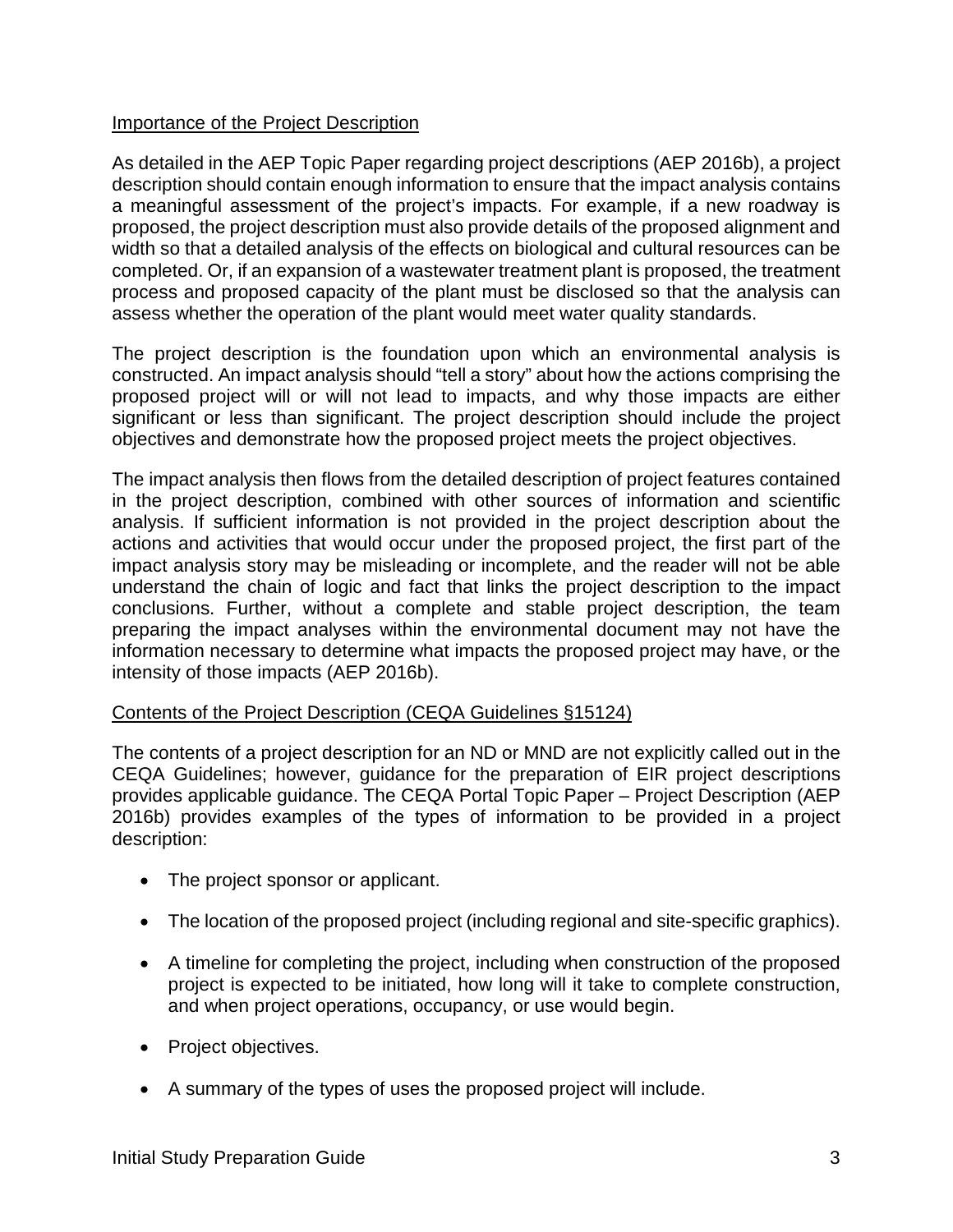#### Importance of the Project Description

As detailed in the AEP Topic Paper regarding project descriptions (AEP 2016b), a project description should contain enough information to ensure that the impact analysis contains a meaningful assessment of the project's impacts. For example, if a new roadway is proposed, the project description must also provide details of the proposed alignment and width so that a detailed analysis of the effects on biological and cultural resources can be completed. Or, if an expansion of a wastewater treatment plant is proposed, the treatment process and proposed capacity of the plant must be disclosed so that the analysis can assess whether the operation of the plant would meet water quality standards.

The project description is the foundation upon which an environmental analysis is constructed. An impact analysis should "tell a story" about how the actions comprising the proposed project will or will not lead to impacts, and why those impacts are either significant or less than significant. The project description should include the project objectives and demonstrate how the proposed project meets the project objectives.

The impact analysis then flows from the detailed description of project features contained in the project description, combined with other sources of information and scientific analysis. If sufficient information is not provided in the project description about the actions and activities that would occur under the proposed project, the first part of the impact analysis story may be misleading or incomplete, and the reader will not be able understand the chain of logic and fact that links the project description to the impact conclusions. Further, without a complete and stable project description, the team preparing the impact analyses within the environmental document may not have the information necessary to determine what impacts the proposed project may have, or the intensity of those impacts (AEP 2016b).

#### Contents of the Project Description (CEQA Guidelines §15124)

The contents of a project description for an ND or MND are not explicitly called out in the CEQA Guidelines; however, guidance for the preparation of EIR project descriptions provides applicable guidance. The CEQA Portal Topic Paper – Project Description (AEP 2016b) provides examples of the types of information to be provided in a project description:

- The project sponsor or applicant.
- The location of the proposed project (including regional and site-specific graphics).
- A timeline for completing the project, including when construction of the proposed project is expected to be initiated, how long will it take to complete construction, and when project operations, occupancy, or use would begin.
- Project objectives.
- A summary of the types of uses the proposed project will include.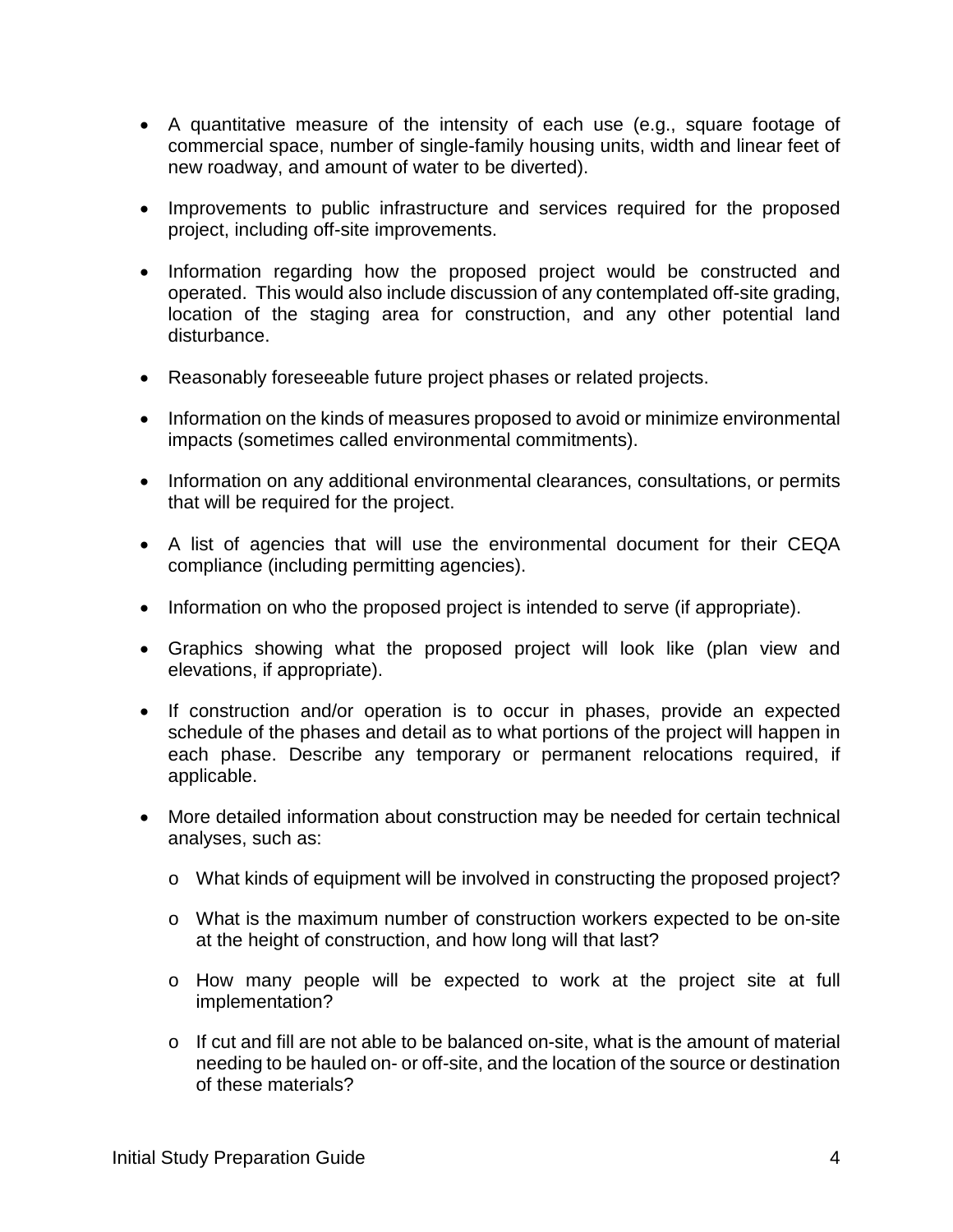- A quantitative measure of the intensity of each use (e.g., square footage of commercial space, number of single-family housing units, width and linear feet of new roadway, and amount of water to be diverted).
- Improvements to public infrastructure and services required for the proposed project, including off-site improvements.
- Information regarding how the proposed project would be constructed and operated. This would also include discussion of any contemplated off-site grading, location of the staging area for construction, and any other potential land disturbance.
- Reasonably foreseeable future project phases or related projects.
- Information on the kinds of measures proposed to avoid or minimize environmental impacts (sometimes called environmental commitments).
- Information on any additional environmental clearances, consultations, or permits that will be required for the project.
- A list of agencies that will use the environmental document for their CEQA compliance (including permitting agencies).
- Information on who the proposed project is intended to serve (if appropriate).
- Graphics showing what the proposed project will look like (plan view and elevations, if appropriate).
- If construction and/or operation is to occur in phases, provide an expected schedule of the phases and detail as to what portions of the project will happen in each phase. Describe any temporary or permanent relocations required, if applicable.
- More detailed information about construction may be needed for certain technical analyses, such as:
	- o What kinds of equipment will be involved in constructing the proposed project?
	- o What is the maximum number of construction workers expected to be on-site at the height of construction, and how long will that last?
	- o How many people will be expected to work at the project site at full implementation?
	- $\circ$  If cut and fill are not able to be balanced on-site, what is the amount of material needing to be hauled on- or off-site, and the location of the source or destination of these materials?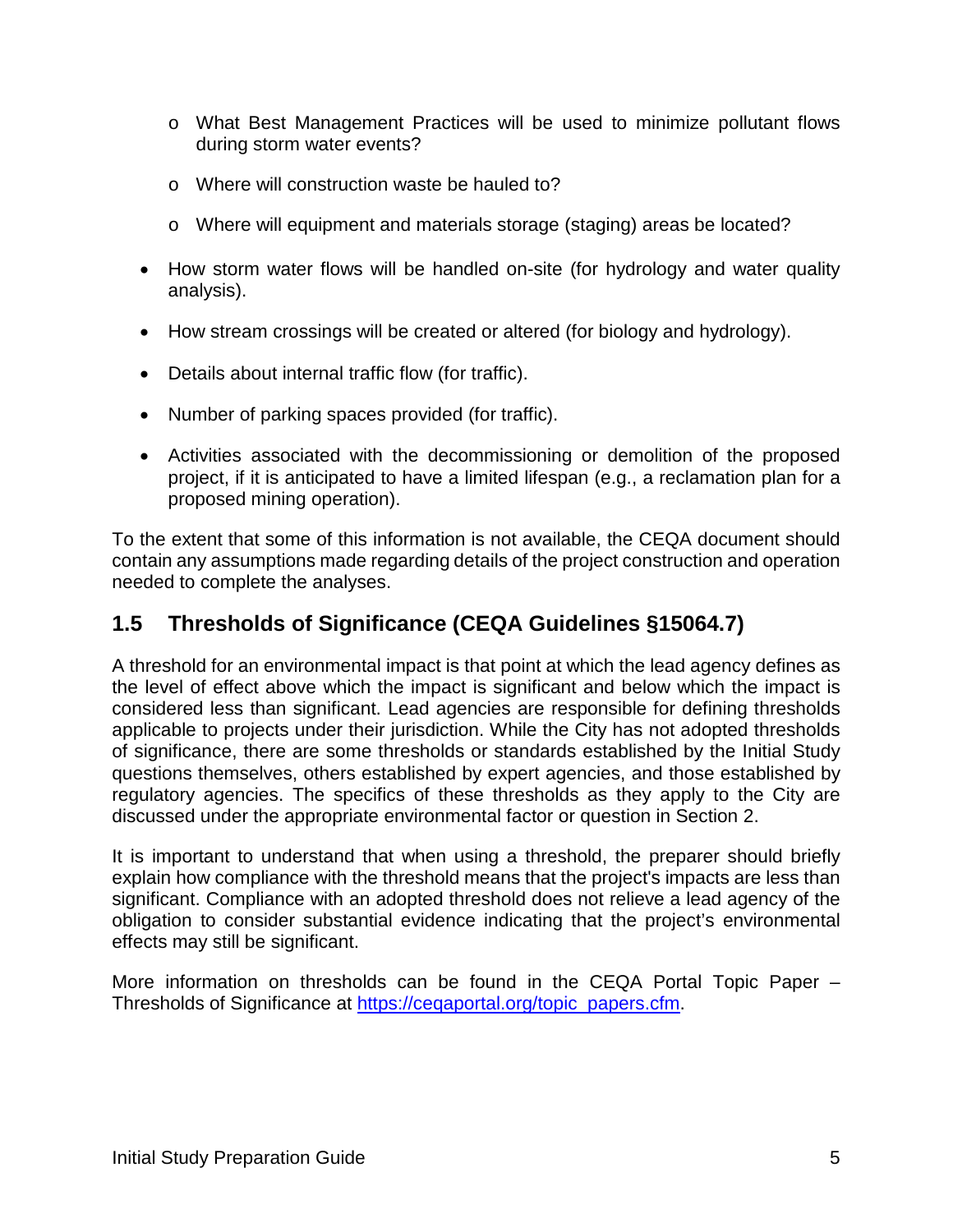- o What Best Management Practices will be used to minimize pollutant flows during storm water events?
- o Where will construction waste be hauled to?
- o Where will equipment and materials storage (staging) areas be located?
- How storm water flows will be handled on-site (for hydrology and water quality analysis).
- How stream crossings will be created or altered (for biology and hydrology).
- Details about internal traffic flow (for traffic).
- Number of parking spaces provided (for traffic).
- Activities associated with the decommissioning or demolition of the proposed project, if it is anticipated to have a limited lifespan (e.g., a reclamation plan for a proposed mining operation).

To the extent that some of this information is not available, the CEQA document should contain any assumptions made regarding details of the project construction and operation needed to complete the analyses.

# <span id="page-6-0"></span>**1.5 Thresholds of Significance (CEQA Guidelines §15064.7)**

A threshold for an environmental impact is that point at which the lead agency defines as the level of effect above which the impact is significant and below which the impact is considered less than significant. Lead agencies are responsible for defining thresholds applicable to projects under their jurisdiction. While the City has not adopted thresholds of significance, there are some thresholds or standards established by the Initial Study questions themselves, others established by expert agencies, and those established by regulatory agencies. The specifics of these thresholds as they apply to the City are discussed under the appropriate environmental factor or question in Section 2.

It is important to understand that when using a threshold, the preparer should briefly explain how compliance with the threshold means that the project's impacts are less than significant. Compliance with an adopted threshold does not relieve a lead agency of the obligation to consider substantial evidence indicating that the project's environmental effects may still be significant.

More information on thresholds can be found in the CEQA Portal Topic Paper – Thresholds of Significance at [https://ceqaportal.org/topic\\_papers.cfm.](https://ceqaportal.org/topic_papers.cfm)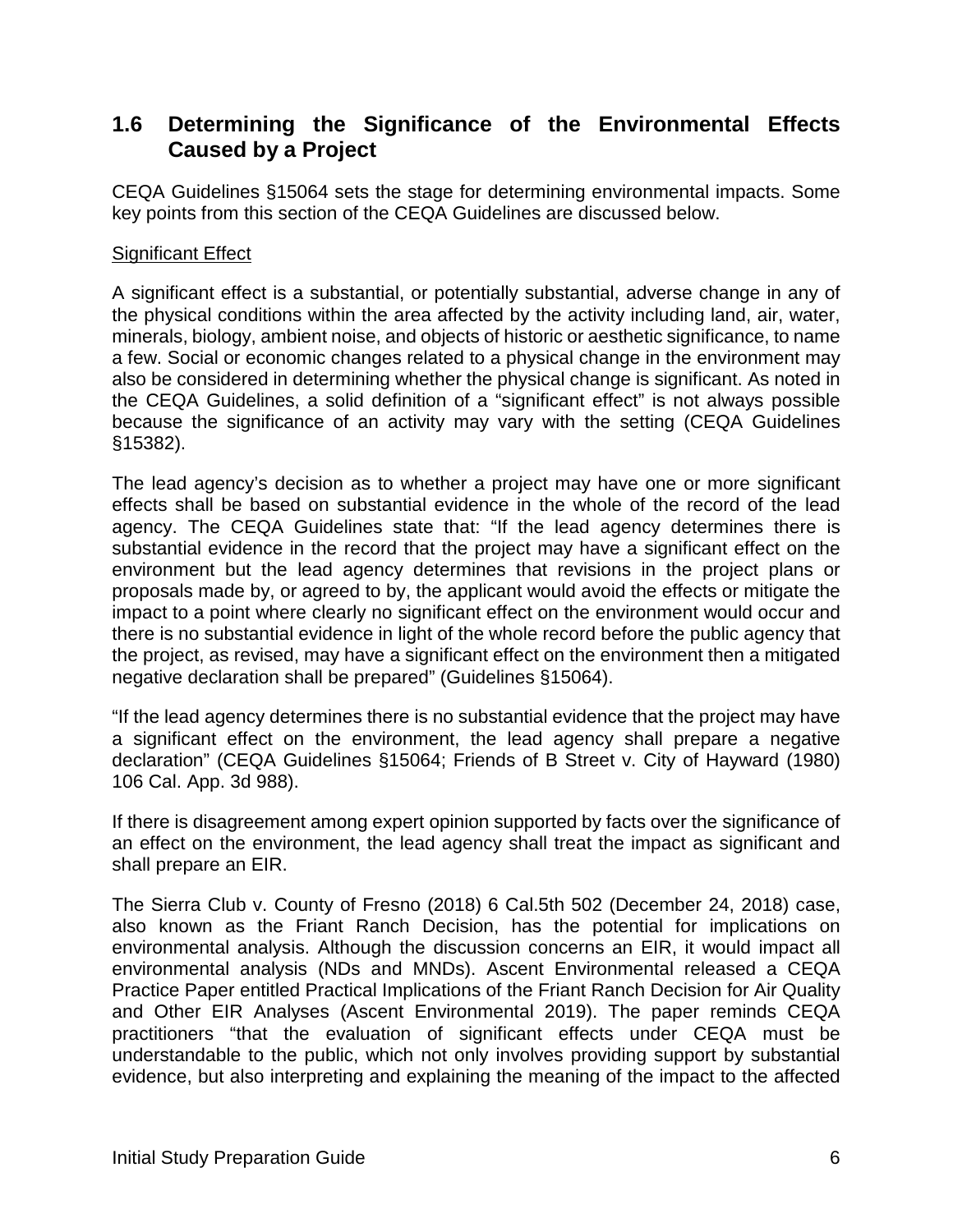# <span id="page-7-0"></span>**1.6 Determining the Significance of the Environmental Effects Caused by a Project**

CEQA Guidelines §15064 sets the stage for determining environmental impacts. Some key points from this section of the CEQA Guidelines are discussed below.

#### Significant Effect

A significant effect is a substantial, or potentially substantial, adverse change in any of the physical conditions within the area affected by the activity including land, air, water, minerals, biology, ambient noise, and objects of historic or aesthetic significance, to name a few. Social or economic changes related to a physical change in the environment may also be considered in determining whether the physical change is significant. As noted in the CEQA Guidelines, a solid definition of a "significant effect" is not always possible because the significance of an activity may vary with the setting (CEQA Guidelines §15382).

The lead agency's decision as to whether a project may have one or more significant effects shall be based on substantial evidence in the whole of the record of the lead agency. The CEQA Guidelines state that: "If the lead agency determines there is substantial evidence in the record that the project may have a significant effect on the environment but the lead agency determines that revisions in the project plans or proposals made by, or agreed to by, the applicant would avoid the effects or mitigate the impact to a point where clearly no significant effect on the environment would occur and there is no substantial evidence in light of the whole record before the public agency that the project, as revised, may have a significant effect on the environment then a mitigated negative declaration shall be prepared" (Guidelines §15064).

"If the lead agency determines there is no substantial evidence that the project may have a significant effect on the environment, the lead agency shall prepare a negative declaration" (CEQA Guidelines §15064; Friends of B Street v. City of Hayward (1980) 106 Cal. App. 3d 988).

If there is disagreement among expert opinion supported by facts over the significance of an effect on the environment, the lead agency shall treat the impact as significant and shall prepare an EIR.

The Sierra Club v. County of Fresno (2018) 6 Cal.5th 502 (December 24, 2018) case, also known as the Friant Ranch Decision, has the potential for implications on environmental analysis. Although the discussion concerns an EIR, it would impact all environmental analysis (NDs and MNDs). Ascent Environmental released a CEQA Practice Paper entitled Practical Implications of the Friant Ranch Decision for Air Quality and Other EIR Analyses (Ascent Environmental 2019). The paper reminds CEQA practitioners "that the evaluation of significant effects under CEQA must be understandable to the public, which not only involves providing support by substantial evidence, but also interpreting and explaining the meaning of the impact to the affected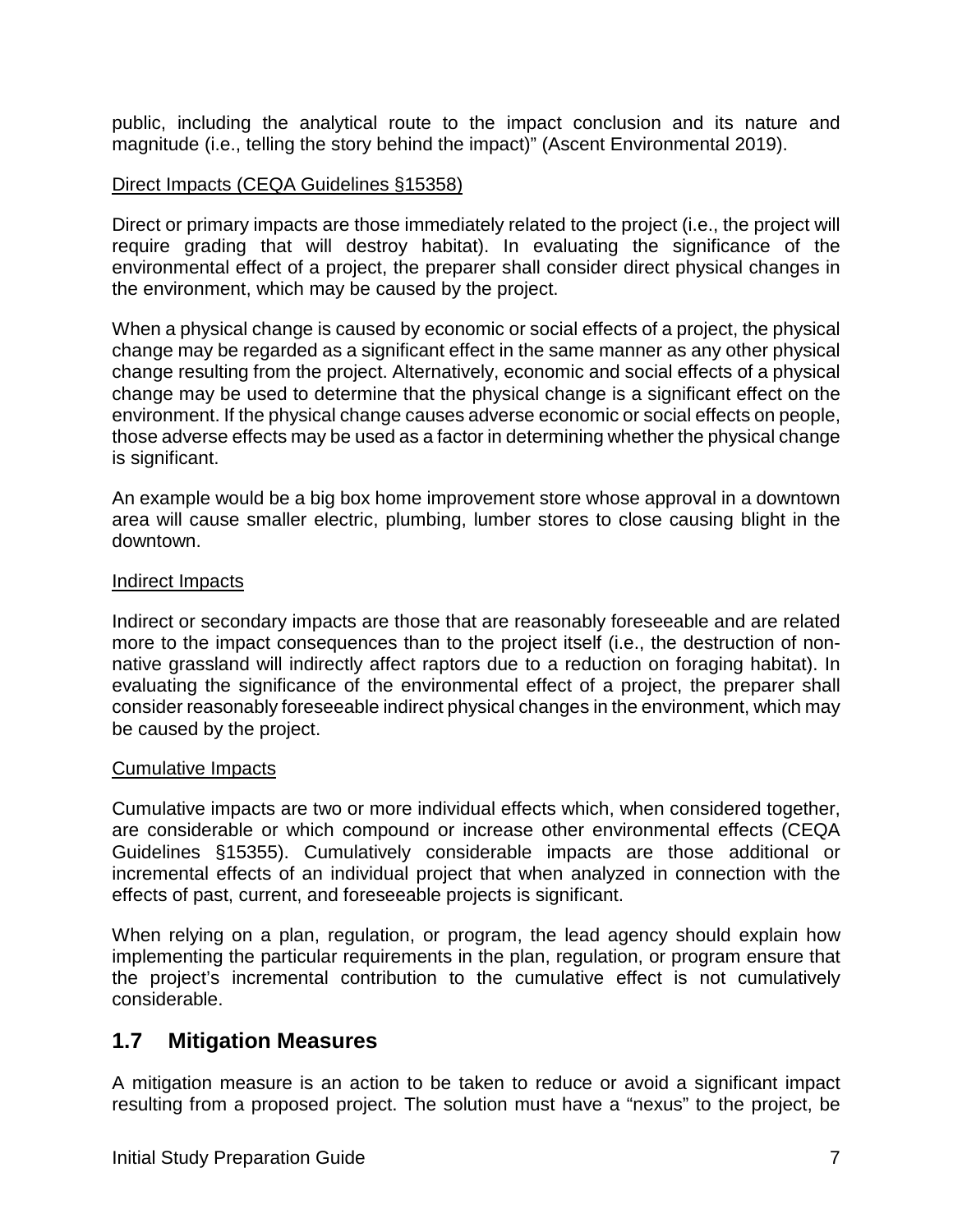public, including the analytical route to the impact conclusion and its nature and magnitude (i.e., telling the story behind the impact)" (Ascent Environmental 2019).

#### Direct Impacts (CEQA Guidelines §15358)

Direct or primary impacts are those immediately related to the project (i.e., the project will require grading that will destroy habitat). In evaluating the significance of the environmental effect of a project, the preparer shall consider direct physical changes in the environment, which may be caused by the project.

When a physical change is caused by economic or social effects of a project, the physical change may be regarded as a significant effect in the same manner as any other physical change resulting from the project. Alternatively, economic and social effects of a physical change may be used to determine that the physical change is a significant effect on the environment. If the physical change causes adverse economic or social effects on people, those adverse effects may be used as a factor in determining whether the physical change is significant.

An example would be a big box home improvement store whose approval in a downtown area will cause smaller electric, plumbing, lumber stores to close causing blight in the downtown.

#### Indirect Impacts

Indirect or secondary impacts are those that are reasonably foreseeable and are related more to the impact consequences than to the project itself (i.e., the destruction of nonnative grassland will indirectly affect raptors due to a reduction on foraging habitat). In evaluating the significance of the environmental effect of a project, the preparer shall consider reasonably foreseeable indirect physical changes in the environment, which may be caused by the project.

#### Cumulative Impacts

Cumulative impacts are two or more individual effects which, when considered together, are considerable or which compound or increase other environmental effects (CEQA Guidelines §15355). Cumulatively considerable impacts are those additional or incremental effects of an individual project that when analyzed in connection with the effects of past, current, and foreseeable projects is significant.

When relying on a plan, regulation, or program, the lead agency should explain how implementing the particular requirements in the plan, regulation, or program ensure that the project's incremental contribution to the cumulative effect is not cumulatively considerable.

#### <span id="page-8-0"></span>**1.7 Mitigation Measures**

A mitigation measure is an action to be taken to reduce or avoid a significant impact resulting from a proposed project. The solution must have a "nexus" to the project, be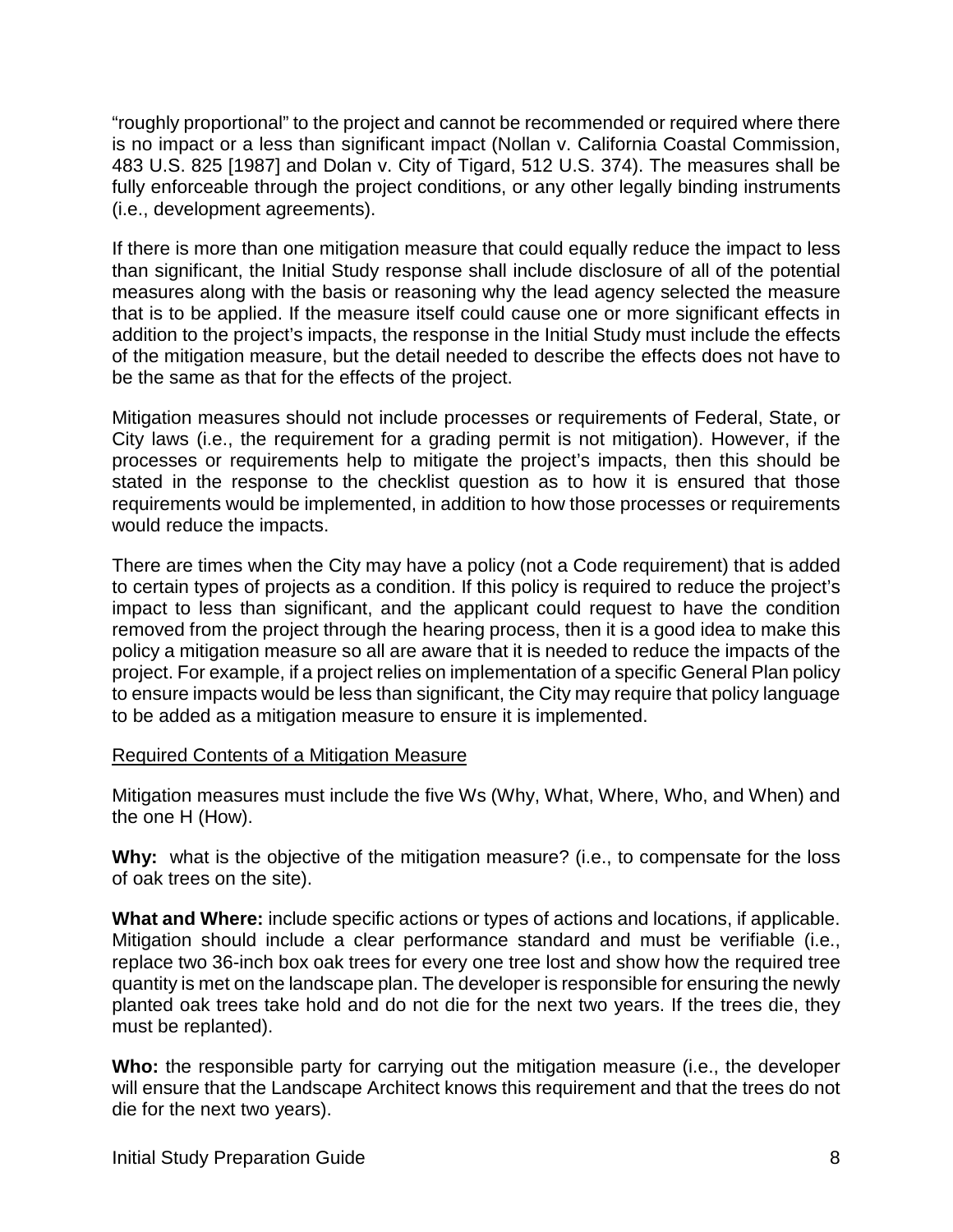"roughly proportional" to the project and cannot be recommended or required where there is no impact or a less than significant impact (Nollan v. California Coastal Commission, 483 U.S. 825 [1987] and Dolan v. City of Tigard, 512 U.S. 374). The measures shall be fully enforceable through the project conditions, or any other legally binding instruments (i.e., development agreements).

If there is more than one mitigation measure that could equally reduce the impact to less than significant, the Initial Study response shall include disclosure of all of the potential measures along with the basis or reasoning why the lead agency selected the measure that is to be applied. If the measure itself could cause one or more significant effects in addition to the project's impacts, the response in the Initial Study must include the effects of the mitigation measure, but the detail needed to describe the effects does not have to be the same as that for the effects of the project.

Mitigation measures should not include processes or requirements of Federal, State, or City laws (i.e., the requirement for a grading permit is not mitigation). However, if the processes or requirements help to mitigate the project's impacts, then this should be stated in the response to the checklist question as to how it is ensured that those requirements would be implemented, in addition to how those processes or requirements would reduce the impacts.

There are times when the City may have a policy (not a Code requirement) that is added to certain types of projects as a condition. If this policy is required to reduce the project's impact to less than significant, and the applicant could request to have the condition removed from the project through the hearing process, then it is a good idea to make this policy a mitigation measure so all are aware that it is needed to reduce the impacts of the project. For example, if a project relies on implementation of a specific General Plan policy to ensure impacts would be less than significant, the City may require that policy language to be added as a mitigation measure to ensure it is implemented.

#### Required Contents of a Mitigation Measure

Mitigation measures must include the five Ws (Why, What, Where, Who, and When) and the one H (How).

**Why:** what is the objective of the mitigation measure? (i.e., to compensate for the loss of oak trees on the site).

**What and Where:** include specific actions or types of actions and locations, if applicable. Mitigation should include a clear performance standard and must be verifiable (i.e., replace two 36-inch box oak trees for every one tree lost and show how the required tree quantity is met on the landscape plan. The developer is responsible for ensuring the newly planted oak trees take hold and do not die for the next two years. If the trees die, they must be replanted).

**Who:** the responsible party for carrying out the mitigation measure (i.e., the developer will ensure that the Landscape Architect knows this requirement and that the trees do not die for the next two years).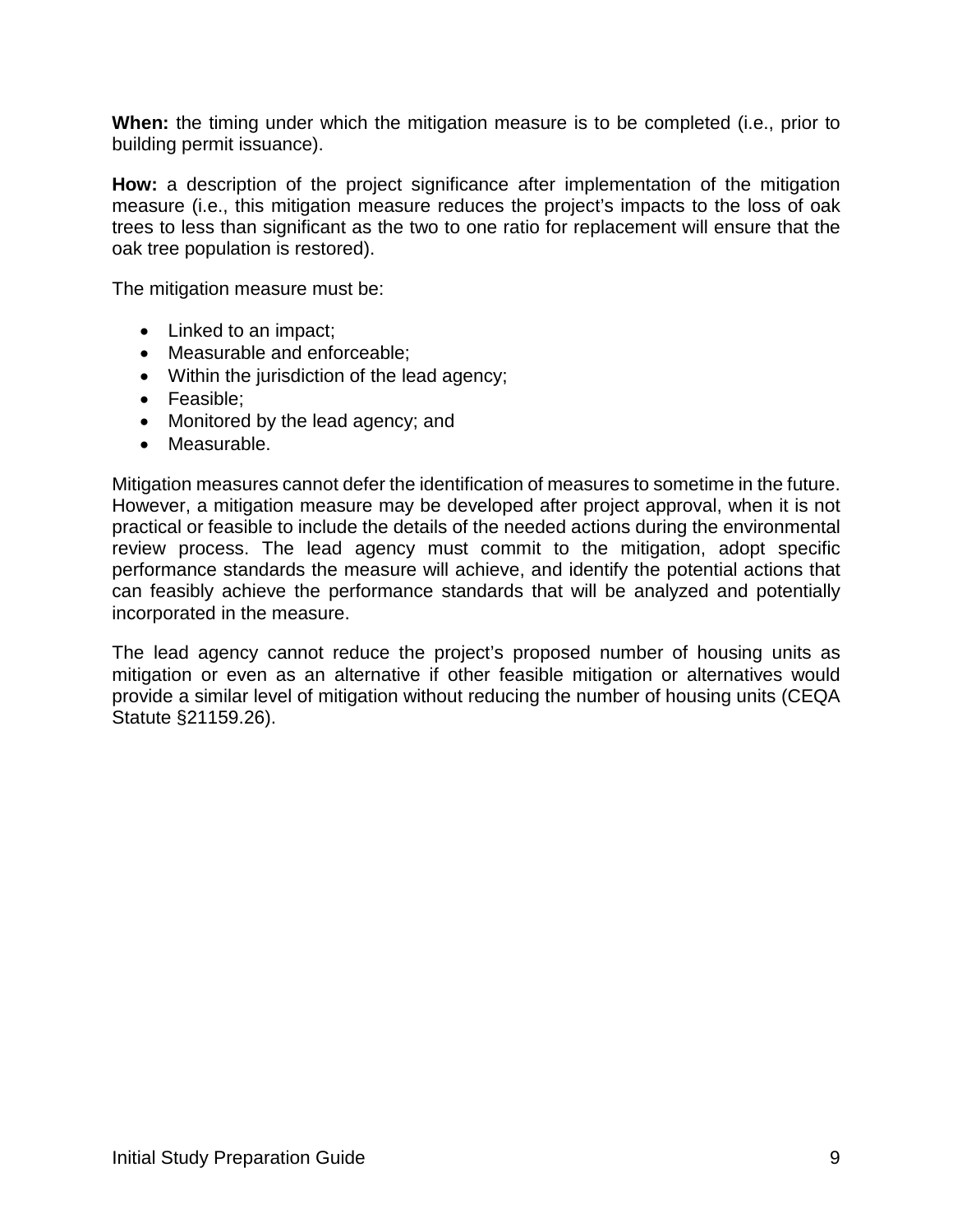**When:** the timing under which the mitigation measure is to be completed (i.e., prior to building permit issuance).

**How:** a description of the project significance after implementation of the mitigation measure (i.e., this mitigation measure reduces the project's impacts to the loss of oak trees to less than significant as the two to one ratio for replacement will ensure that the oak tree population is restored).

The mitigation measure must be:

- Linked to an impact;
- Measurable and enforceable;
- Within the jurisdiction of the lead agency;
- Feasible;
- Monitored by the lead agency; and
- Measurable.

Mitigation measures cannot defer the identification of measures to sometime in the future. However, a mitigation measure may be developed after project approval, when it is not practical or feasible to include the details of the needed actions during the environmental review process. The lead agency must commit to the mitigation, adopt specific performance standards the measure will achieve, and identify the potential actions that can feasibly achieve the performance standards that will be analyzed and potentially incorporated in the measure.

<span id="page-10-0"></span>The lead agency cannot reduce the project's proposed number of housing units as mitigation or even as an alternative if other feasible mitigation or alternatives would provide a similar level of mitigation without reducing the number of housing units (CEQA Statute §21159.26).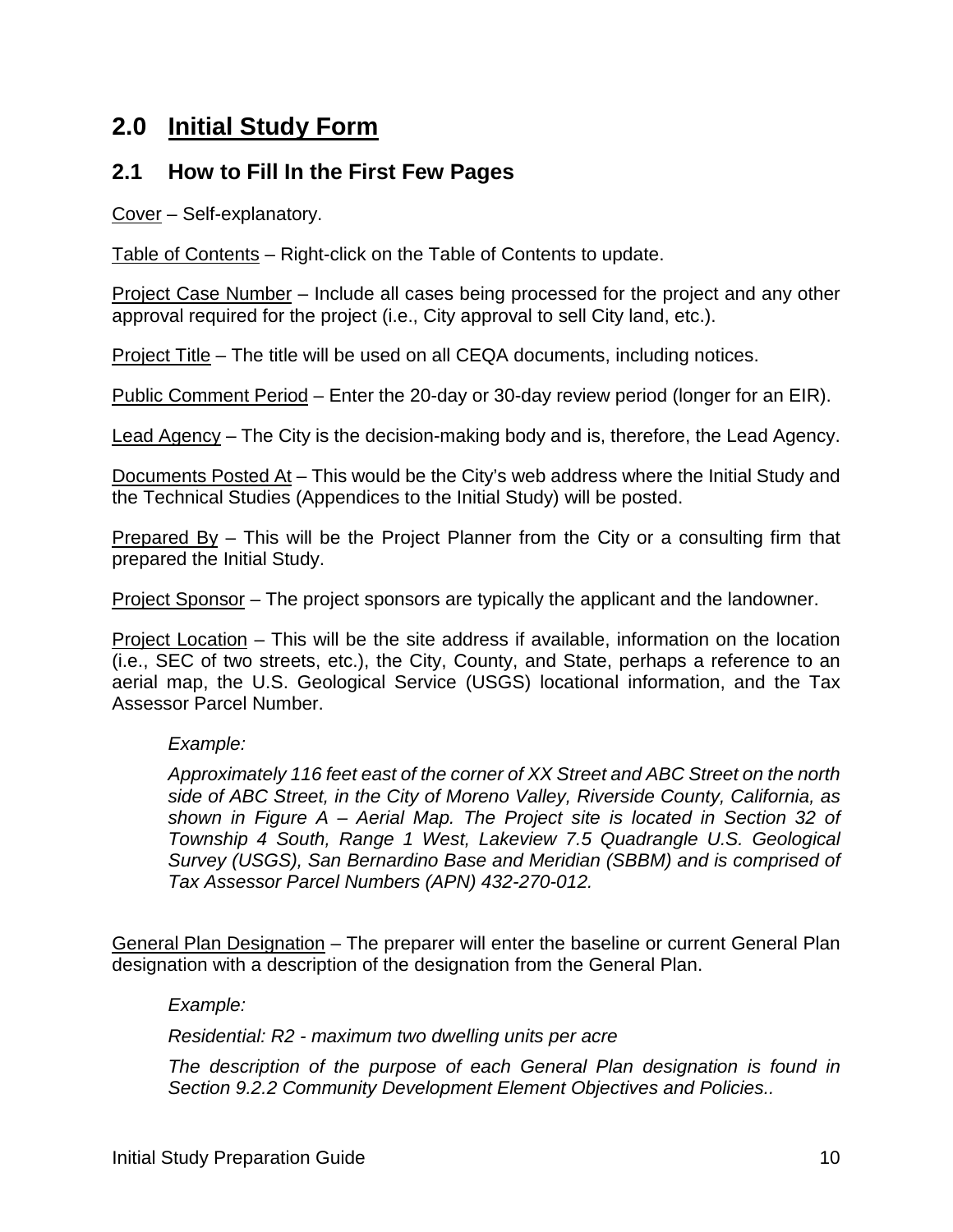# <span id="page-11-0"></span>**2.0 Initial Study Form**

### **2.1 How to Fill In the First Few Pages**

Cover – Self-explanatory.

Table of Contents – Right-click on the Table of Contents to update.

Project Case Number – Include all cases being processed for the project and any other approval required for the project (i.e., City approval to sell City land, etc.).

Project Title – The title will be used on all CEQA documents, including notices.

Public Comment Period – Enter the 20-day or 30-day review period (longer for an EIR).

Lead Agency – The City is the decision-making body and is, therefore, the Lead Agency.

Documents Posted At – This would be the City's web address where the Initial Study and the Technical Studies (Appendices to the Initial Study) will be posted.

Prepared By – This will be the Project Planner from the City or a consulting firm that prepared the Initial Study.

Project Sponsor – The project sponsors are typically the applicant and the landowner.

Project Location – This will be the site address if available, information on the location (i.e., SEC of two streets, etc.), the City, County, and State, perhaps a reference to an aerial map, the U.S. Geological Service (USGS) locational information, and the Tax Assessor Parcel Number.

#### *Example:*

*Approximately 116 feet east of the corner of XX Street and ABC Street on the north side of ABC Street, in the City of Moreno Valley, Riverside County, California, as shown in Figure A – Aerial Map. The Project site is located in Section 32 of Township 4 South, Range 1 West, Lakeview 7.5 Quadrangle U.S. Geological Survey (USGS), San Bernardino Base and Meridian (SBBM) and is comprised of Tax Assessor Parcel Numbers (APN) 432-270-012.*

General Plan Designation – The preparer will enter the baseline or current General Plan designation with a description of the designation from the General Plan.

*Example:*

*Residential: R2 - maximum two dwelling units per acre*

*The description of the purpose of each General Plan designation is found in Section 9.2.2 Community Development Element Objectives and Policies..*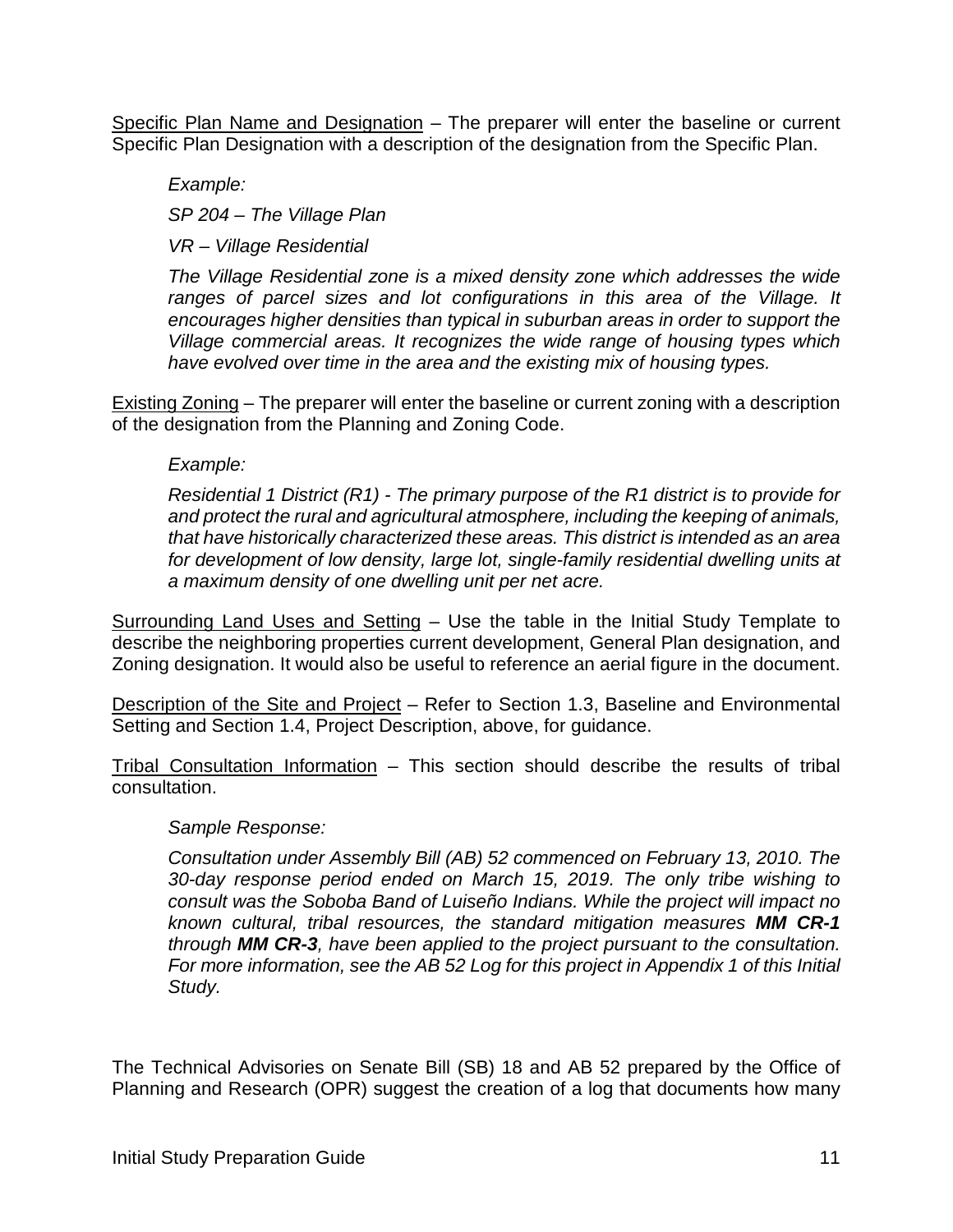Specific Plan Name and Designation - The preparer will enter the baseline or current Specific Plan Designation with a description of the designation from the Specific Plan.

*Example: SP 204 – The Village Plan VR – Village Residential* 

*The Village Residential zone is a mixed density zone which addresses the wide*  ranges of parcel sizes and lot configurations in this area of the Village. It *encourages higher densities than typical in suburban areas in order to support the Village commercial areas. It recognizes the wide range of housing types which have evolved over time in the area and the existing mix of housing types.*

Existing Zoning – The preparer will enter the baseline or current zoning with a description of the designation from the Planning and Zoning Code.

#### *Example:*

*Residential 1 District (R1) - The primary purpose of the R1 district is to provide for and protect the rural and agricultural atmosphere, including the keeping of animals, that have historically characterized these areas. This district is intended as an area for development of low density, large lot, single-family residential dwelling units at a maximum density of one dwelling unit per net acre.*

Surrounding Land Uses and Setting – Use the table in the Initial Study Template to describe the neighboring properties current development, General Plan designation, and Zoning designation. It would also be useful to reference an aerial figure in the document.

Description of the Site and Project - Refer to Section 1.3, Baseline and Environmental Setting and Section 1.4, Project Description, above, for guidance.

Tribal Consultation Information – This section should describe the results of tribal consultation.

#### *Sample Response:*

*Consultation under Assembly Bill (AB) 52 commenced on February 13, 2010. The 30-day response period ended on March 15, 2019. The only tribe wishing to consult was the Soboba Band of Luiseño Indians. While the project will impact no known cultural, tribal resources, the standard mitigation measures MM CR-1 through MM CR-3, have been applied to the project pursuant to the consultation. For more information, see the AB 52 Log for this project in Appendix 1 of this Initial Study.*

The Technical Advisories on Senate Bill (SB) 18 and AB 52 prepared by the Office of Planning and Research (OPR) suggest the creation of a log that documents how many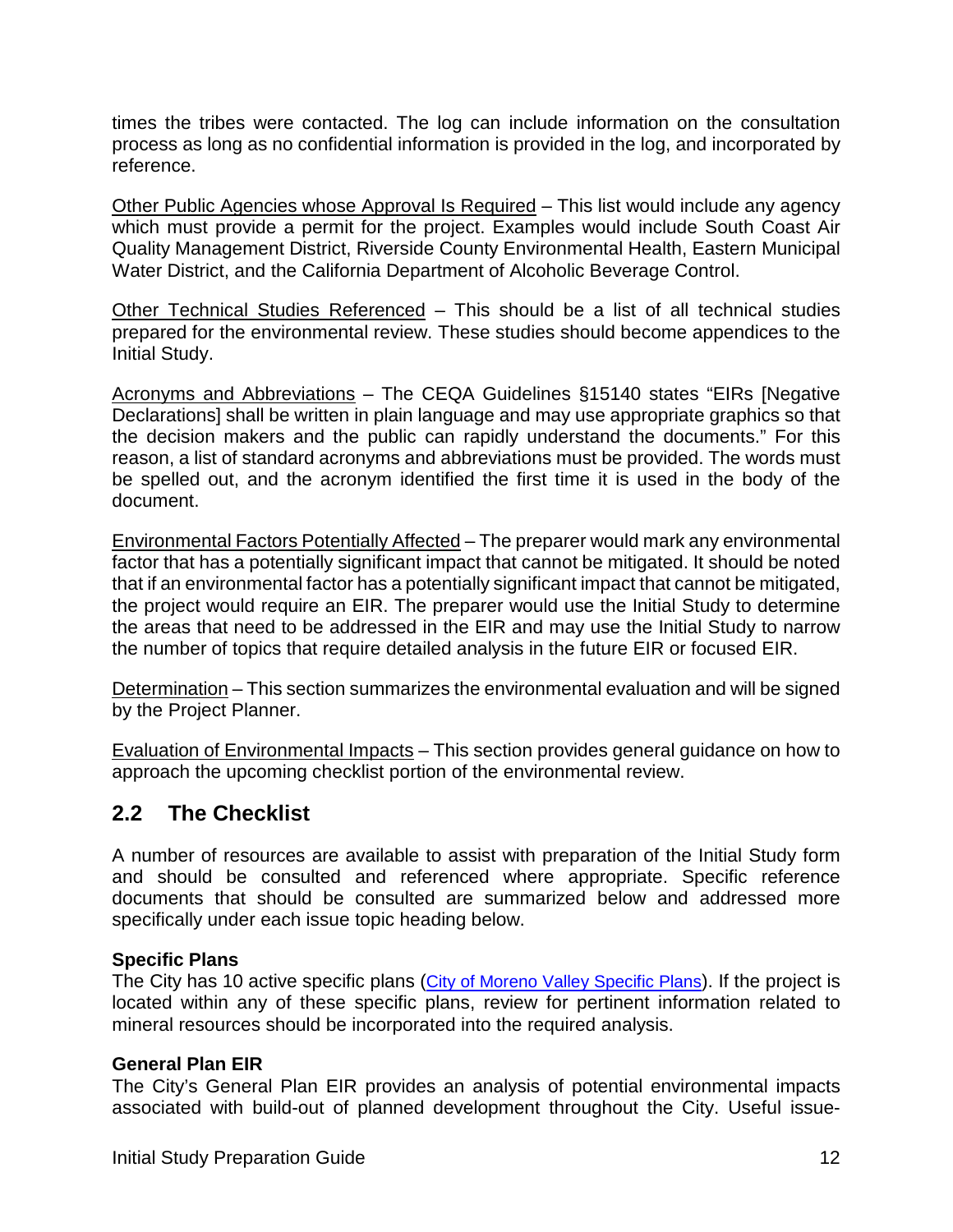times the tribes were contacted. The log can include information on the consultation process as long as no confidential information is provided in the log, and incorporated by reference.

Other Public Agencies whose Approval Is Required – This list would include any agency which must provide a permit for the project. Examples would include South Coast Air Quality Management District, Riverside County Environmental Health, Eastern Municipal Water District, and the California Department of Alcoholic Beverage Control.

Other Technical Studies Referenced – This should be a list of all technical studies prepared for the environmental review. These studies should become appendices to the Initial Study.

Acronyms and Abbreviations – The CEQA Guidelines §15140 states "EIRs [Negative Declarations] shall be written in plain language and may use appropriate graphics so that the decision makers and the public can rapidly understand the documents." For this reason, a list of standard acronyms and abbreviations must be provided. The words must be spelled out, and the acronym identified the first time it is used in the body of the document.

Environmental Factors Potentially Affected – The preparer would mark any environmental factor that has a potentially significant impact that cannot be mitigated. It should be noted that if an environmental factor has a potentially significant impact that cannot be mitigated, the project would require an EIR. The preparer would use the Initial Study to determine the areas that need to be addressed in the EIR and may use the Initial Study to narrow the number of topics that require detailed analysis in the future EIR or focused EIR.

Determination – This section summarizes the environmental evaluation and will be signed by the Project Planner.

Evaluation of Environmental Impacts – This section provides general guidance on how to approach the upcoming checklist portion of the environmental review.

# <span id="page-13-0"></span>**2.2 The Checklist**

A number of resources are available to assist with preparation of the Initial Study form and should be consulted and referenced where appropriate. Specific reference documents that should be consulted are summarized below and addressed more specifically under each issue topic heading below.

#### **Specific Plans**

The City has 10 active specific plans [\(City of Moreno Valley Specific Plans\)](http://www.moval.org/cdd/documents/specific-plans.html). If the project is located within any of these specific plans, review for pertinent information related to mineral resources should be incorporated into the required analysis.

#### **General Plan EIR**

The City's General Plan EIR provides an analysis of potential environmental impacts associated with build-out of planned development throughout the City. Useful issue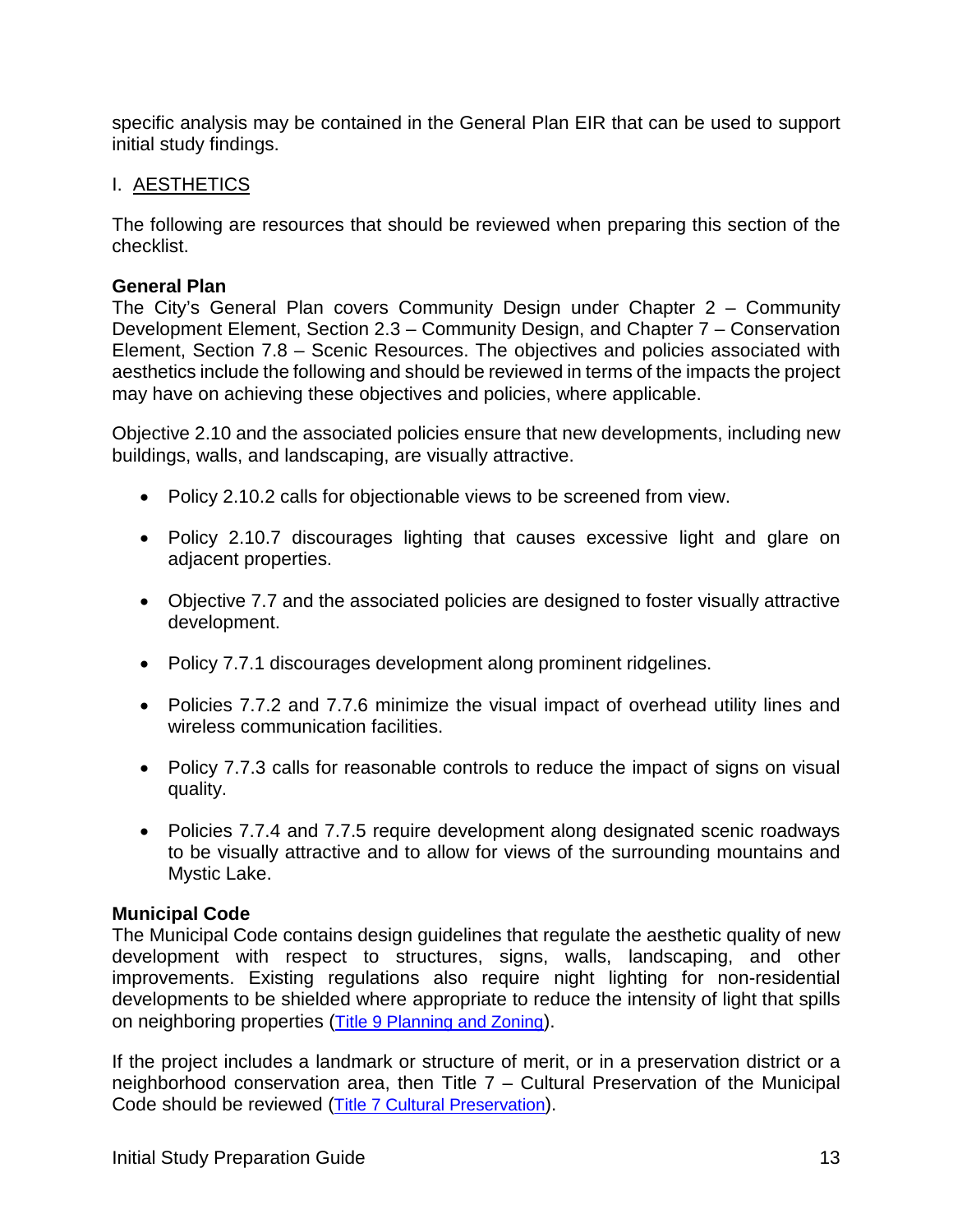specific analysis may be contained in the General Plan EIR that can be used to support initial study findings.

#### I. AESTHETICS

The following are resources that should be reviewed when preparing this section of the checklist.

#### **General Plan**

The City's General Plan covers Community Design under Chapter 2 – Community Development Element, Section 2.3 – Community Design, and Chapter 7 – Conservation Element, Section 7.8 – Scenic Resources. The objectives and policies associated with aesthetics include the following and should be reviewed in terms of the impacts the project may have on achieving these objectives and policies, where applicable.

Objective 2.10 and the associated policies ensure that new developments, including new buildings, walls, and landscaping, are visually attractive.

- Policy 2.10.2 calls for objectionable views to be screened from view.
- Policy 2.10.7 discourages lighting that causes excessive light and glare on adjacent properties.
- Objective 7.7 and the associated policies are designed to foster visually attractive development.
- Policy 7.7.1 discourages development along prominent ridgelines.
- Policies 7.7.2 and 7.7.6 minimize the visual impact of overhead utility lines and wireless communication facilities.
- Policy 7.7.3 calls for reasonable controls to reduce the impact of signs on visual quality.
- Policies 7.7.4 and 7.7.5 require development along designated scenic roadways to be visually attractive and to allow for views of the surrounding mountains and Mystic Lake.

#### **Municipal Code**

The Municipal Code contains design guidelines that regulate the aesthetic quality of new development with respect to structures, signs, walls, landscaping, and other improvements. Existing regulations also require night lighting for non-residential developments to be shielded where appropriate to reduce the intensity of light that spills on neighboring properties [\(Title 9 Planning and Zoning\)](http://qcode.us/codes/morenovalley/view.php?topic=9&frames=on).

If the project includes a landmark or structure of merit, or in a preservation district or a neighborhood conservation area, then Title 7 – Cultural Preservation of the Municipal Code should be reviewed [\(Title 7 Cultural Preservation\)](http://qcode.us/codes/morenovalley/view.php?topic=7&frames=on).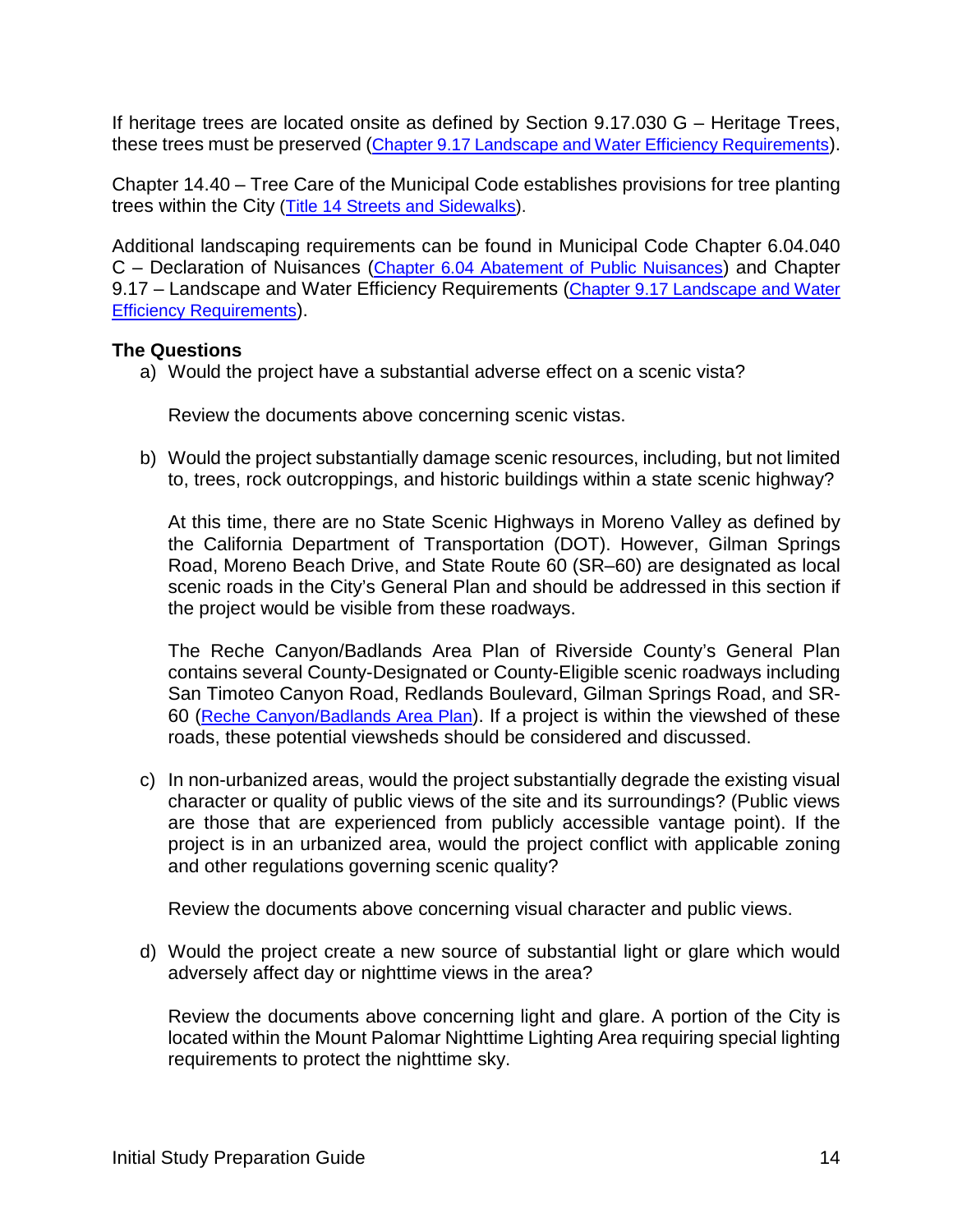If heritage trees are located onsite as defined by Section 9.17.030 G – Heritage Trees, these trees must be preserved [\(Chapter 9.17 Landscape and Water Efficiency Requirements\)](http://qcode.us/codes/morenovalley/view.php?topic=9-9_17-9_17_030&frames=on).

Chapter 14.40 – Tree Care of the Municipal Code establishes provisions for tree planting trees within the City [\(Title 14 Streets and Sidewalks\)](http://qcode.us/codes/morenovalley/view.php?topic=14-14_40&frames=on).

Additional landscaping requirements can be found in Municipal Code Chapter 6.04.040 C – Declaration of Nuisances [\(Chapter 6.04 Abatement of Public Nuisances\)](http://qcode.us/codes/morenovalley/view.php?topic=6-6_04-6_04_040&frames=on) and Chapter 9.17 – Landscape and Water Efficiency Requirements [\(Chapter 9.17 Landscape and Water](http://qcode.us/codes/morenovalley/view.php?topic=9-9_17&frames=on)  [Efficiency Requirements\)](http://qcode.us/codes/morenovalley/view.php?topic=9-9_17&frames=on).

#### **The Questions**

a) Would the project have a substantial adverse effect on a scenic vista?

Review the documents above concerning scenic vistas.

b) Would the project substantially damage scenic resources, including, but not limited to, trees, rock outcroppings, and historic buildings within a state scenic highway?

At this time, there are no State Scenic Highways in Moreno Valley as defined by the California Department of Transportation (DOT). However, Gilman Springs Road, Moreno Beach Drive, and State Route 60 (SR–60) are designated as local scenic roads in the City's General Plan and should be addressed in this section if the project would be visible from these roadways.

The Reche Canyon/Badlands Area Plan of Riverside County's General Plan contains several County-Designated or County-Eligible scenic roadways including San Timoteo Canyon Road, Redlands Boulevard, Gilman Springs Road, and SR-60 [\(Reche Canyon/Badlands Area Plan\)](https://planning.rctlma.org/Portals/14/genplan/general_Plan_2017/areaplans/RCBAP_071117.pdf?ver=2017-10-11-093946-953). If a project is within the viewshed of these roads, these potential viewsheds should be considered and discussed.

c) In non-urbanized areas, would the project substantially degrade the existing visual character or quality of public views of the site and its surroundings? (Public views are those that are experienced from publicly accessible vantage point). If the project is in an urbanized area, would the project conflict with applicable zoning and other regulations governing scenic quality?

Review the documents above concerning visual character and public views.

d) Would the project create a new source of substantial light or glare which would adversely affect day or nighttime views in the area?

Review the documents above concerning light and glare. A portion of the City is located within the Mount Palomar Nighttime Lighting Area requiring special lighting requirements to protect the nighttime sky.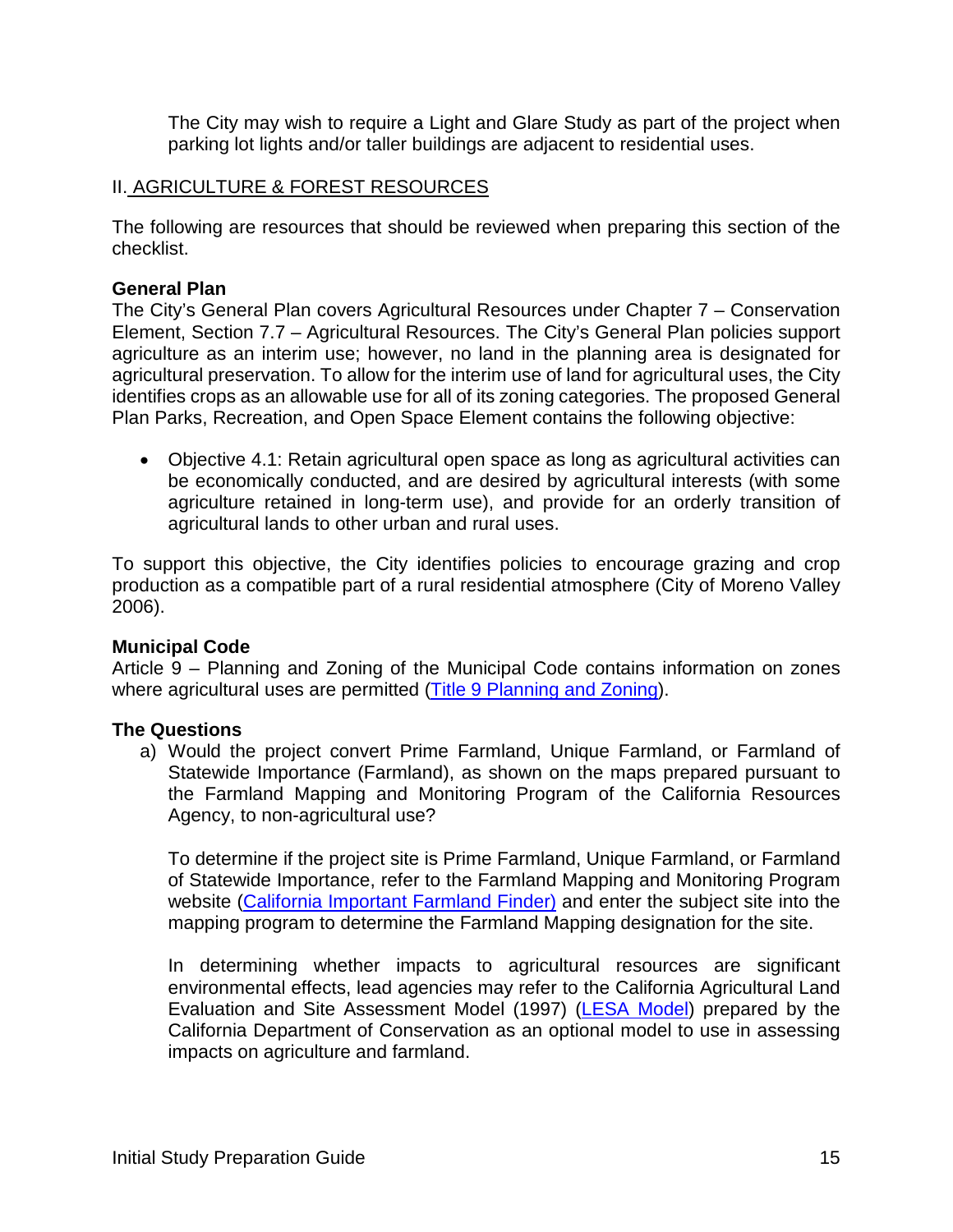The City may wish to require a Light and Glare Study as part of the project when parking lot lights and/or taller buildings are adjacent to residential uses.

#### II. AGRICULTURE & FOREST RESOURCES

The following are resources that should be reviewed when preparing this section of the checklist.

#### **General Plan**

The City's General Plan covers Agricultural Resources under Chapter 7 – Conservation Element, Section 7.7 – Agricultural Resources. The City's General Plan policies support agriculture as an interim use; however, no land in the planning area is designated for agricultural preservation. To allow for the interim use of land for agricultural uses, the City identifies crops as an allowable use for all of its zoning categories. The proposed General Plan Parks, Recreation, and Open Space Element contains the following objective:

• Objective 4.1: Retain agricultural open space as long as agricultural activities can be economically conducted, and are desired by agricultural interests (with some agriculture retained in long-term use), and provide for an orderly transition of agricultural lands to other urban and rural uses.

To support this objective, the City identifies policies to encourage grazing and crop production as a compatible part of a rural residential atmosphere (City of Moreno Valley 2006).

#### **Municipal Code**

Article 9 – Planning and Zoning of the Municipal Code contains information on zones where agricultural uses are permitted [\(Title 9 Planning and Zoning\)](http://qcode.us/codes/morenovalley/view.php?topic=9&frames=on).

#### **The Questions**

a) Would the project convert Prime Farmland, Unique Farmland, or Farmland of Statewide Importance (Farmland), as shown on the maps prepared pursuant to the Farmland Mapping and Monitoring Program of the California Resources Agency, to non-agricultural use?

To determine if the project site is Prime Farmland, Unique Farmland, or Farmland of Statewide Importance, refer to the Farmland Mapping and Monitoring Program website [\(California Important Farmland Finder\)](https://maps.conservation.ca.gov/DLRP/CIFF/) and enter the subject site into the mapping program to determine the Farmland Mapping designation for the site.

In determining whether impacts to agricultural resources are significant environmental effects, lead agencies may refer to the California Agricultural Land Evaluation and Site Assessment Model (1997) [\(LESA Model\)](https://www.conservation.ca.gov/dlrp/Pages/qh_lesa.aspx) prepared by the California Department of Conservation as an optional model to use in assessing impacts on agriculture and farmland.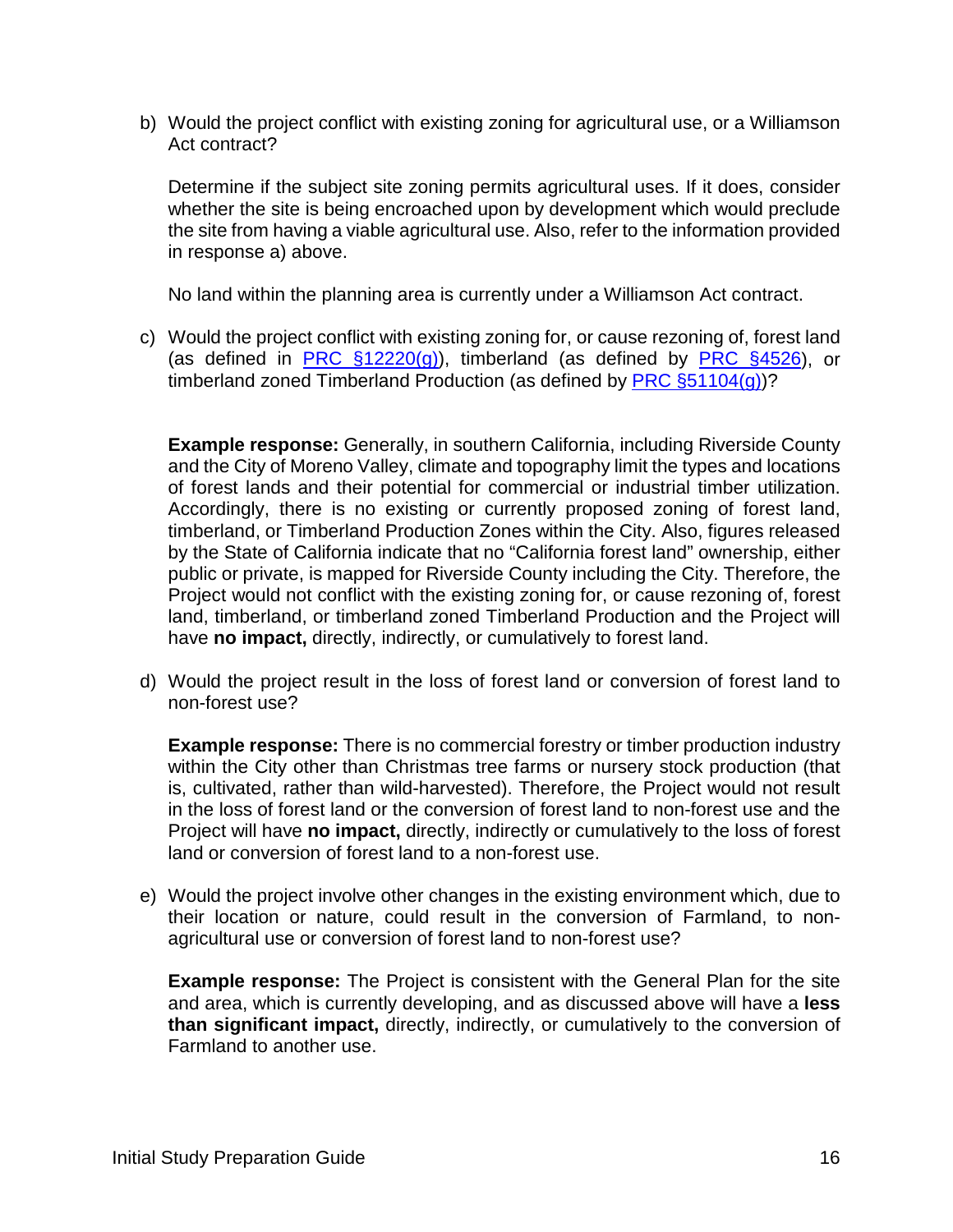b) Would the project conflict with existing zoning for agricultural use, or a Williamson Act contract?

Determine if the subject site zoning permits agricultural uses. If it does, consider whether the site is being encroached upon by development which would preclude the site from having a viable agricultural use. Also, refer to the information provided in response a) above.

No land within the planning area is currently under a Williamson Act contract.

c) Would the project conflict with existing zoning for, or cause rezoning of, forest land (as defined in PRC  $\S$ 12220(g)), timberland (as defined by PRC  $\S$ 4526), or timberland zoned Timberland Production (as defined by PRC  $\S 51104(g)$ )?

**Example response:** Generally, in southern California, including Riverside County and the City of Moreno Valley, climate and topography limit the types and locations of forest lands and their potential for commercial or industrial timber utilization. Accordingly, there is no existing or currently proposed zoning of forest land, timberland, or Timberland Production Zones within the City. Also, figures released by the State of California indicate that no "California forest land" ownership, either public or private, is mapped for Riverside County including the City. Therefore, the Project would not conflict with the existing zoning for, or cause rezoning of, forest land, timberland, or timberland zoned Timberland Production and the Project will have **no impact,** directly, indirectly, or cumulatively to forest land.

d) Would the project result in the loss of forest land or conversion of forest land to non-forest use?

**Example response:** There is no commercial forestry or timber production industry within the City other than Christmas tree farms or nursery stock production (that is, cultivated, rather than wild-harvested). Therefore, the Project would not result in the loss of forest land or the conversion of forest land to non-forest use and the Project will have **no impact,** directly, indirectly or cumulatively to the loss of forest land or conversion of forest land to a non-forest use.

e) Would the project involve other changes in the existing environment which, due to their location or nature, could result in the conversion of Farmland, to nonagricultural use or conversion of forest land to non-forest use?

**Example response:** The Project is consistent with the General Plan for the site and area, which is currently developing, and as discussed above will have a **less than significant impact,** directly, indirectly, or cumulatively to the conversion of Farmland to another use.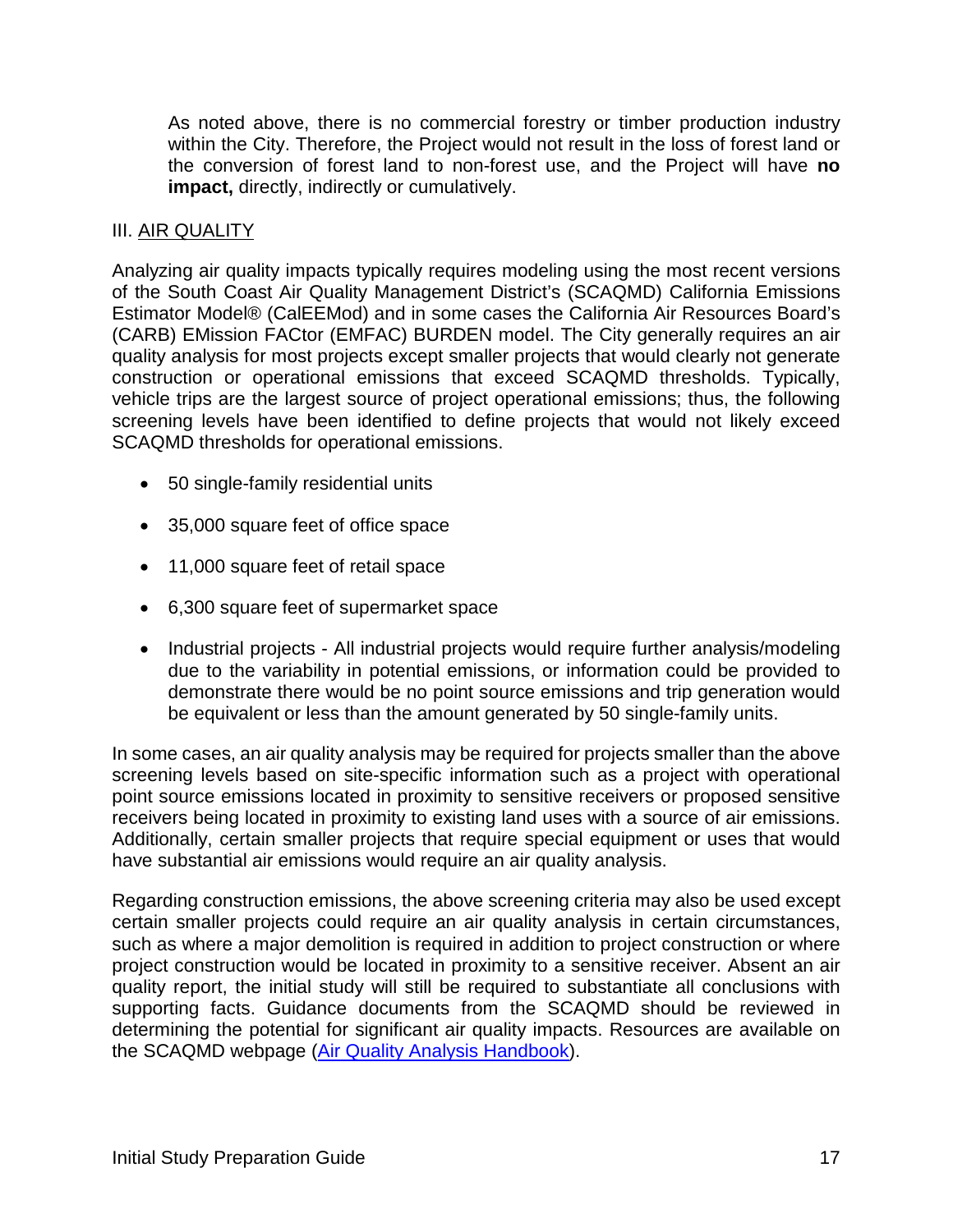As noted above, there is no commercial forestry or timber production industry within the City. Therefore, the Project would not result in the loss of forest land or the conversion of forest land to non-forest use, and the Project will have **no impact,** directly, indirectly or cumulatively.

#### III. AIR QUALITY

Analyzing air quality impacts typically requires modeling using the most recent versions of the South Coast Air Quality Management District's (SCAQMD) California Emissions Estimator Model® (CalEEMod) and in some cases the California Air Resources Board's (CARB) EMission FACtor (EMFAC) BURDEN model. The City generally requires an air quality analysis for most projects except smaller projects that would clearly not generate construction or operational emissions that exceed SCAQMD thresholds. Typically, vehicle trips are the largest source of project operational emissions; thus, the following screening levels have been identified to define projects that would not likely exceed SCAQMD thresholds for operational emissions.

- 50 single-family residential units
- 35,000 square feet of office space
- 11,000 square feet of retail space
- 6,300 square feet of supermarket space
- Industrial projects All industrial projects would require further analysis/modeling due to the variability in potential emissions, or information could be provided to demonstrate there would be no point source emissions and trip generation would be equivalent or less than the amount generated by 50 single-family units.

In some cases, an air quality analysis may be required for projects smaller than the above screening levels based on site-specific information such as a project with operational point source emissions located in proximity to sensitive receivers or proposed sensitive receivers being located in proximity to existing land uses with a source of air emissions. Additionally, certain smaller projects that require special equipment or uses that would have substantial air emissions would require an air quality analysis.

Regarding construction emissions, the above screening criteria may also be used except certain smaller projects could require an air quality analysis in certain circumstances, such as where a major demolition is required in addition to project construction or where project construction would be located in proximity to a sensitive receiver. Absent an air quality report, the initial study will still be required to substantiate all conclusions with supporting facts. Guidance documents from the SCAQMD should be reviewed in determining the potential for significant air quality impacts. Resources are available on the SCAQMD webpage [\(Air Quality Analysis Handbook\)](http://www.aqmd.gov/home/rules-compliance/ceqa/air-quality-analysis-handbook).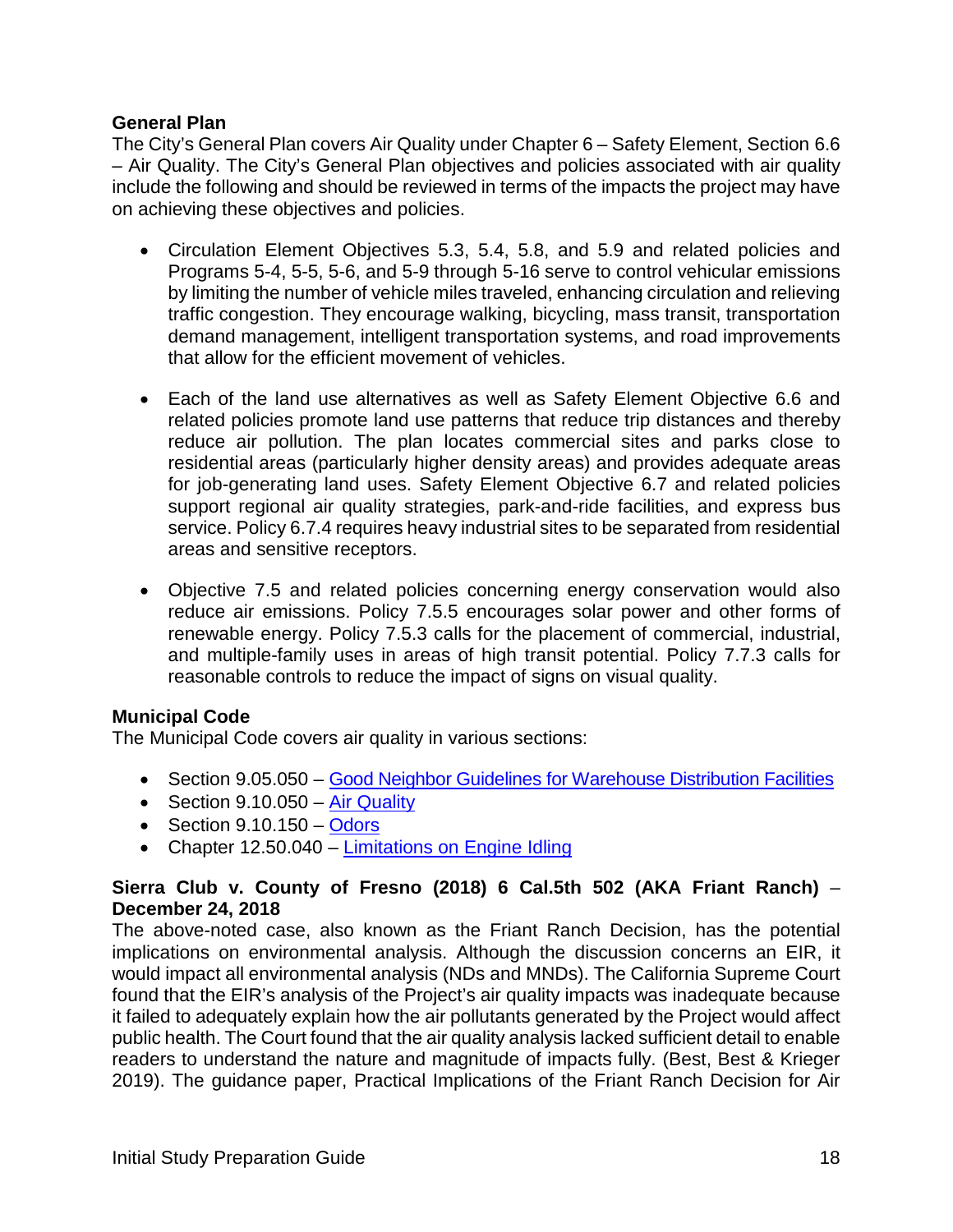#### **General Plan**

The City's General Plan covers Air Quality under Chapter 6 – Safety Element, Section 6.6 – Air Quality. The City's General Plan objectives and policies associated with air quality include the following and should be reviewed in terms of the impacts the project may have on achieving these objectives and policies.

- Circulation Element Objectives 5.3, 5.4, 5.8, and 5.9 and related policies and Programs 5-4, 5-5, 5-6, and 5-9 through 5-16 serve to control vehicular emissions by limiting the number of vehicle miles traveled, enhancing circulation and relieving traffic congestion. They encourage walking, bicycling, mass transit, transportation demand management, intelligent transportation systems, and road improvements that allow for the efficient movement of vehicles.
- Each of the land use alternatives as well as Safety Element Objective 6.6 and related policies promote land use patterns that reduce trip distances and thereby reduce air pollution. The plan locates commercial sites and parks close to residential areas (particularly higher density areas) and provides adequate areas for job-generating land uses. Safety Element Objective 6.7 and related policies support regional air quality strategies, park-and-ride facilities, and express bus service. Policy 6.7.4 requires heavy industrial sites to be separated from residential areas and sensitive receptors.
- Objective 7.5 and related policies concerning energy conservation would also reduce air emissions. Policy 7.5.5 encourages solar power and other forms of renewable energy. Policy 7.5.3 calls for the placement of commercial, industrial, and multiple-family uses in areas of high transit potential. Policy 7.7.3 calls for reasonable controls to reduce the impact of signs on visual quality.

#### **Municipal Code**

The Municipal Code covers air quality in various sections:

- Section 9.05.050 [Good Neighbor Guidelines for Warehouse Distribution Facilities](http://qcode.us/codes/morenovalley/view.php?topic=9-9_05-9_05_050&frames=on)
- Section 9.10.050 [Air Quality](http://qcode.us/codes/morenovalley/view.php?topic=9-9_10-9_10_050&frames=on)
- Section  $9.10.150 -$ [Odors](http://qcode.us/codes/morenovalley/view.php?topic=9-9_10-9_10_150&frames=on)
- Chapter 12.50.040 [Limitations on Engine I](http://qcode.us/codes/morenovalley/view.php?topic=12-12_50&frames=on)dling

#### **Sierra Club v. County of Fresno (2018) 6 Cal.5th 502 (AKA Friant Ranch)** – **December 24, 2018**

The above-noted case, also known as the Friant Ranch Decision, has the potential implications on environmental analysis. Although the discussion concerns an EIR, it would impact all environmental analysis (NDs and MNDs). The California Supreme Court found that the EIR's analysis of the Project's air quality impacts was inadequate because it failed to adequately explain how the air pollutants generated by the Project would affect public health. The Court found that the air quality analysis lacked sufficient detail to enable readers to understand the nature and magnitude of impacts fully. (Best, Best & Krieger 2019). The guidance paper, Practical Implications of the Friant Ranch Decision for Air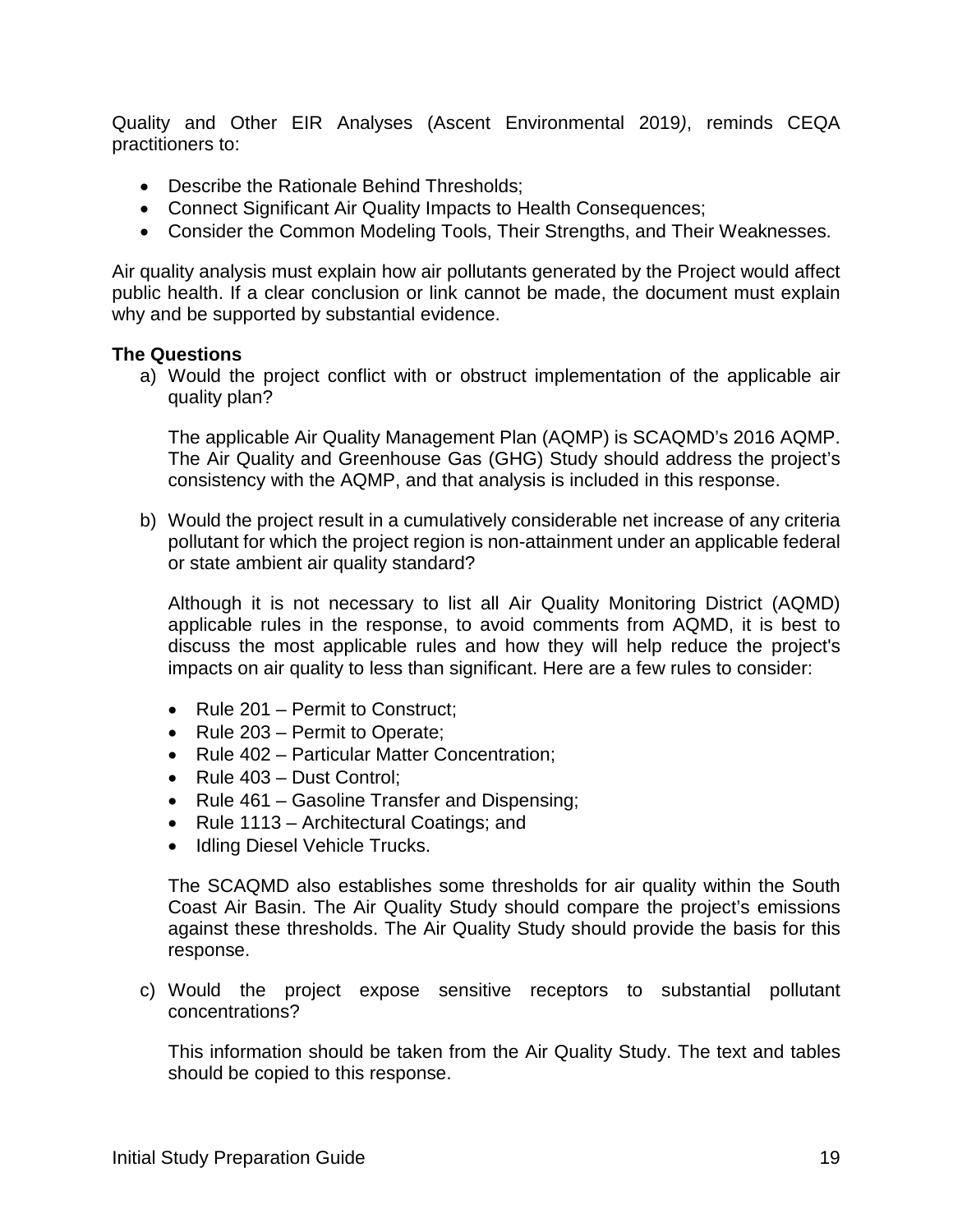Quality and Other EIR Analyses (Ascent Environmental 2019*)*, reminds CEQA practitioners to:

- Describe the Rationale Behind Thresholds;
- Connect Significant Air Quality Impacts to Health Consequences;
- Consider the Common Modeling Tools, Their Strengths, and Their Weaknesses.

Air quality analysis must explain how air pollutants generated by the Project would affect public health. If a clear conclusion or link cannot be made, the document must explain why and be supported by substantial evidence.

#### **The Questions**

a) Would the project conflict with or obstruct implementation of the applicable air quality plan?

The applicable Air Quality Management Plan (AQMP) is SCAQMD's 2016 AQMP. The Air Quality and Greenhouse Gas (GHG) Study should address the project's consistency with the AQMP, and that analysis is included in this response.

b) Would the project result in a cumulatively considerable net increase of any criteria pollutant for which the project region is non-attainment under an applicable federal or state ambient air quality standard?

Although it is not necessary to list all Air Quality Monitoring District (AQMD) applicable rules in the response, to avoid comments from AQMD, it is best to discuss the most applicable rules and how they will help reduce the project's impacts on air quality to less than significant. Here are a few rules to consider:

- Rule 201 Permit to Construct;
- Rule 203 Permit to Operate;
- Rule 402 Particular Matter Concentration:
- Rule 403 Dust Control;
- Rule 461 Gasoline Transfer and Dispensing;
- Rule 1113 Architectural Coatings; and
- Idling Diesel Vehicle Trucks.

The SCAQMD also establishes some thresholds for air quality within the South Coast Air Basin. The Air Quality Study should compare the project's emissions against these thresholds. The Air Quality Study should provide the basis for this response.

c) Would the project expose sensitive receptors to substantial pollutant concentrations?

This information should be taken from the Air Quality Study. The text and tables should be copied to this response.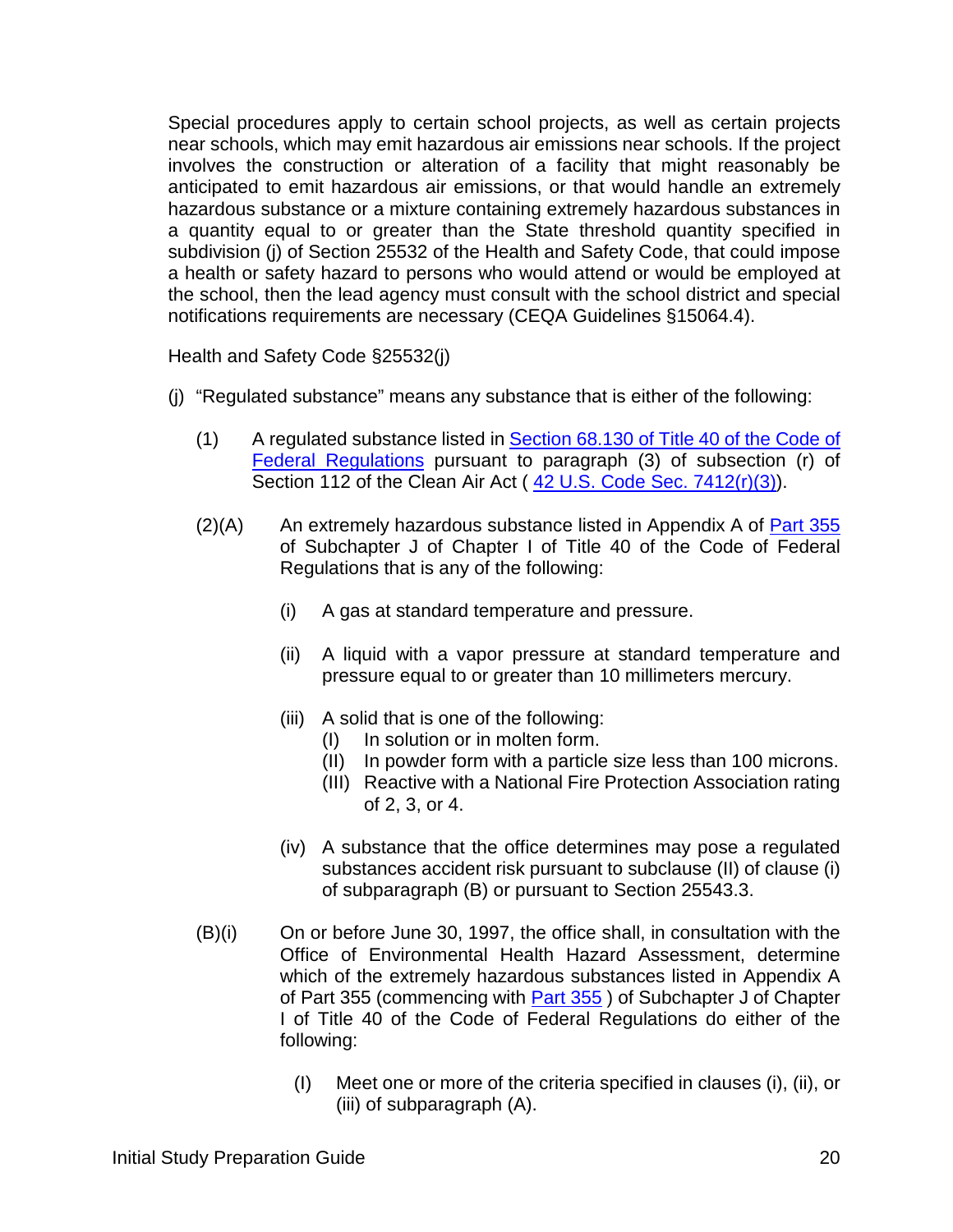Special procedures apply to certain school projects, as well as certain projects near schools, which may emit hazardous air emissions near schools. If the project involves the construction or alteration of a facility that might reasonably be anticipated to emit hazardous air emissions, or that would handle an extremely hazardous substance or a mixture containing extremely hazardous substances in a quantity equal to or greater than the State threshold quantity specified in subdivision (j) of Section 25532 of the Health and Safety Code, that could impose a health or safety hazard to persons who would attend or would be employed at the school, then the lead agency must consult with the school district and special notifications requirements are necessary (CEQA Guidelines §15064.4).

Health and Safety Code §25532(j)

- (j) "Regulated substance" means any substance that is either of the following:
	- (1) A regulated substance listed in Section 68.130 [of Title 40 of the Code of](https://www.law.cornell.edu/cfr/text/40/68.130)  [Federal Regulations](https://www.law.cornell.edu/cfr/text/40/68.130) pursuant to paragraph (3) of subsection (r) of Section 112 of the Clean Air Act ([42 U.S. Code Sec.](https://www.law.cornell.edu/uscode/text/42/7412) 7412(r)(3)).
	- $(2)(A)$  An extremely hazardous substance listed in Appendix A of **[Part 355](https://www.law.cornell.edu/cfr/text/40/part-355)** of Subchapter J of Chapter I of Title 40 of the Code of Federal Regulations that is any of the following:
		- (i) A gas at standard temperature and pressure.
		- (ii) A liquid with a vapor pressure at standard temperature and pressure equal to or greater than 10 millimeters mercury.
		- (iii) A solid that is one of the following:
			- (I) In solution or in molten form.
			- (II) In powder form with a particle size less than 100 microns.
			- (III) Reactive with a National Fire Protection Association rating of 2, 3, or 4.
		- (iv) A substance that the office determines may pose a regulated substances accident risk pursuant to subclause (II) of clause (i) of subparagraph (B) or pursuant to [Section 25543.3.](https://1.next.westlaw.com/Link/Document/FullText?findType=L&originatingContext=document&transitionType=DocumentItem&pubNum=1000213&refType=LQ&originatingDoc=Ia1110b5000cb11e8be67d32f2a5ba06a&cite=CAHSS25543.3)
	- (B)(i) On or before June 30, 1997, the office shall, in consultation with the Office of Environmental Health Hazard Assessment, determine which of the extremely hazardous substances listed in Appendix A of Part 355 (commencing with [Part 355](https://www.law.cornell.edu/cfr/text/40/part-355) ) of Subchapter J of Chapter I of Title 40 of the Code of Federal Regulations do either of the following:
		- (I) Meet one or more of the criteria specified in clauses (i), (ii), or (iii) of subparagraph (A).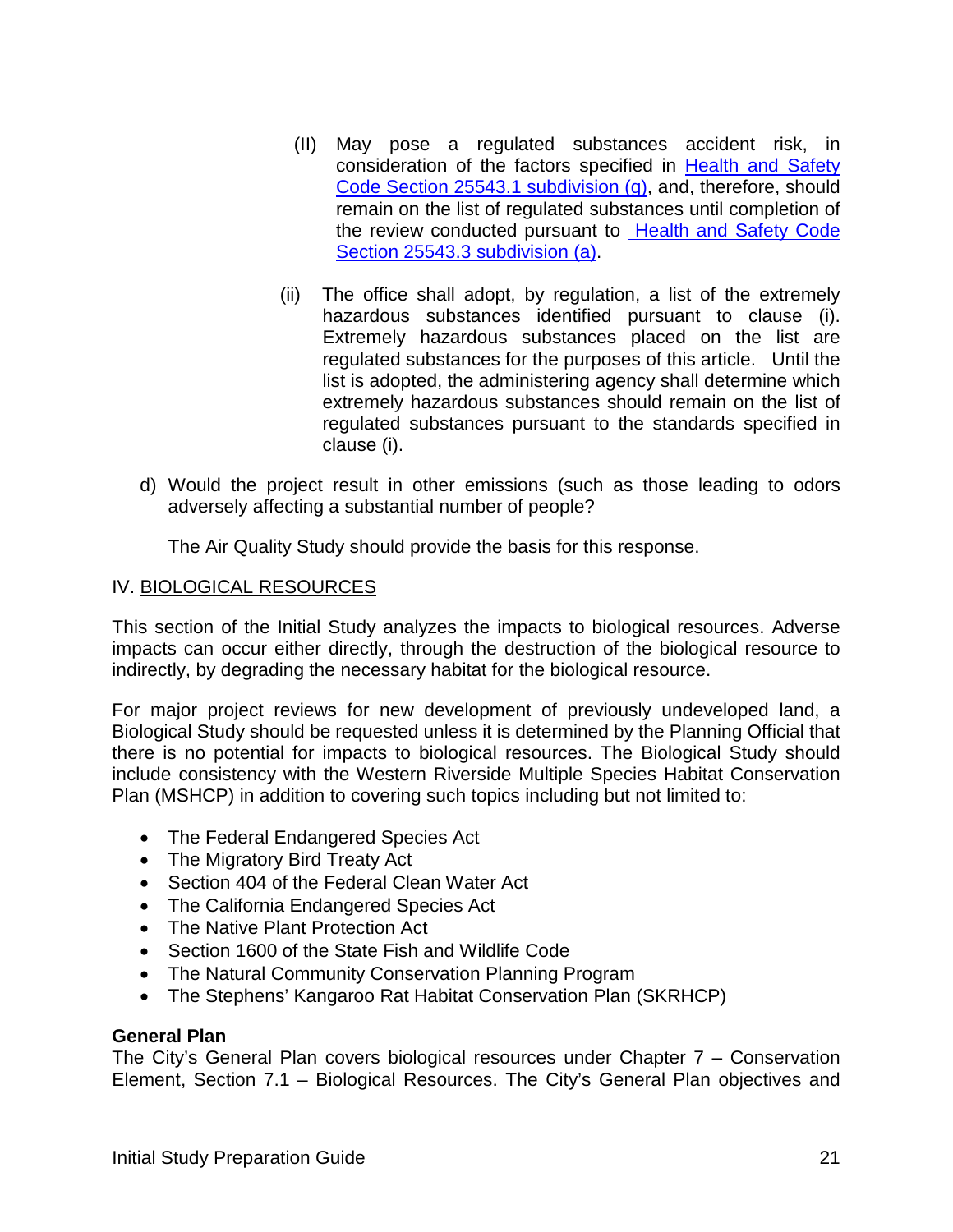- (II) May pose a regulated substances accident risk, in consideration of the factors specified in [Health and Safety](https://codes.findlaw.com/ca/health-and-safety-code/hsc-sect-25543-1.html)  Code Section 25543.1 [subdivision \(g\),](https://codes.findlaw.com/ca/health-and-safety-code/hsc-sect-25543-1.html) and, therefore, should remain on the list of regulated substances until completion of the review conducted pursuant to **Health and Safety Code** Section 25543.3 [subdivision \(a\).](https://codes.findlaw.com/ca/health-and-safety-code/hsc-sect-25543-3.html)
- (ii) The office shall adopt, by regulation, a list of the extremely hazardous substances identified pursuant to clause (i). Extremely hazardous substances placed on the list are regulated substances for the purposes of this article. Until the list is adopted, the administering agency shall determine which extremely hazardous substances should remain on the list of regulated substances pursuant to the standards specified in clause (i).
- d) Would the project result in other emissions (such as those leading to odors adversely affecting a substantial number of people?

The Air Quality Study should provide the basis for this response.

#### IV. BIOLOGICAL RESOURCES

This section of the Initial Study analyzes the impacts to biological resources. Adverse impacts can occur either directly, through the destruction of the biological resource to indirectly, by degrading the necessary habitat for the biological resource.

For major project reviews for new development of previously undeveloped land, a Biological Study should be requested unless it is determined by the Planning Official that there is no potential for impacts to biological resources. The Biological Study should include consistency with the Western Riverside Multiple Species Habitat Conservation Plan (MSHCP) in addition to covering such topics including but not limited to:

- The Federal Endangered Species Act
- The Migratory Bird Treaty Act
- Section 404 of the Federal Clean Water Act
- The California Endangered Species Act
- The Native Plant Protection Act
- Section 1600 of the State Fish and Wildlife Code
- The Natural Community Conservation Planning Program
- The Stephens' Kangaroo Rat Habitat Conservation Plan (SKRHCP)

#### **General Plan**

The City's General Plan covers biological resources under Chapter 7 – Conservation Element, Section 7.1 – Biological Resources. The City's General Plan objectives and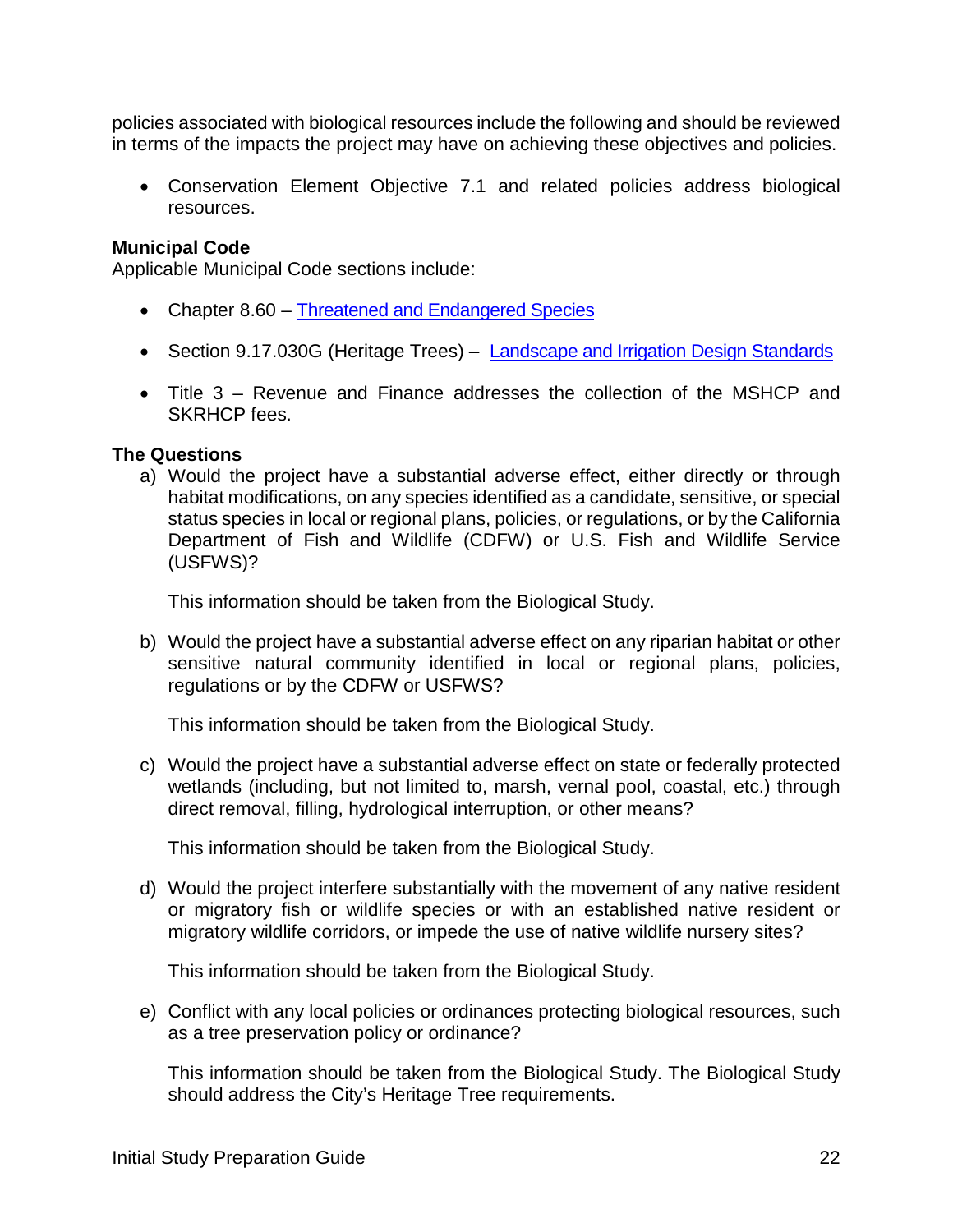policies associated with biological resources include the following and should be reviewed in terms of the impacts the project may have on achieving these objectives and policies.

• Conservation Element Objective 7.1 and related policies address biological resources.

#### **Municipal Code**

Applicable Municipal Code sections include:

- Chapter 8.60 [Threatened and Endangered Species](http://qcode.us/codes/morenovalley/view.php?topic=8-8_60&frames=on)
- Section 9.17.030G (Heritage Trees) [Landscape and Irrigation Design Standards](http://qcode.us/codes/morenovalley/view.php?topic=9-9_17-9_17_030&frames=on)
- Title 3 Revenue and Finance addresses the collection of the MSHCP and SKRHCP fees.

#### **The Questions**

a) Would the project have a substantial adverse effect, either directly or through habitat modifications, on any species identified as a candidate, sensitive, or special status species in local or regional plans, policies, or regulations, or by the California Department of Fish and Wildlife (CDFW) or U.S. Fish and Wildlife Service (USFWS)?

This information should be taken from the Biological Study.

b) Would the project have a substantial adverse effect on any riparian habitat or other sensitive natural community identified in local or regional plans, policies, regulations or by the CDFW or USFWS?

This information should be taken from the Biological Study.

c) Would the project have a substantial adverse effect on state or federally protected wetlands (including, but not limited to, marsh, vernal pool, coastal, etc.) through direct removal, filling, hydrological interruption, or other means?

This information should be taken from the Biological Study.

d) Would the project interfere substantially with the movement of any native resident or migratory fish or wildlife species or with an established native resident or migratory wildlife corridors, or impede the use of native wildlife nursery sites?

This information should be taken from the Biological Study.

e) Conflict with any local policies or ordinances protecting biological resources, such as a tree preservation policy or ordinance?

This information should be taken from the Biological Study. The Biological Study should address the City's Heritage Tree requirements.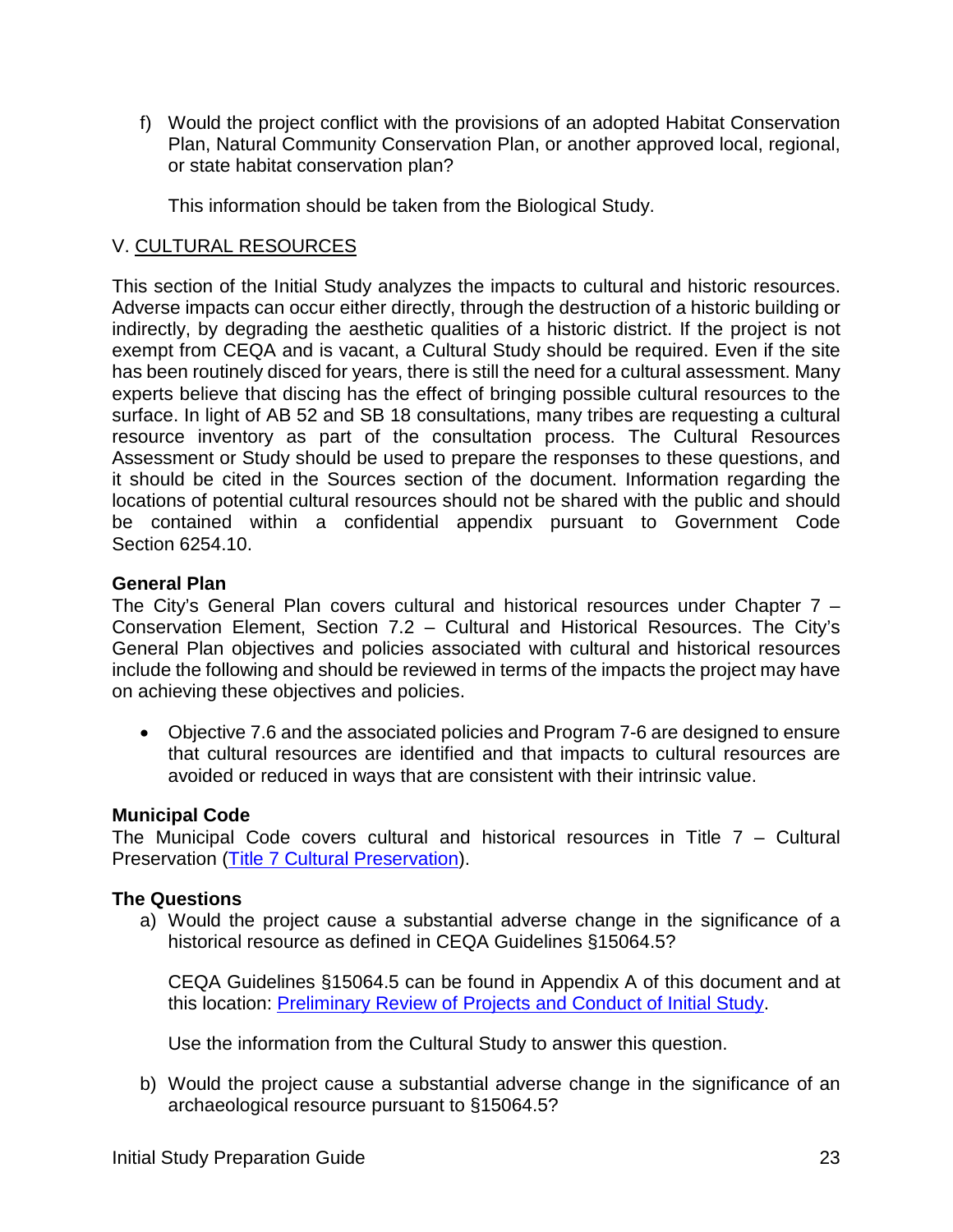f) Would the project conflict with the provisions of an adopted Habitat Conservation Plan, Natural Community Conservation Plan, or another approved local, regional, or state habitat conservation plan?

This information should be taken from the Biological Study.

#### V. CULTURAL RESOURCES

This section of the Initial Study analyzes the impacts to cultural and historic resources. Adverse impacts can occur either directly, through the destruction of a historic building or indirectly, by degrading the aesthetic qualities of a historic district. If the project is not exempt from CEQA and is vacant, a Cultural Study should be required. Even if the site has been routinely disced for years, there is still the need for a cultural assessment. Many experts believe that discing has the effect of bringing possible cultural resources to the surface. In light of AB 52 and SB 18 consultations, many tribes are requesting a cultural resource inventory as part of the consultation process. The Cultural Resources Assessment or Study should be used to prepare the responses to these questions, and it should be cited in the Sources section of the document. Information regarding the locations of potential cultural resources should not be shared with the public and should be contained within a confidential appendix pursuant to Government Code Section 6254.10.

#### **General Plan**

The City's General Plan covers cultural and historical resources under Chapter 7 – Conservation Element, Section 7.2 – Cultural and Historical Resources. The City's General Plan objectives and policies associated with cultural and historical resources include the following and should be reviewed in terms of the impacts the project may have on achieving these objectives and policies.

• Objective 7.6 and the associated policies and Program 7-6 are designed to ensure that cultural resources are identified and that impacts to cultural resources are avoided or reduced in ways that are consistent with their intrinsic value.

#### **Municipal Code**

The Municipal Code covers cultural and historical resources in Title  $7 -$  Cultural Preservation [\(Title 7 Cultural Preservation\)](http://qcode.us/codes/morenovalley/view.php?topic=7&frames=on).

#### **The Questions**

a) Would the project cause a substantial adverse change in the significance of a historical resource as defined in CEQA Guidelines §15064.5?

CEQA Guidelines §15064.5 can be found in Appendix A of this document and at this location: Preliminary Review of [Projects and Conduct of Initial Study.](http://resources.ca.gov/ceqa/guidelines/art5.html)

Use the information from the Cultural Study to answer this question.

b) Would the project cause a substantial adverse change in the significance of an archaeological resource pursuant to §15064.5?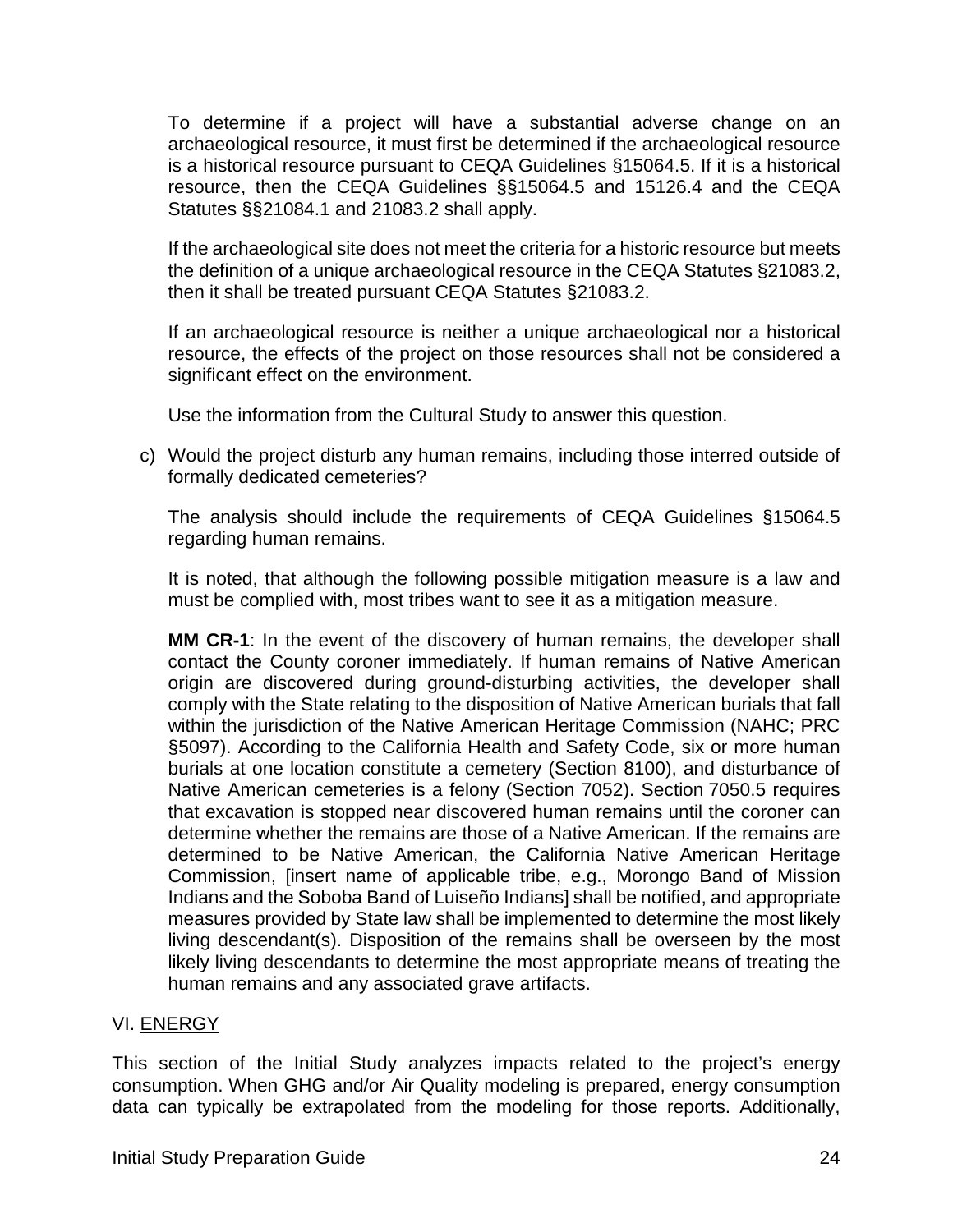To determine if a project will have a substantial adverse change on an archaeological resource, it must first be determined if the archaeological resource is a historical resource pursuant to CEQA Guidelines §15064.5. If it is a historical resource, then the CEQA Guidelines §§15064.5 and 15126.4 and the CEQA Statutes §§21084.1 and 21083.2 shall apply.

If the archaeological site does not meet the criteria for a historic resource but meets the definition of a unique archaeological resource in the CEQA Statutes §21083.2, then it shall be treated pursuant CEQA Statutes §21083.2.

If an archaeological resource is neither a unique archaeological nor a historical resource, the effects of the project on those resources shall not be considered a significant effect on the environment.

Use the information from the Cultural Study to answer this question.

c) Would the project disturb any human remains, including those interred outside of formally dedicated cemeteries?

The analysis should include the requirements of CEQA Guidelines §15064.5 regarding human remains.

It is noted, that although the following possible mitigation measure is a law and must be complied with, most tribes want to see it as a mitigation measure.

**MM CR-1**: In the event of the discovery of human remains, the developer shall contact the County coroner immediately. If human remains of Native American origin are discovered during ground-disturbing activities, the developer shall comply with the State relating to the disposition of Native American burials that fall within the jurisdiction of the Native American Heritage Commission (NAHC; PRC §5097). According to the California Health and Safety Code, six or more human burials at one location constitute a cemetery (Section 8100), and disturbance of Native American cemeteries is a felony (Section 7052). Section 7050.5 requires that excavation is stopped near discovered human remains until the coroner can determine whether the remains are those of a Native American. If the remains are determined to be Native American, the California Native American Heritage Commission, [insert name of applicable tribe, e.g., Morongo Band of Mission Indians and the Soboba Band of Luiseño Indians] shall be notified, and appropriate measures provided by State law shall be implemented to determine the most likely living descendant(s). Disposition of the remains shall be overseen by the most likely living descendants to determine the most appropriate means of treating the human remains and any associated grave artifacts.

#### VI. ENERGY

This section of the Initial Study analyzes impacts related to the project's energy consumption. When GHG and/or Air Quality modeling is prepared, energy consumption data can typically be extrapolated from the modeling for those reports. Additionally,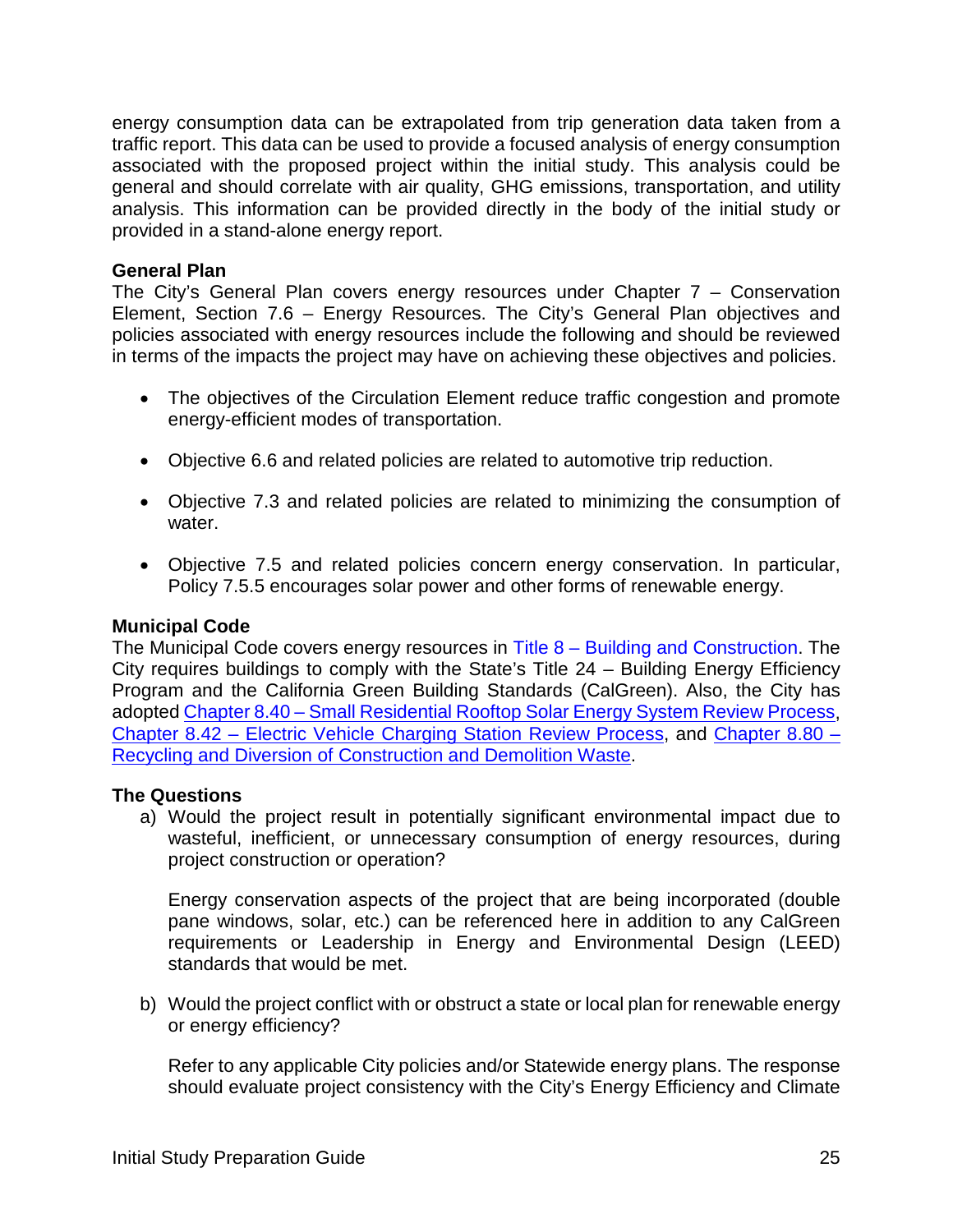energy consumption data can be extrapolated from trip generation data taken from a traffic report. This data can be used to provide a focused analysis of energy consumption associated with the proposed project within the initial study. This analysis could be general and should correlate with air quality, GHG emissions, transportation, and utility analysis. This information can be provided directly in the body of the initial study or provided in a stand-alone energy report.

#### **General Plan**

The City's General Plan covers energy resources under Chapter 7 – Conservation Element, Section 7.6 – Energy Resources. The City's General Plan objectives and policies associated with energy resources include the following and should be reviewed in terms of the impacts the project may have on achieving these objectives and policies.

- The objectives of the Circulation Element reduce traffic congestion and promote energy-efficient modes of transportation.
- Objective 6.6 and related policies are related to automotive trip reduction.
- Objective 7.3 and related policies are related to minimizing the consumption of water.
- Objective 7.5 and related policies concern energy conservation. In particular, Policy 7.5.5 encourages solar power and other forms of renewable energy.

#### **Municipal Code**

The Municipal Code covers energy resources in Title 8 – [Building and Construction.](http://qcode.us/codes/morenovalley/view.php?topic=8&frames=on) The City requires buildings to comply with the State's Title 24 – Building Energy Efficiency Program and the California Green Building Standards (CalGreen). Also, the City has adopted Chapter 8.40 – [Small Residential Rooftop Solar Energy System Review Process,](http://qcode.us/codes/morenovalley/view.php?topic=8-8_40&frames=on) Chapter 8.42 – [Electric Vehicle Charging Station Review Process,](http://qcode.us/codes/morenovalley/view.php?topic=8-8_42&frames=on) and [Chapter 8.80 –](http://qcode.us/codes/morenovalley/view.php?topic=8-8_80&frames=on) [Recycling and Diversion of Construction and Demolition Waste.](http://qcode.us/codes/morenovalley/view.php?topic=8-8_80&frames=on)

#### **The Questions**

a) Would the project result in potentially significant environmental impact due to wasteful, inefficient, or unnecessary consumption of energy resources, during project construction or operation?

Energy conservation aspects of the project that are being incorporated (double pane windows, solar, etc.) can be referenced here in addition to any CalGreen requirements or Leadership in Energy and Environmental Design (LEED) standards that would be met.

b) Would the project conflict with or obstruct a state or local plan for renewable energy or energy efficiency?

Refer to any applicable City policies and/or Statewide energy plans. The response should evaluate project consistency with the City's Energy Efficiency and Climate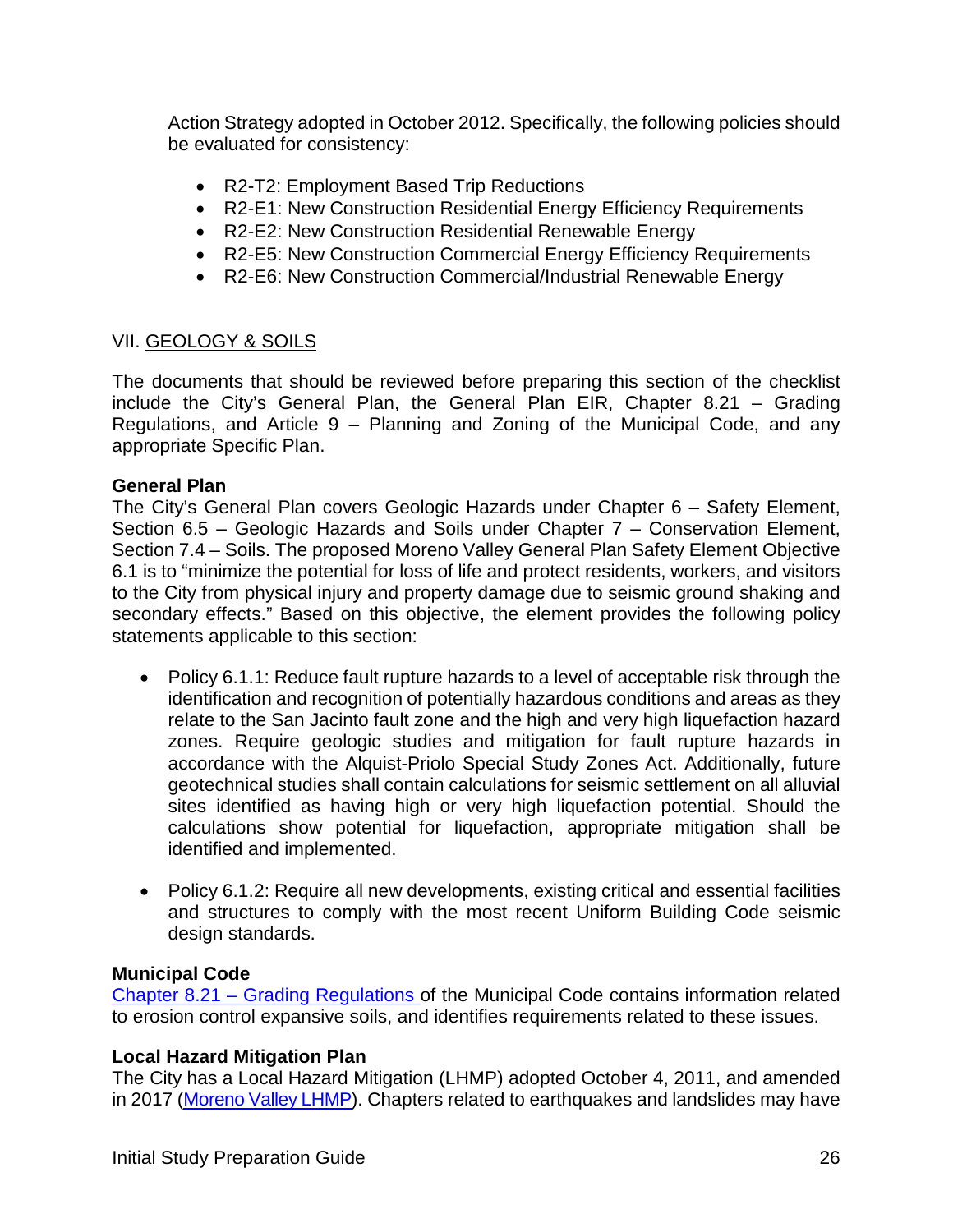Action Strategy adopted in October 2012. Specifically, the following policies should be evaluated for consistency:

- R2-T2: Employment Based Trip Reductions
- R2-E1: New Construction Residential Energy Efficiency Requirements
- R2-E2: New Construction Residential Renewable Energy
- R2-E5: New Construction Commercial Energy Efficiency Requirements
- R2-E6: New Construction Commercial/Industrial Renewable Energy

#### VII. GEOLOGY & SOILS

The documents that should be reviewed before preparing this section of the checklist include the City's General Plan, the General Plan EIR, Chapter 8.21 – Grading Regulations, and Article 9 – Planning and Zoning of the Municipal Code, and any appropriate Specific Plan.

#### **General Plan**

The City's General Plan covers Geologic Hazards under Chapter 6 – Safety Element, Section 6.5 – Geologic Hazards and Soils under Chapter 7 – Conservation Element, Section 7.4 – Soils. The proposed Moreno Valley General Plan Safety Element Objective 6.1 is to "minimize the potential for loss of life and protect residents, workers, and visitors to the City from physical injury and property damage due to seismic ground shaking and secondary effects." Based on this objective, the element provides the following policy statements applicable to this section:

- Policy 6.1.1: Reduce fault rupture hazards to a level of acceptable risk through the identification and recognition of potentially hazardous conditions and areas as they relate to the San Jacinto fault zone and the high and very high liquefaction hazard zones. Require geologic studies and mitigation for fault rupture hazards in accordance with the Alquist-Priolo Special Study Zones Act. Additionally, future geotechnical studies shall contain calculations for seismic settlement on all alluvial sites identified as having high or very high liquefaction potential. Should the calculations show potential for liquefaction, appropriate mitigation shall be identified and implemented.
- Policy 6.1.2: Require all new developments, existing critical and essential facilities and structures to comply with the most recent Uniform Building Code seismic design standards.

#### **Municipal Code**

Chapter 8.21 – [Grading Regulations](http://qcode.us/codes/morenovalley/view.php?topic=8-8_21&frames=on) of the Municipal Code contains information related to erosion control expansive soils, and identifies requirements related to these issues.

#### **Local Hazard Mitigation Plan**

The City has a Local Hazard Mitigation (LHMP) adopted October 4, 2011, and amended in 2017 [\(Moreno Valley LHMP\)](http://www.moval.org/city_hall/departments/fire/pdfs/haz-mit-plan.pdf). Chapters related to earthquakes and landslides may have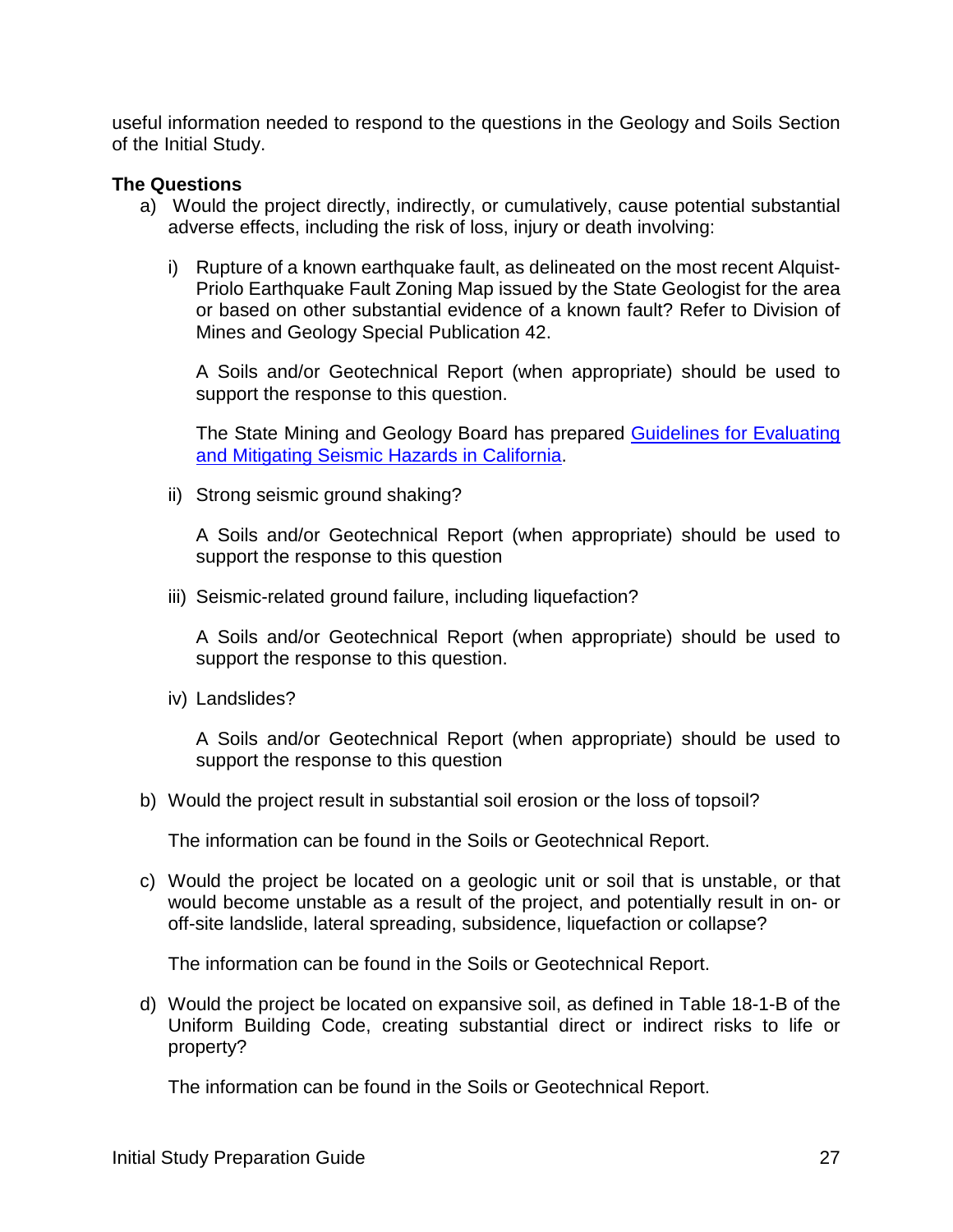useful information needed to respond to the questions in the Geology and Soils Section of the Initial Study.

#### **The Questions**

- a) Would the project directly, indirectly, or cumulatively, cause potential substantial adverse effects, including the risk of loss, injury or death involving:
	- i) Rupture of a known earthquake fault, as delineated on the most recent Alquist-Priolo Earthquake Fault Zoning Map issued by the State Geologist for the area or based on other substantial evidence of a known fault? Refer to Division of Mines and Geology Special Publication 42.

A Soils and/or Geotechnical Report (when appropriate) should be used to support the response to this question.

The State Mining and Geology Board has prepared [Guidelines for Evaluating](https://www.conservation.ca.gov/smgb/Guidelines/Documents/SP_117a.pdf)  [and Mitigating Seismic Hazards in California.](https://www.conservation.ca.gov/smgb/Guidelines/Documents/SP_117a.pdf)

ii) Strong seismic ground shaking?

A Soils and/or Geotechnical Report (when appropriate) should be used to support the response to this question

iii) Seismic-related ground failure, including liquefaction?

A Soils and/or Geotechnical Report (when appropriate) should be used to support the response to this question.

iv) Landslides?

A Soils and/or Geotechnical Report (when appropriate) should be used to support the response to this question

b) Would the project result in substantial soil erosion or the loss of topsoil?

The information can be found in the Soils or Geotechnical Report.

c) Would the project be located on a geologic unit or soil that is unstable, or that would become unstable as a result of the project, and potentially result in on- or off-site landslide, lateral spreading, subsidence, liquefaction or collapse?

The information can be found in the Soils or Geotechnical Report.

d) Would the project be located on expansive soil, as defined in Table 18-1-B of the Uniform Building Code, creating substantial direct or indirect risks to life or property?

The information can be found in the Soils or Geotechnical Report.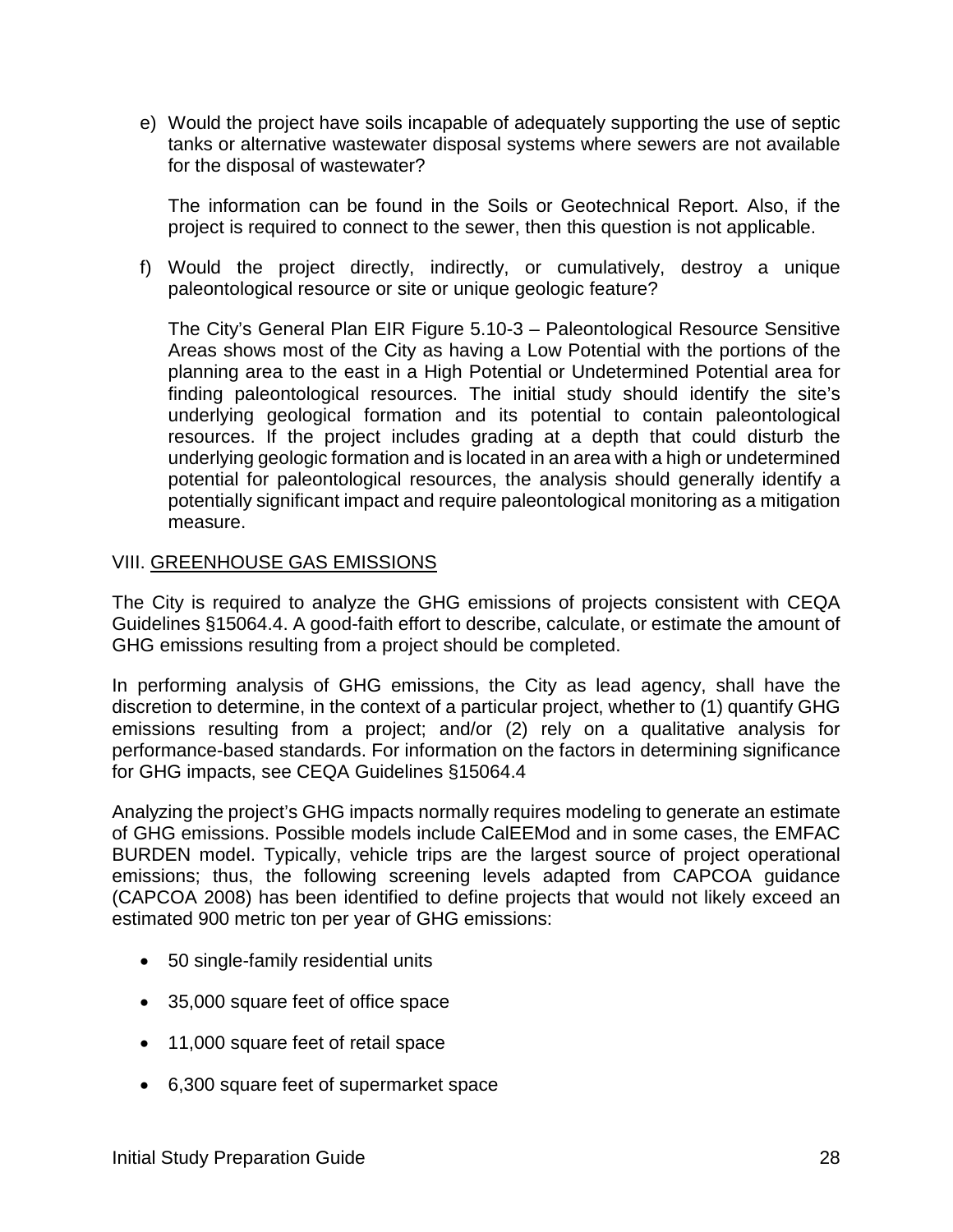e) Would the project have soils incapable of adequately supporting the use of septic tanks or alternative wastewater disposal systems where sewers are not available for the disposal of wastewater?

The information can be found in the Soils or Geotechnical Report. Also, if the project is required to connect to the sewer, then this question is not applicable.

f) Would the project directly, indirectly, or cumulatively, destroy a unique paleontological resource or site or unique geologic feature?

The City's General Plan EIR Figure 5.10-3 – Paleontological Resource Sensitive Areas shows most of the City as having a Low Potential with the portions of the planning area to the east in a High Potential or Undetermined Potential area for finding paleontological resources. The initial study should identify the site's underlying geological formation and its potential to contain paleontological resources. If the project includes grading at a depth that could disturb the underlying geologic formation and is located in an area with a high or undetermined potential for paleontological resources, the analysis should generally identify a potentially significant impact and require paleontological monitoring as a mitigation measure.

#### VIII. GREENHOUSE GAS EMISSIONS

The City is required to analyze the GHG emissions of projects consistent with CEQA Guidelines §15064.4. A good-faith effort to describe, calculate, or estimate the amount of GHG emissions resulting from a project should be completed.

In performing analysis of GHG emissions, the City as lead agency, shall have the discretion to determine, in the context of a particular project, whether to (1) quantify GHG emissions resulting from a project; and/or (2) rely on a qualitative analysis for performance-based standards. For information on the factors in determining significance for GHG impacts, see CEQA Guidelines §15064.4

Analyzing the project's GHG impacts normally requires modeling to generate an estimate of GHG emissions. Possible models include CalEEMod and in some cases, the EMFAC BURDEN model. Typically, vehicle trips are the largest source of project operational emissions; thus, the following screening levels adapted from CAPCOA guidance (CAPCOA 2008) has been identified to define projects that would not likely exceed an estimated 900 metric ton per year of GHG emissions:

- 50 single-family residential units
- 35,000 square feet of office space
- 11,000 square feet of retail space
- 6,300 square feet of supermarket space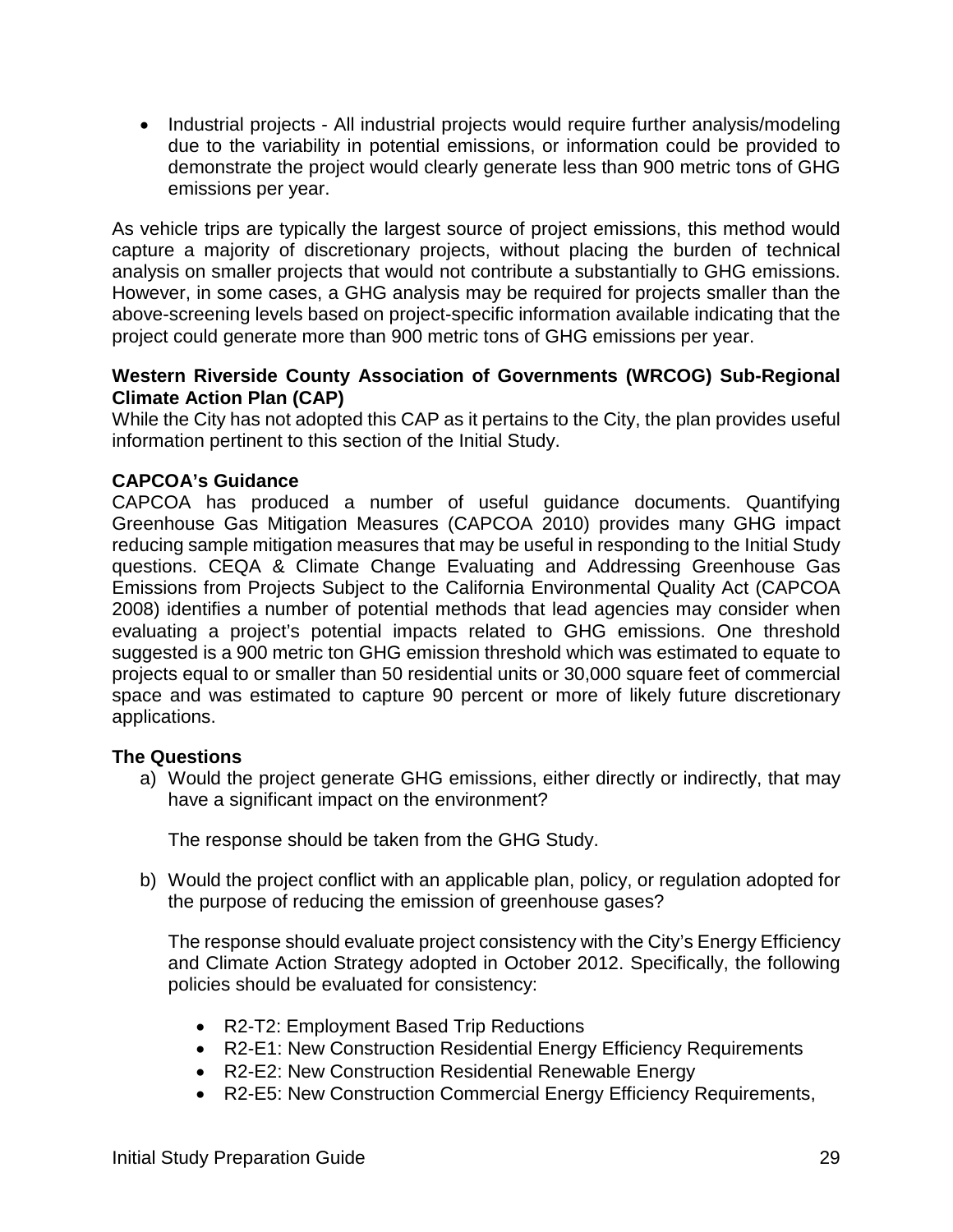• Industrial projects - All industrial projects would require further analysis/modeling due to the variability in potential emissions, or information could be provided to demonstrate the project would clearly generate less than 900 metric tons of GHG emissions per year.

As vehicle trips are typically the largest source of project emissions, this method would capture a majority of discretionary projects, without placing the burden of technical analysis on smaller projects that would not contribute a substantially to GHG emissions. However, in some cases, a GHG analysis may be required for projects smaller than the above-screening levels based on project-specific information available indicating that the project could generate more than 900 metric tons of GHG emissions per year.

#### **Western Riverside County Association of Governments (WRCOG) Sub-Regional Climate Action Plan (CAP)**

While the City has not adopted this CAP as it pertains to the City, the plan provides useful information pertinent to this section of the Initial Study.

#### **CAPCOA's Guidance**

CAPCOA has produced a number of useful guidance documents. Quantifying Greenhouse Gas Mitigation Measures (CAPCOA 2010) provides many GHG impact reducing sample mitigation measures that may be useful in responding to the Initial Study questions. CEQA & Climate Change Evaluating and Addressing Greenhouse Gas Emissions from Projects Subject to the California Environmental Quality Act (CAPCOA 2008) identifies a number of potential methods that lead agencies may consider when evaluating a project's potential impacts related to GHG emissions. One threshold suggested is a 900 metric ton GHG emission threshold which was estimated to equate to projects equal to or smaller than 50 residential units or 30,000 square feet of commercial space and was estimated to capture 90 percent or more of likely future discretionary applications.

#### **The Questions**

a) Would the project generate GHG emissions, either directly or indirectly, that may have a significant impact on the environment?

The response should be taken from the GHG Study.

b) Would the project conflict with an applicable plan, policy, or regulation adopted for the purpose of reducing the emission of greenhouse gases?

The response should evaluate project consistency with the City's Energy Efficiency and Climate Action Strategy adopted in October 2012. Specifically, the following policies should be evaluated for consistency:

- R2-T2: Employment Based Trip Reductions
- R2-E1: New Construction Residential Energy Efficiency Requirements
- R2-E2: New Construction Residential Renewable Energy
- R2-E5: New Construction Commercial Energy Efficiency Requirements,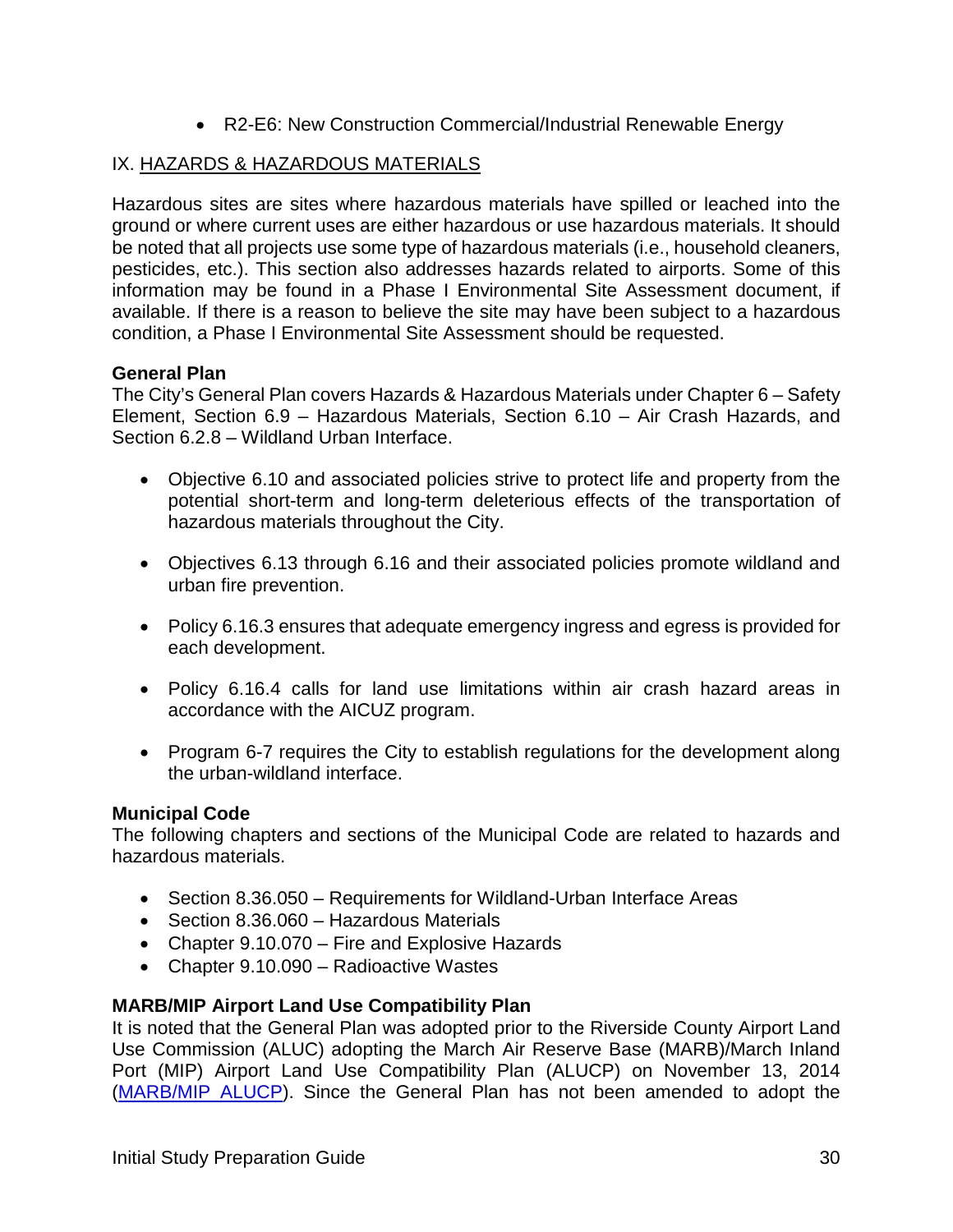• R2-E6: New Construction Commercial/Industrial Renewable Energy

#### IX. HAZARDS & HAZARDOUS MATERIALS

Hazardous sites are sites where hazardous materials have spilled or leached into the ground or where current uses are either hazardous or use hazardous materials. It should be noted that all projects use some type of hazardous materials (i.e., household cleaners, pesticides, etc.). This section also addresses hazards related to airports. Some of this information may be found in a Phase I Environmental Site Assessment document, if available. If there is a reason to believe the site may have been subject to a hazardous condition, a Phase I Environmental Site Assessment should be requested.

#### **General Plan**

The City's General Plan covers Hazards & Hazardous Materials under Chapter 6 – Safety Element, Section 6.9 – Hazardous Materials, Section 6.10 – Air Crash Hazards, and Section 6.2.8 – Wildland Urban Interface.

- Objective 6.10 and associated policies strive to protect life and property from the potential short-term and long-term deleterious effects of the transportation of hazardous materials throughout the City.
- Objectives 6.13 through 6.16 and their associated policies promote wildland and urban fire prevention.
- Policy 6.16.3 ensures that adequate emergency ingress and egress is provided for each development.
- Policy 6.16.4 calls for land use limitations within air crash hazard areas in accordance with the AICUZ program.
- Program 6-7 requires the City to establish regulations for the development along the urban-wildland interface.

#### **Municipal Code**

The following chapters and sections of the Municipal Code are related to hazards and hazardous materials.

- Section 8.36.050 Requirements for Wildland-Urban Interface Areas
- Section 8.36.060 Hazardous Materials
- Chapter 9.10.070 Fire and Explosive Hazards
- Chapter 9.10.090 Radioactive Wastes

#### **MARB/MIP Airport Land Use Compatibility Plan**

It is noted that the General Plan was adopted prior to the Riverside County Airport Land Use Commission (ALUC) adopting the March Air Reserve Base (MARB)/March Inland Port (MIP) Airport Land Use Compatibility Plan (ALUCP) on November 13, 2014 [\(MARB/MIP ALUCP\)](http://www.rcaluc.org/Portals/13/17%20-%20Vol.%201%20March%20Air%20Reserve%20Base%20Final.pdf?ver=2016-08-15-145812-700). Since the General Plan has not been amended to adopt the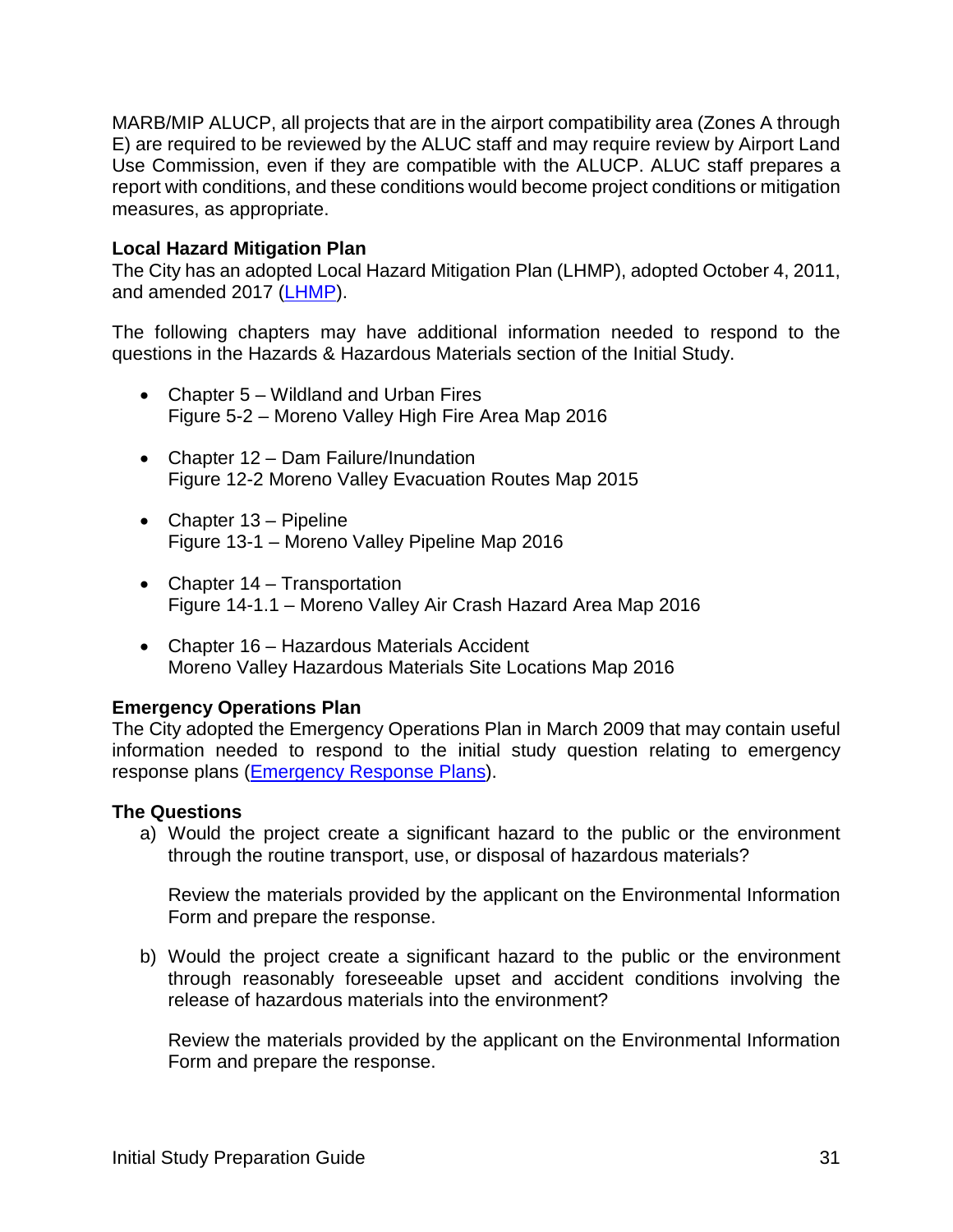MARB/MIP ALUCP, all projects that are in the airport compatibility area (Zones A through E) are required to be reviewed by the ALUC staff and may require review by Airport Land Use Commission, even if they are compatible with the ALUCP. ALUC staff prepares a report with conditions, and these conditions would become project conditions or mitigation measures, as appropriate.

#### **Local Hazard Mitigation Plan**

The City has an adopted Local Hazard Mitigation Plan (LHMP), adopted October 4, 2011, and amended 2017 [\(LHMP\)](http://www.moval.org/city_hall/departments/fire/pdfs/haz-mit-plan.pdf).

The following chapters may have additional information needed to respond to the questions in the Hazards & Hazardous Materials section of the Initial Study.

- Chapter 5 Wildland and Urban Fires Figure 5-2 – Moreno Valley High Fire Area Map 2016
- Chapter 12 Dam Failure/Inundation Figure 12-2 Moreno Valley Evacuation Routes Map 2015
- Chapter 13 Pipeline Figure 13-1 – Moreno Valley Pipeline Map 2016
- Chapter 14 Transportation Figure 14-1.1 – Moreno Valley Air Crash Hazard Area Map 2016
- Chapter 16 Hazardous Materials Accident Moreno Valley Hazardous Materials Site Locations Map 2016

#### **Emergency Operations Plan**

The City adopted the Emergency Operations Plan in March 2009 that may contain useful information needed to respond to the initial study question relating to emergency response plans [\(Emergency Response Plans\)](http://www.moval.org/city_hall/departments/fire/pdfs/mv-eop-0309.pdf).

#### **The Questions**

a) Would the project create a significant hazard to the public or the environment through the routine transport, use, or disposal of hazardous materials?

Review the materials provided by the applicant on the Environmental Information Form and prepare the response.

b) Would the project create a significant hazard to the public or the environment through reasonably foreseeable upset and accident conditions involving the release of hazardous materials into the environment?

Review the materials provided by the applicant on the Environmental Information Form and prepare the response.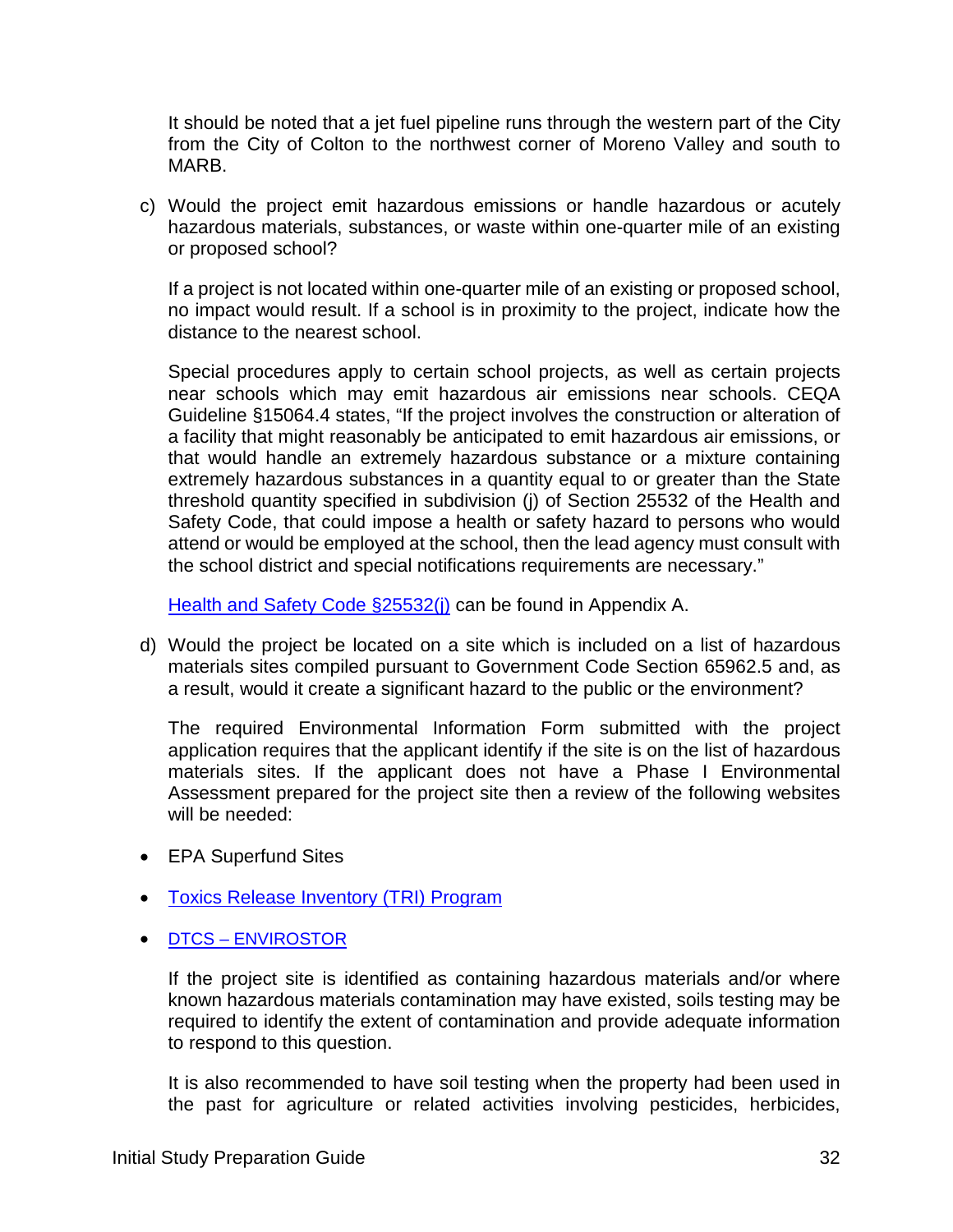It should be noted that a jet fuel pipeline runs through the western part of the City from the City of Colton to the northwest corner of Moreno Valley and south to MARB.

c) Would the project emit hazardous emissions or handle hazardous or acutely hazardous materials, substances, or waste within one-quarter mile of an existing or proposed school?

If a project is not located within one-quarter mile of an existing or proposed school, no impact would result. If a school is in proximity to the project, indicate how the distance to the nearest school.

Special procedures apply to certain school projects, as well as certain projects near schools which may emit hazardous air emissions near schools. CEQA Guideline §15064.4 states, "If the project involves the construction or alteration of a facility that might reasonably be anticipated to emit hazardous air emissions, or that would handle an extremely hazardous substance or a mixture containing extremely hazardous substances in a quantity equal to or greater than the State threshold quantity specified in subdivision (j) of Section 25532 of the Health and Safety Code, that could impose a health or safety hazard to persons who would attend or would be employed at the school, then the lead agency must consult with the school district and special notifications requirements are necessary."

[Health and Safety Code §25532\(j\)](http://leginfo.legislature.ca.gov/faces/codes_displayText.xhtml?lawCode=HSC&division=20.&chapter=6.95.&article=2) can be found in Appendix A.

d) Would the project be located on a site which is included on a list of hazardous materials sites compiled pursuant to Government Code Section 65962.5 and, as a result, would it create a significant hazard to the public or the environment?

The required Environmental Information Form submitted with the project application requires that the applicant identify if the site is on the list of hazardous materials sites. If the applicant does not have a Phase I Environmental Assessment prepared for the project site then a review of the following websites will be needed:

- EPA Superfund Sites
- [Toxics Release Inventory \(TRI\) Program](https://www.epa.gov/toxics-release-inventory-tri-program/learn-about-toxics-release-inventory)
- DTCS [ENVIROSTOR](https://www.envirostor.dtsc.ca.gov/public/)

If the project site is identified as containing hazardous materials and/or where known hazardous materials contamination may have existed, soils testing may be required to identify the extent of contamination and provide adequate information to respond to this question.

It is also recommended to have soil testing when the property had been used in the past for agriculture or related activities involving pesticides, herbicides,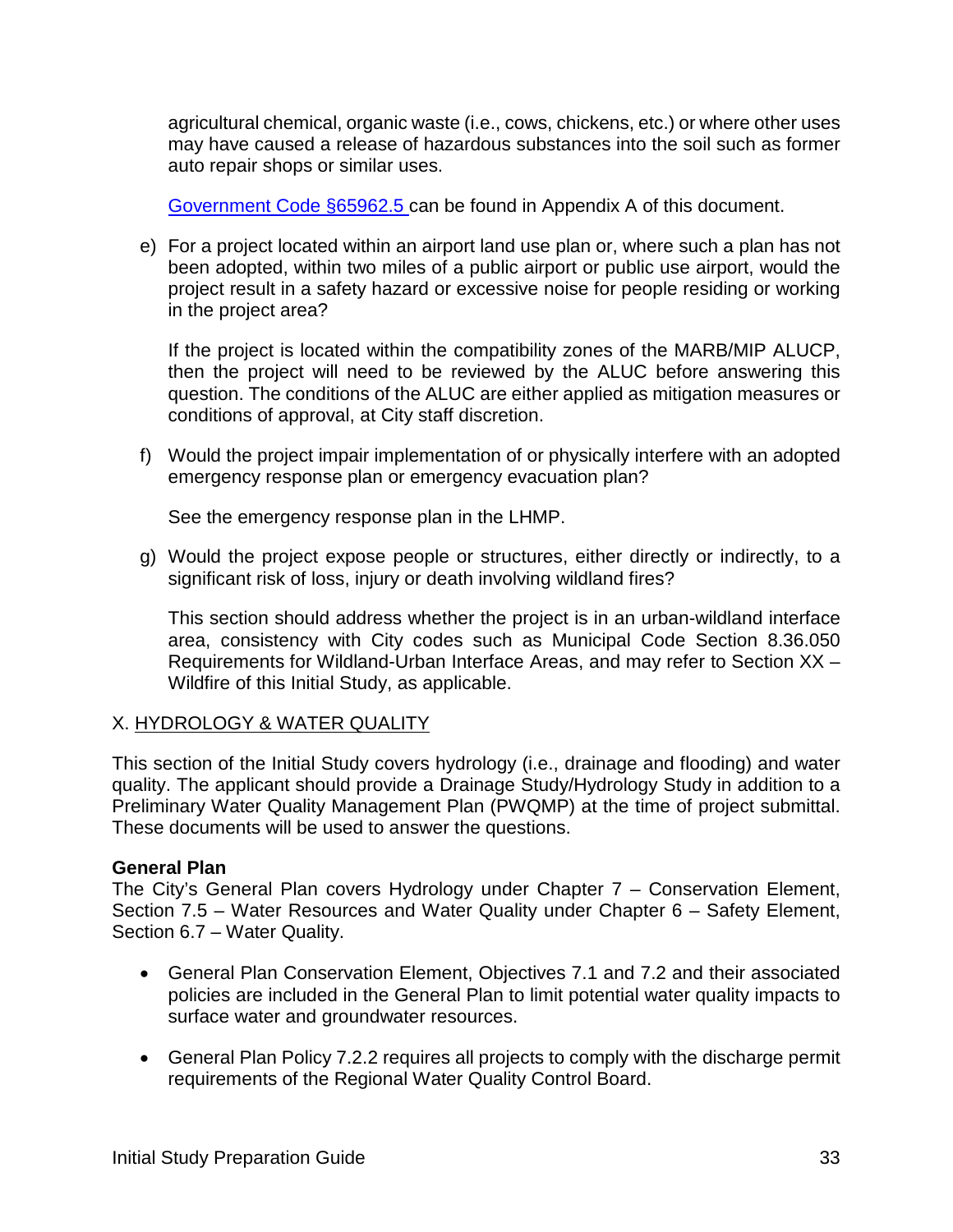agricultural chemical, organic waste (i.e., cows, chickens, etc.) or where other uses may have caused a release of hazardous substances into the soil such as former auto repair shops or similar uses.

[Government Code §65962.5](https://leginfo.legislature.ca.gov/faces/codes_displaySection.xhtml?lawCode=GOV§ionNum=65962.5) can be found in Appendix A of this document.

e) For a project located within an airport land use plan or, where such a plan has not been adopted, within two miles of a public airport or public use airport, would the project result in a safety hazard or excessive noise for people residing or working in the project area?

If the project is located within the compatibility zones of the MARB/MIP ALUCP, then the project will need to be reviewed by the ALUC before answering this question. The conditions of the ALUC are either applied as mitigation measures or conditions of approval, at City staff discretion.

f) Would the project impair implementation of or physically interfere with an adopted emergency response plan or emergency evacuation plan?

See the emergency response plan in the LHMP.

g) Would the project expose people or structures, either directly or indirectly, to a significant risk of loss, injury or death involving wildland fires?

This section should address whether the project is in an urban-wildland interface area, consistency with City codes such as Municipal Code Section 8.36.050 Requirements for Wildland-Urban Interface Areas, and may refer to Section XX – Wildfire of this Initial Study, as applicable.

#### X. HYDROLOGY & WATER QUALITY

This section of the Initial Study covers hydrology (i.e., drainage and flooding) and water quality. The applicant should provide a Drainage Study/Hydrology Study in addition to a Preliminary Water Quality Management Plan (PWQMP) at the time of project submittal. These documents will be used to answer the questions.

#### **General Plan**

The City's General Plan covers Hydrology under Chapter 7 – Conservation Element, Section 7.5 – Water Resources and Water Quality under Chapter 6 – Safety Element, Section 6.7 – Water Quality.

- General Plan Conservation Element, Objectives 7.1 and 7.2 and their associated policies are included in the General Plan to limit potential water quality impacts to surface water and groundwater resources.
- General Plan Policy 7.2.2 requires all projects to comply with the discharge permit requirements of the Regional Water Quality Control Board.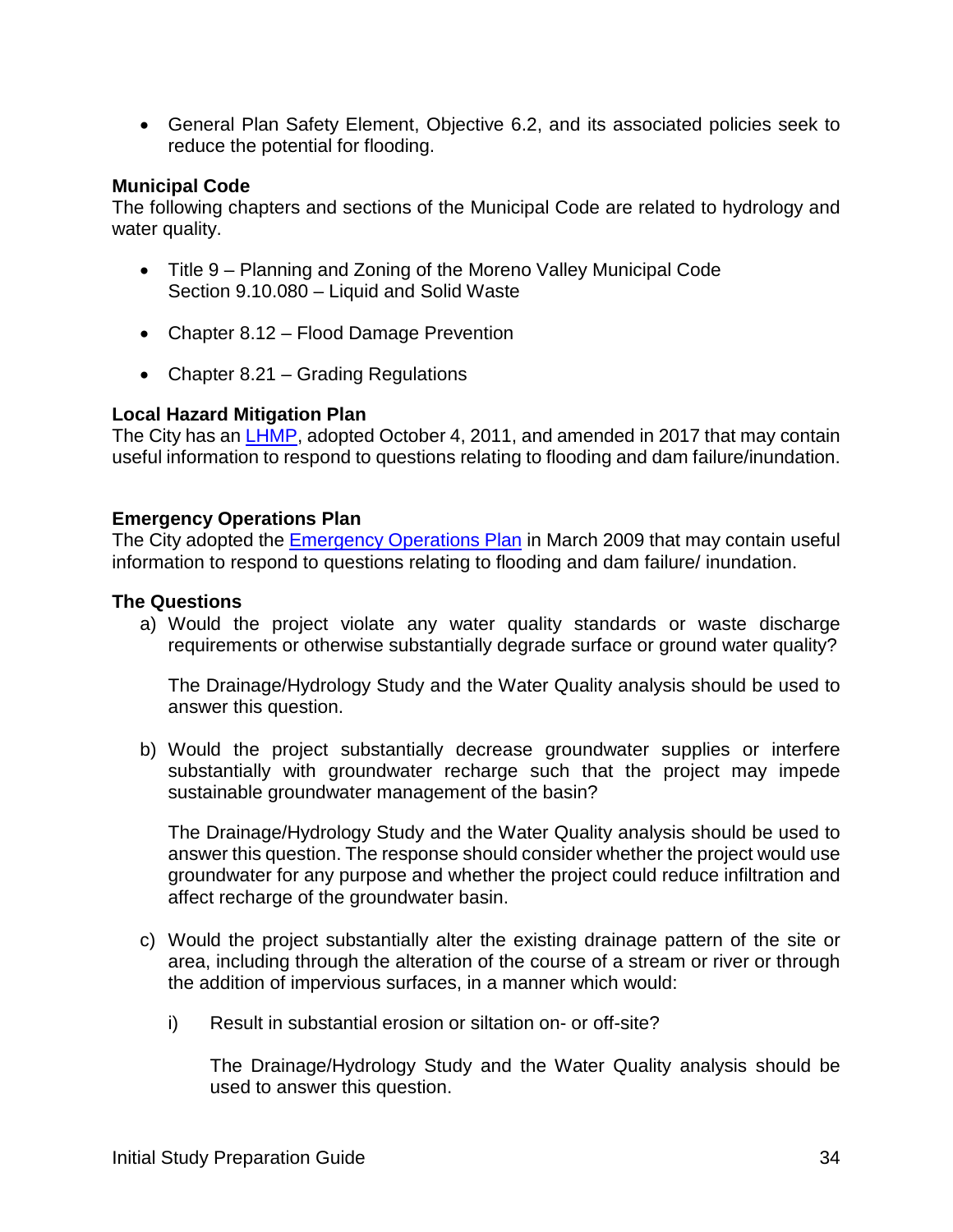• General Plan Safety Element, Objective 6.2, and its associated policies seek to reduce the potential for flooding.

#### **Municipal Code**

The following chapters and sections of the Municipal Code are related to hydrology and water quality.

- Title 9 Planning and Zoning of the Moreno Valley Municipal Code Section 9.10.080 – Liquid and Solid Waste
- Chapter 8.12 Flood Damage Prevention
- Chapter 8.21 Grading Regulations

#### **Local Hazard Mitigation Plan**

The City has an [LHMP,](http://www.moval.org/city_hall/departments/fire/pdfs/haz-mit-plan.pdf) adopted October 4, 2011, and amended in 2017 that may contain useful information to respond to questions relating to flooding and dam failure/inundation.

#### **Emergency Operations Plan**

The City adopted the [Emergency Operations Plan](http://www.moval.org/city_hall/departments/fire/pdfs/mv-eop-0309.pdf) in March 2009 that may contain useful information to respond to questions relating to flooding and dam failure/ inundation.

#### **The Questions**

a) Would the project violate any water quality standards or waste discharge requirements or otherwise substantially degrade surface or ground water quality?

The Drainage/Hydrology Study and the Water Quality analysis should be used to answer this question.

b) Would the project substantially decrease groundwater supplies or interfere substantially with groundwater recharge such that the project may impede sustainable groundwater management of the basin?

The Drainage/Hydrology Study and the Water Quality analysis should be used to answer this question. The response should consider whether the project would use groundwater for any purpose and whether the project could reduce infiltration and affect recharge of the groundwater basin.

- c) Would the project substantially alter the existing drainage pattern of the site or area, including through the alteration of the course of a stream or river or through the addition of impervious surfaces, in a manner which would:
	- i) Result in substantial erosion or siltation on- or off-site?

The Drainage/Hydrology Study and the Water Quality analysis should be used to answer this question.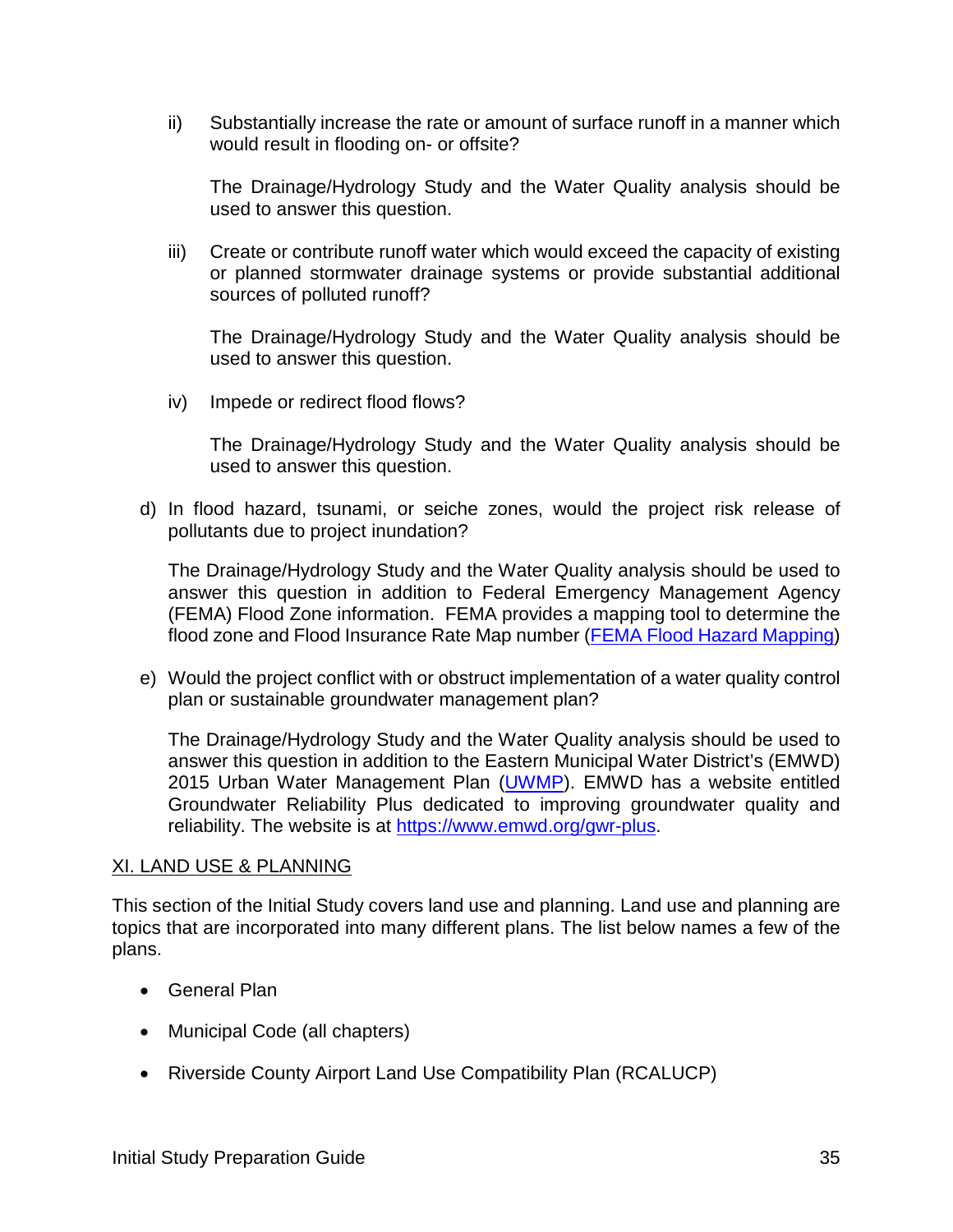ii) Substantially increase the rate or amount of surface runoff in a manner which would result in flooding on- or offsite?

The Drainage/Hydrology Study and the Water Quality analysis should be used to answer this question.

iii) Create or contribute runoff water which would exceed the capacity of existing or planned stormwater drainage systems or provide substantial additional sources of polluted runoff?

The Drainage/Hydrology Study and the Water Quality analysis should be used to answer this question.

iv) Impede or redirect flood flows?

The Drainage/Hydrology Study and the Water Quality analysis should be used to answer this question.

d) In flood hazard, tsunami, or seiche zones, would the project risk release of pollutants due to project inundation?

The Drainage/Hydrology Study and the Water Quality analysis should be used to answer this question in addition to Federal Emergency Management Agency (FEMA) Flood Zone information. FEMA provides a mapping tool to determine the flood zone and Flood Insurance Rate Map number [\(FEMA Flood Hazard Mapping\)](https://www.fema.gov/national-flood-insurance-program-flood-hazard-mapping)

e) Would the project conflict with or obstruct implementation of a water quality control plan or sustainable groundwater management plan?

The Drainage/Hydrology Study and the Water Quality analysis should be used to answer this question in addition to the Eastern Municipal Water District's (EMWD) 2015 Urban Water Management Plan [\(UWMP\)](https://www.emwd.org/post/urban-water-management-plan). EMWD has a website entitled Groundwater Reliability Plus dedicated to improving groundwater quality and reliability. The website is at [https://www.emwd.org/gwr-plus.](https://www.emwd.org/gwr-plus)

#### XI. LAND USE & PLANNING

This section of the Initial Study covers land use and planning. Land use and planning are topics that are incorporated into many different plans. The list below names a few of the plans.

- General Plan
- Municipal Code (all chapters)
- Riverside County Airport Land Use Compatibility Plan (RCALUCP)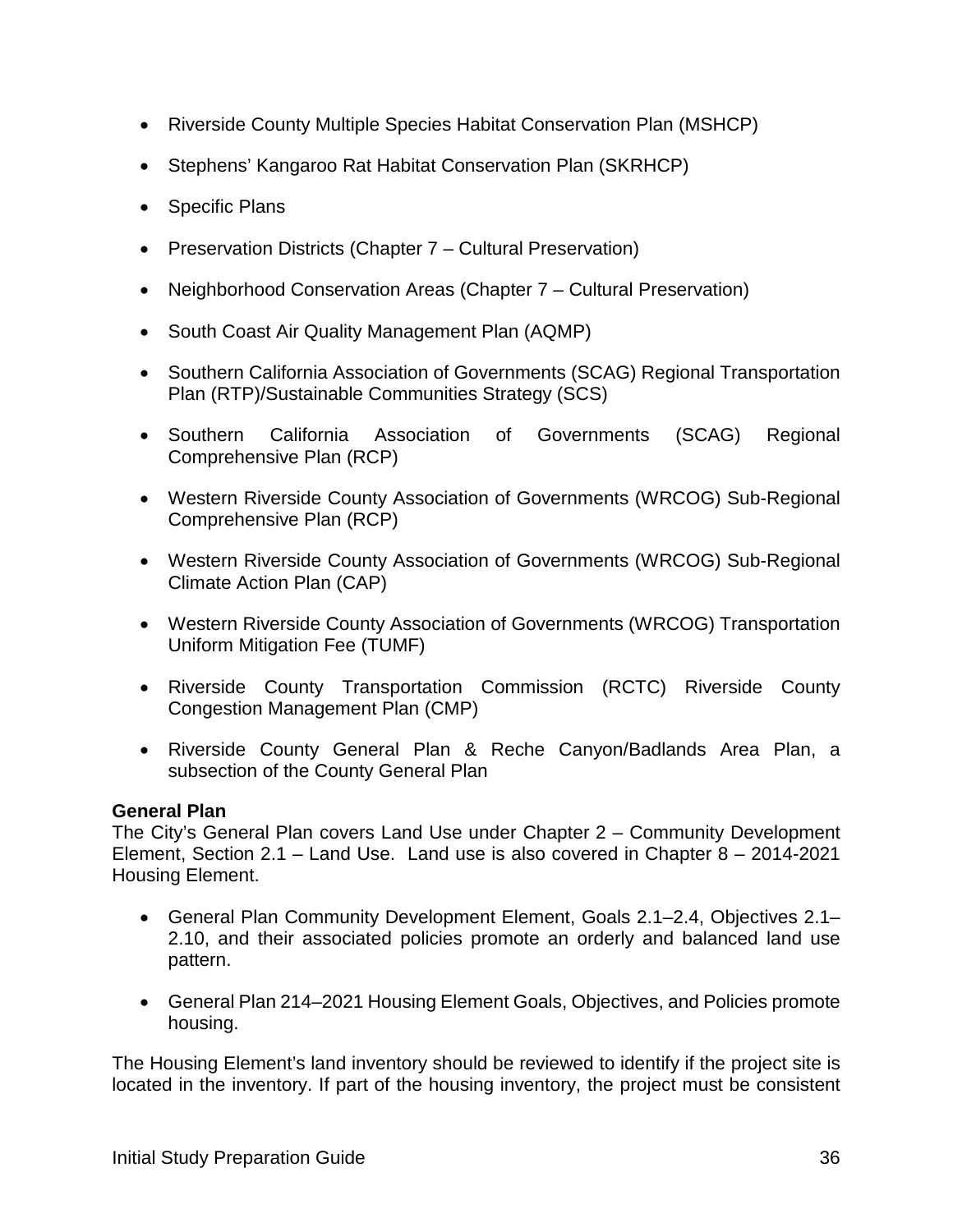- Riverside County Multiple Species Habitat Conservation Plan (MSHCP)
- Stephens' Kangaroo Rat Habitat Conservation Plan (SKRHCP)
- Specific Plans
- Preservation Districts (Chapter 7 Cultural Preservation)
- Neighborhood Conservation Areas (Chapter 7 Cultural Preservation)
- South Coast Air Quality Management Plan (AQMP)
- Southern California Association of Governments (SCAG) Regional Transportation Plan (RTP)/Sustainable Communities Strategy (SCS)
- Southern California Association of Governments (SCAG) Regional Comprehensive Plan (RCP)
- Western Riverside County Association of Governments (WRCOG) Sub-Regional Comprehensive Plan (RCP)
- Western Riverside County Association of Governments (WRCOG) Sub-Regional Climate Action Plan (CAP)
- Western Riverside County Association of Governments (WRCOG) Transportation Uniform Mitigation Fee (TUMF)
- Riverside County Transportation Commission (RCTC) Riverside County Congestion Management Plan (CMP)
- Riverside County General Plan & Reche Canyon/Badlands Area Plan, a subsection of the County General Plan

#### **General Plan**

The City's General Plan covers Land Use under Chapter 2 – Community Development Element, Section 2.1 – Land Use. Land use is also covered in Chapter 8 – 2014-2021 Housing Element.

- General Plan Community Development Element, Goals 2.1–2.4, Objectives 2.1– 2.10, and their associated policies promote an orderly and balanced land use pattern.
- General Plan 214–2021 Housing Element Goals, Objectives, and Policies promote housing.

The Housing Element's land inventory should be reviewed to identify if the project site is located in the inventory. If part of the housing inventory, the project must be consistent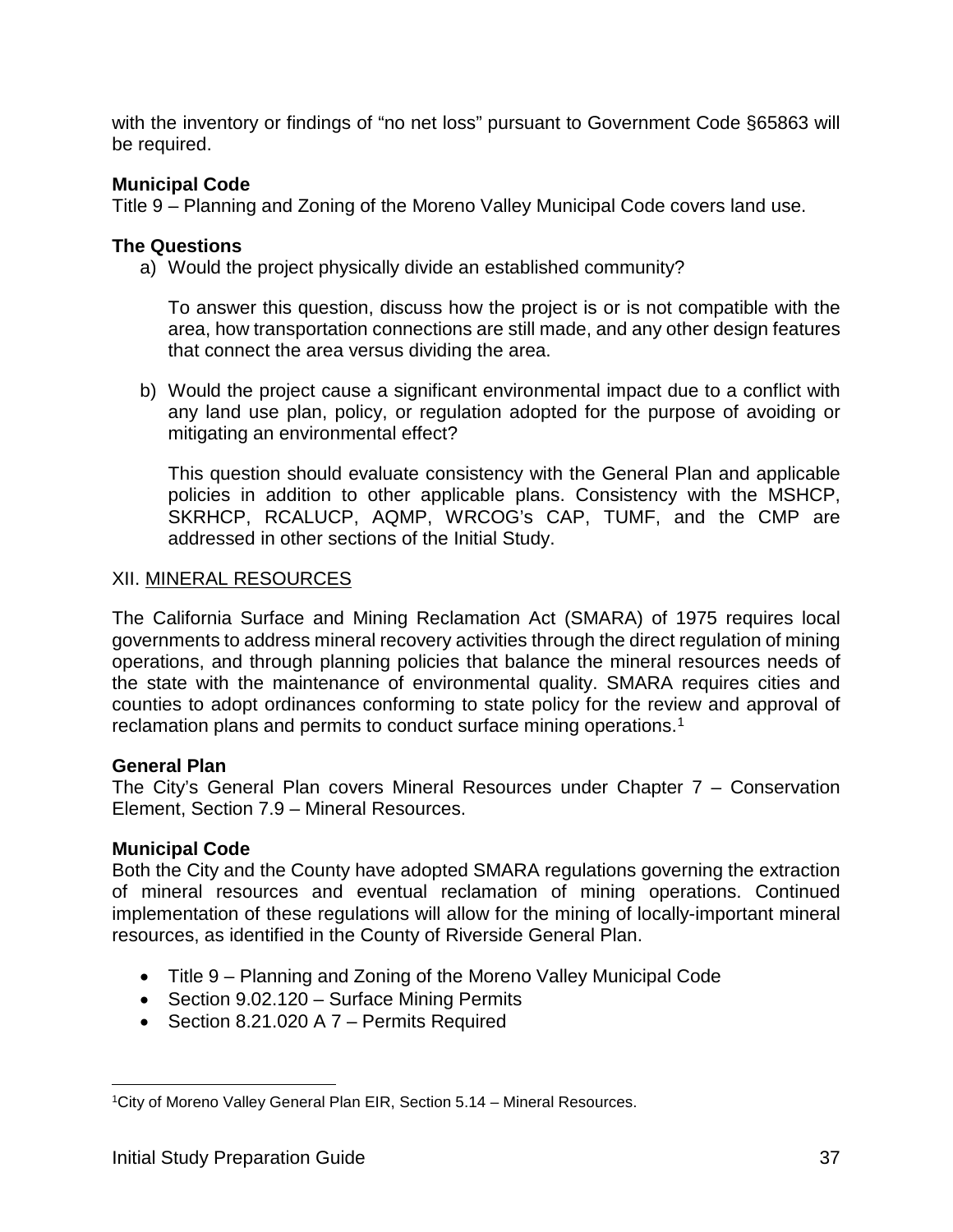with the inventory or findings of "no net loss" pursuant to Government Code §65863 will be required.

#### **Municipal Code**

Title 9 – Planning and Zoning of the Moreno Valley Municipal Code covers land use.

#### **The Questions**

a) Would the project physically divide an established community?

To answer this question, discuss how the project is or is not compatible with the area, how transportation connections are still made, and any other design features that connect the area versus dividing the area.

b) Would the project cause a significant environmental impact due to a conflict with any land use plan, policy, or regulation adopted for the purpose of avoiding or mitigating an environmental effect?

This question should evaluate consistency with the General Plan and applicable policies in addition to other applicable plans. Consistency with the MSHCP, SKRHCP, RCALUCP, AQMP, WRCOG's CAP, TUMF, and the CMP are addressed in other sections of the Initial Study.

#### XII. MINERAL RESOURCES

The California Surface and Mining Reclamation Act (SMARA) of 1975 requires local governments to address mineral recovery activities through the direct regulation of mining operations, and through planning policies that balance the mineral resources needs of the state with the maintenance of environmental quality. SMARA requires cities and counties to adopt ordinances conforming to state policy for the review and approval of reclamation plans and permits to conduct surface mining operations.<sup>[1](#page-38-0)</sup>

#### **General Plan**

The City's General Plan covers Mineral Resources under Chapter 7 – Conservation Element, Section 7.9 – Mineral Resources.

#### **Municipal Code**

Both the City and the County have adopted SMARA regulations governing the extraction of mineral resources and eventual reclamation of mining operations. Continued implementation of these regulations will allow for the mining of locally-important mineral resources, as identified in the County of Riverside General Plan.

- Title 9 Planning and Zoning of the Moreno Valley Municipal Code
- Section 9.02.120 Surface Mining Permits
- Section 8.21.020 A 7 Permits Required

<span id="page-38-0"></span>1City of Moreno Valley General Plan EIR, Section 5.14 – Mineral Resources.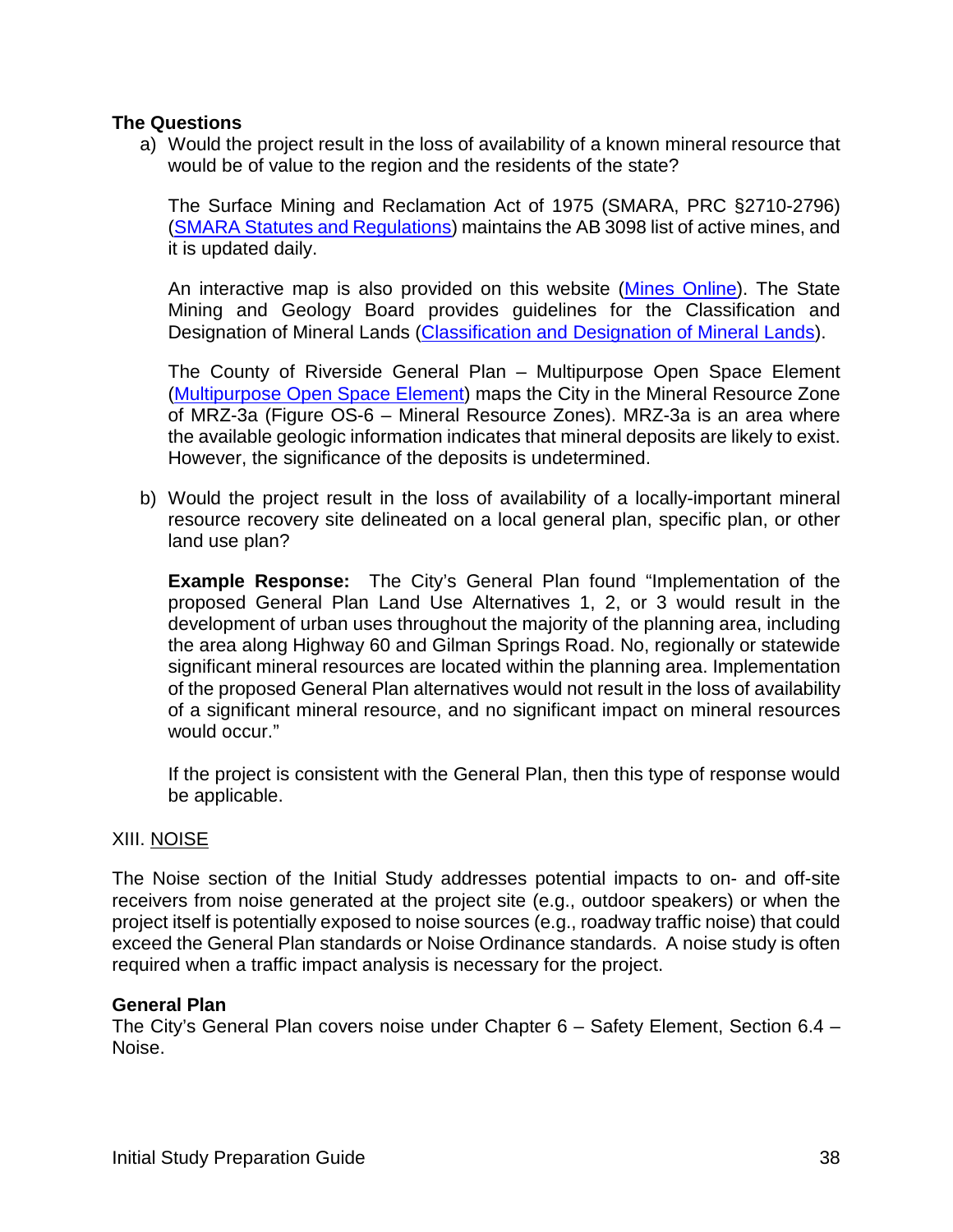#### **The Questions**

a) Would the project result in the loss of availability of a known mineral resource that would be of value to the region and the residents of the state?

The Surface Mining and Reclamation Act of 1975 (SMARA, PRC §2710-2796) [\(SMARA Statutes and Regulations\)](https://www.conservation.ca.gov/dmr/lawsandregulations) maintains the AB 3098 list of active mines, and it is updated daily.

An interactive map is also provided on this website [\(Mines Online\)](http://maps.conservation.ca.gov/mol/index.html). The State Mining and Geology Board provides guidelines for the Classification and Designation of Mineral Lands [\(Classification and Designation of Mineral Lands\)](https://www.conservation.ca.gov/smgb/Guidelines/Documents/ClassDesig.pdf).

The County of Riverside General Plan – Multipurpose Open Space Element [\(Multipurpose Open Space Element\)](https://planning.rctlma.org/Portals/14/genplan/general_Plan_2017/elements/OCT17/Ch05_MOSE_120815.pdf?ver=2017-10-11-102103-833) maps the City in the Mineral Resource Zone of MRZ-3a (Figure OS-6 – Mineral Resource Zones). MRZ-3a is an area where the available geologic information indicates that mineral deposits are likely to exist. However, the significance of the deposits is undetermined.

b) Would the project result in the loss of availability of a locally-important mineral resource recovery site delineated on a local general plan, specific plan, or other land use plan?

**Example Response:** The City's General Plan found "Implementation of the proposed General Plan Land Use Alternatives 1, 2, or 3 would result in the development of urban uses throughout the majority of the planning area, including the area along Highway 60 and Gilman Springs Road. No, regionally or statewide significant mineral resources are located within the planning area. Implementation of the proposed General Plan alternatives would not result in the loss of availability of a significant mineral resource, and no significant impact on mineral resources would occur."

If the project is consistent with the General Plan, then this type of response would be applicable.

#### XIII. NOISE

The Noise section of the Initial Study addresses potential impacts to on- and off-site receivers from noise generated at the project site (e.g., outdoor speakers) or when the project itself is potentially exposed to noise sources (e.g., roadway traffic noise) that could exceed the General Plan standards or Noise Ordinance standards. A noise study is often required when a traffic impact analysis is necessary for the project.

#### **General Plan**

The City's General Plan covers noise under Chapter 6 – Safety Element, Section 6.4 – Noise.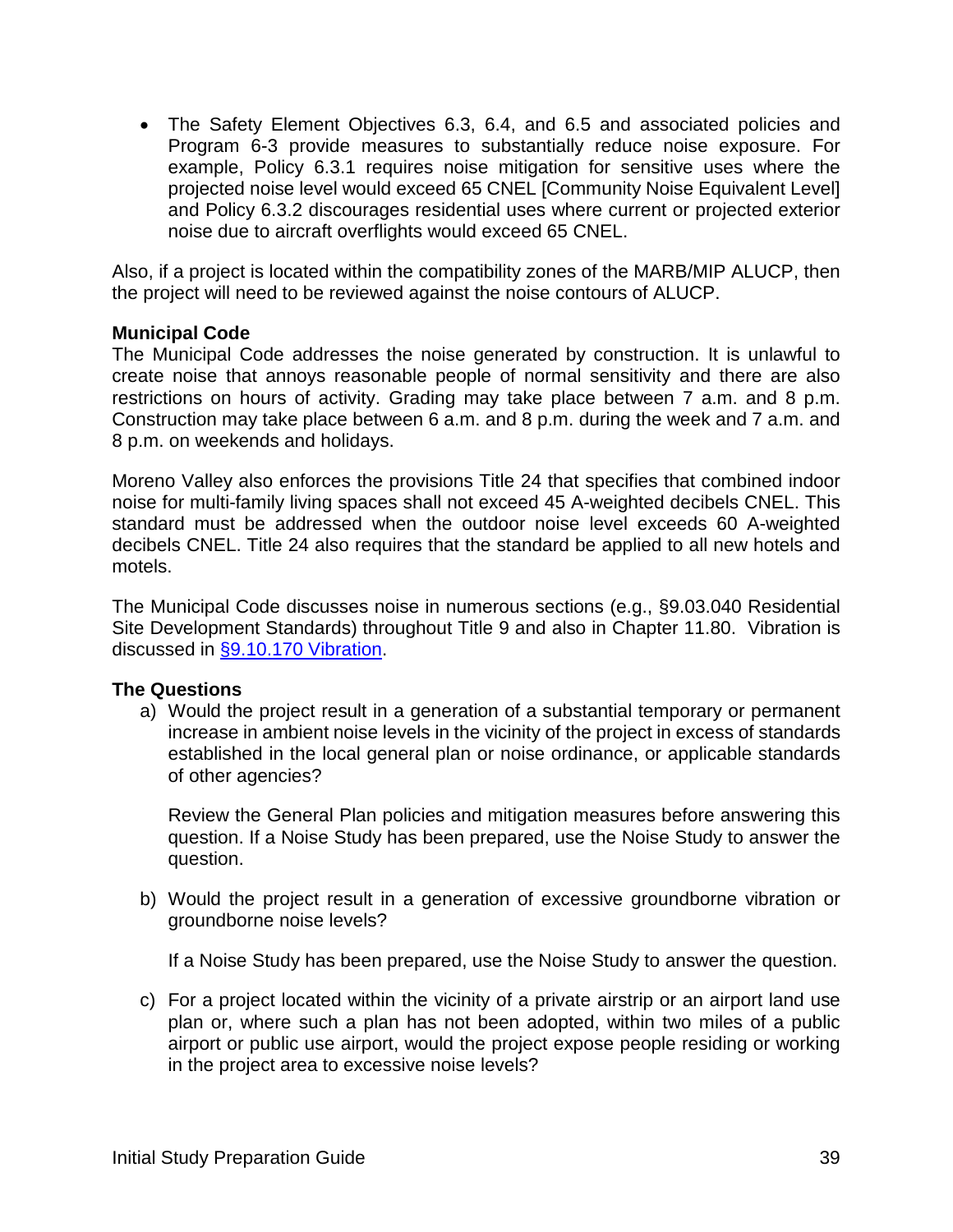• The Safety Element Objectives 6.3, 6.4, and 6.5 and associated policies and Program 6-3 provide measures to substantially reduce noise exposure. For example, Policy 6.3.1 requires noise mitigation for sensitive uses where the projected noise level would exceed 65 CNEL [Community Noise Equivalent Level] and Policy 6.3.2 discourages residential uses where current or projected exterior noise due to aircraft overflights would exceed 65 CNEL.

Also, if a project is located within the compatibility zones of the MARB/MIP ALUCP, then the project will need to be reviewed against the noise contours of ALUCP.

#### **Municipal Code**

The Municipal Code addresses the noise generated by construction. It is unlawful to create noise that annoys reasonable people of normal sensitivity and there are also restrictions on hours of activity. Grading may take place between 7 a.m. and 8 p.m. Construction may take place between 6 a.m. and 8 p.m. during the week and 7 a.m. and 8 p.m. on weekends and holidays.

Moreno Valley also enforces the provisions Title 24 that specifies that combined indoor noise for multi-family living spaces shall not exceed 45 A-weighted decibels CNEL. This standard must be addressed when the outdoor noise level exceeds 60 A-weighted decibels CNEL. Title 24 also requires that the standard be applied to all new hotels and motels.

The Municipal Code discusses noise in numerous sections (e.g., §9.03.040 Residential Site Development Standards) throughout Title 9 and also in Chapter 11.80. Vibration is discussed in [§9.10.170 Vibration.](http://qcode.us/codes/morenovalley/view.php?topic=9-9_10-9_10_170&frames=on)

#### **The Questions**

a) Would the project result in a generation of a substantial temporary or permanent increase in ambient noise levels in the vicinity of the project in excess of standards established in the local general plan or noise ordinance, or applicable standards of other agencies?

Review the General Plan policies and mitigation measures before answering this question. If a Noise Study has been prepared, use the Noise Study to answer the question.

b) Would the project result in a generation of excessive groundborne vibration or groundborne noise levels?

If a Noise Study has been prepared, use the Noise Study to answer the question.

c) For a project located within the vicinity of a private airstrip or an airport land use plan or, where such a plan has not been adopted, within two miles of a public airport or public use airport, would the project expose people residing or working in the project area to excessive noise levels?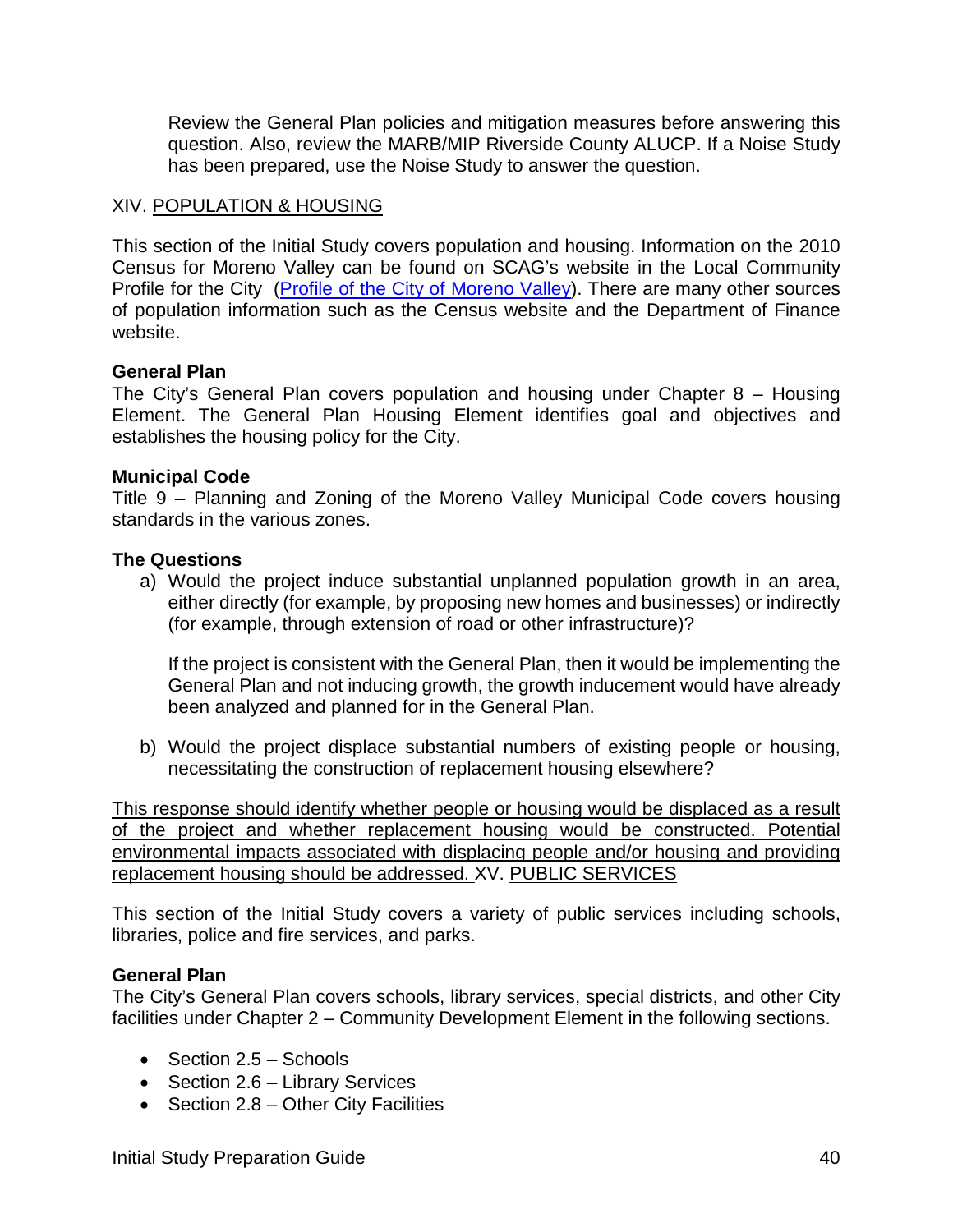Review the General Plan policies and mitigation measures before answering this question. Also, review the MARB/MIP Riverside County ALUCP. If a Noise Study has been prepared, use the Noise Study to answer the question.

#### XIV. POPULATION & HOUSING

This section of the Initial Study covers population and housing. Information on the 2010 Census for Moreno Valley can be found on SCAG's website in the Local Community Profile for the City [\(Profile of the City of Moreno Valley\)](http://www.scag.ca.gov/Documents/MorenoValley.pdf). There are many other sources of population information such as the Census website and the Department of Finance website.

#### **General Plan**

The City's General Plan covers population and housing under Chapter 8 – Housing Element. The General Plan Housing Element identifies goal and objectives and establishes the housing policy for the City.

#### **Municipal Code**

Title 9 – Planning and Zoning of the Moreno Valley Municipal Code covers housing standards in the various zones.

#### **The Questions**

a) Would the project induce substantial unplanned population growth in an area, either directly (for example, by proposing new homes and businesses) or indirectly (for example, through extension of road or other infrastructure)?

If the project is consistent with the General Plan, then it would be implementing the General Plan and not inducing growth, the growth inducement would have already been analyzed and planned for in the General Plan.

b) Would the project displace substantial numbers of existing people or housing, necessitating the construction of replacement housing elsewhere?

This response should identify whether people or housing would be displaced as a result of the project and whether replacement housing would be constructed. Potential environmental impacts associated with displacing people and/or housing and providing replacement housing should be addressed. XV. PUBLIC SERVICES

This section of the Initial Study covers a variety of public services including schools, libraries, police and fire services, and parks.

#### **General Plan**

The City's General Plan covers schools, library services, special districts, and other City facilities under Chapter 2 – Community Development Element in the following sections.

- Section 2.5 Schools
- Section 2.6 Library Services
- Section 2.8 Other City Facilities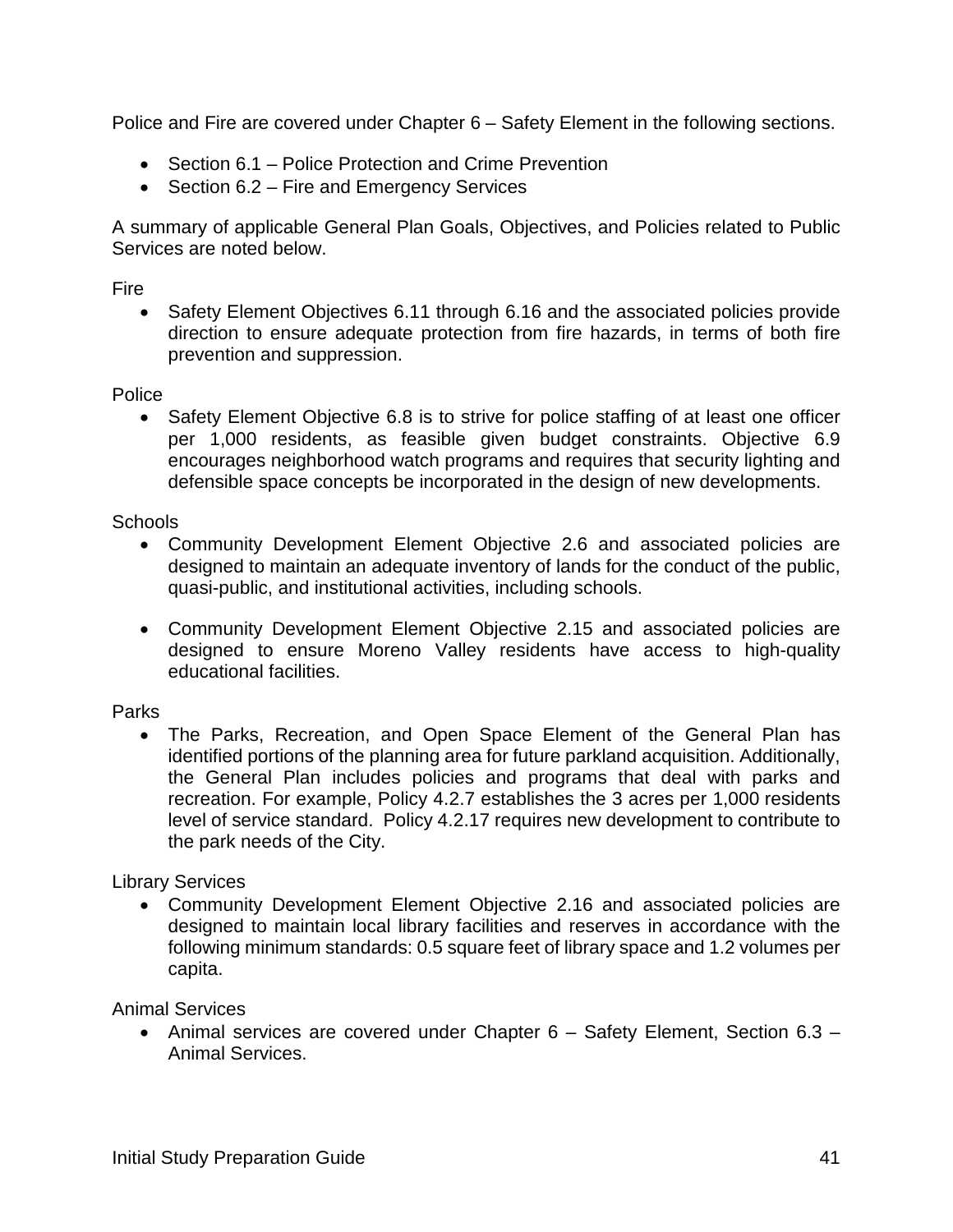Police and Fire are covered under Chapter 6 – Safety Element in the following sections.

- Section 6.1 Police Protection and Crime Prevention
- Section 6.2 Fire and Emergency Services

A summary of applicable General Plan Goals, Objectives, and Policies related to Public Services are noted below.

Fire

• Safety Element Objectives 6.11 through 6.16 and the associated policies provide direction to ensure adequate protection from fire hazards, in terms of both fire prevention and suppression.

Police

• Safety Element Objective 6.8 is to strive for police staffing of at least one officer per 1,000 residents, as feasible given budget constraints. Objective 6.9 encourages neighborhood watch programs and requires that security lighting and defensible space concepts be incorporated in the design of new developments.

Schools

- Community Development Element Objective 2.6 and associated policies are designed to maintain an adequate inventory of lands for the conduct of the public, quasi-public, and institutional activities, including schools.
- Community Development Element Objective 2.15 and associated policies are designed to ensure Moreno Valley residents have access to high-quality educational facilities.

Parks

• The Parks, Recreation, and Open Space Element of the General Plan has identified portions of the planning area for future parkland acquisition. Additionally, the General Plan includes policies and programs that deal with parks and recreation. For example, Policy 4.2.7 establishes the 3 acres per 1,000 residents level of service standard. Policy 4.2.17 requires new development to contribute to the park needs of the City.

Library Services

• Community Development Element Objective 2.16 and associated policies are designed to maintain local library facilities and reserves in accordance with the following minimum standards: 0.5 square feet of library space and 1.2 volumes per capita.

Animal Services

• Animal services are covered under Chapter 6 – Safety Element, Section 6.3 – Animal Services.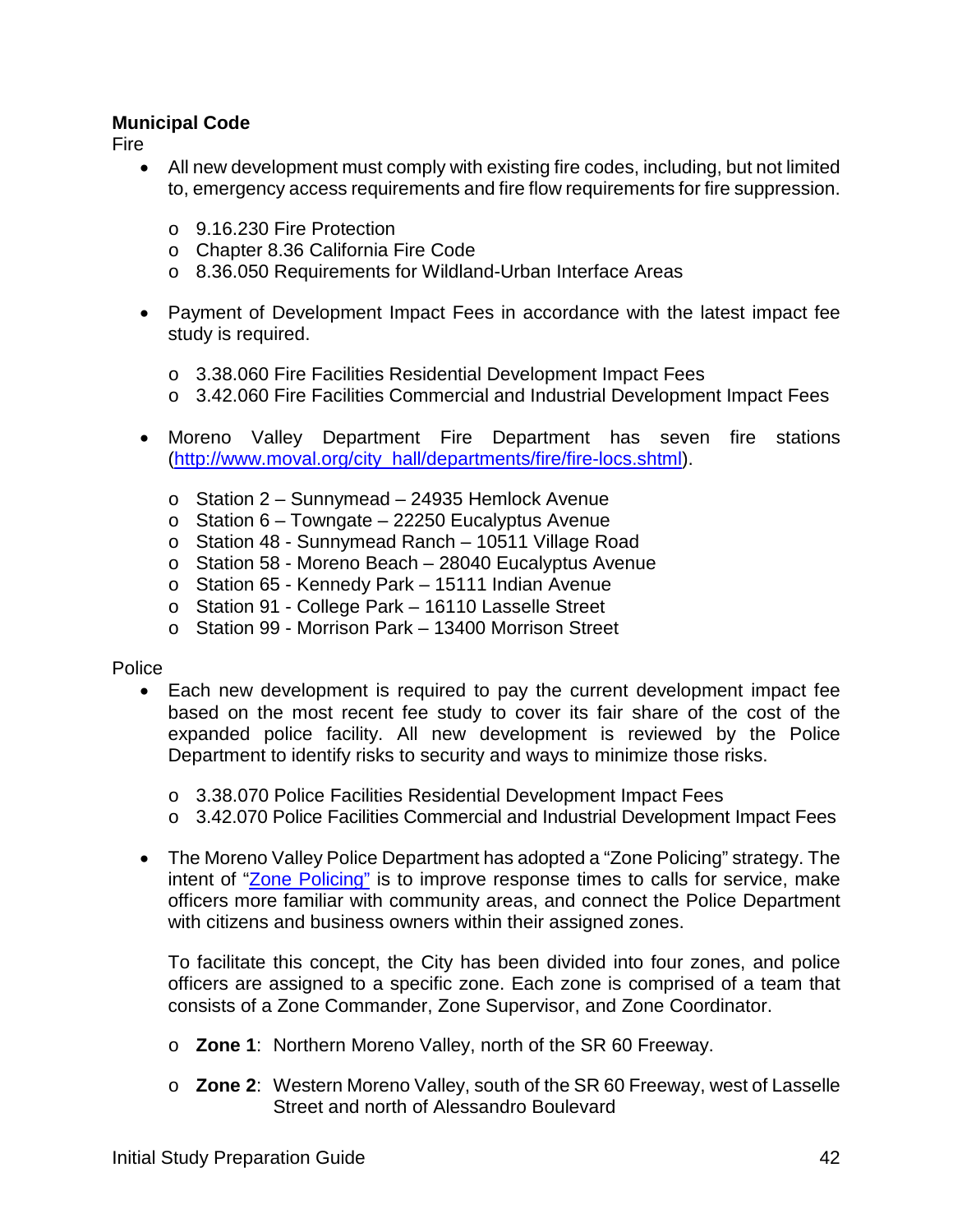#### **Municipal Code**

Fire

- All new development must comply with existing fire codes, including, but not limited to, emergency access requirements and fire flow requirements for fire suppression.
	- o 9.16.230 Fire Protection
	- o Chapter 8.36 California Fire Code
	- o 8.36.050 Requirements for Wildland-Urban Interface Areas
- Payment of Development Impact Fees in accordance with the latest impact fee study is required.
	- o 3.38.060 Fire Facilities Residential Development Impact Fees
	- o 3.42.060 Fire Facilities Commercial and Industrial Development Impact Fees
- Moreno Valley Department Fire Department has seven fire stations [\(http://www.moval.org/city\\_hall/departments/fire/fire-locs.shtml\)](http://www.moval.org/city_hall/departments/fire/fire-locs.shtml).
	- o Station 2 Sunnymead 24935 Hemlock Avenue
	- $\circ$  Station 6 Towngate 22250 Eucalyptus Avenue
	- o Station 48 Sunnymead Ranch 10511 Village Road
	- o Station 58 Moreno Beach 28040 Eucalyptus Avenue
	- o Station 65 Kennedy Park 15111 Indian Avenue
	- o Station 91 College Park 16110 Lasselle Street
	- o Station 99 Morrison Park 13400 Morrison Street

#### Police

- Each new development is required to pay the current development impact fee based on the most recent fee study to cover its fair share of the cost of the expanded police facility. All new development is reviewed by the Police Department to identify risks to security and ways to minimize those risks.
	- o 3.38.070 Police Facilities Residential Development Impact Fees
	- o 3.42.070 Police Facilities Commercial and Industrial Development Impact Fees
- The Moreno Valley Police Department has adopted a "Zone Policing" strategy. The intent of ["Zone Policing"](http://www.moval.org/resident_services/police/index-zone.shtml) is to improve response times to calls for service, make officers more familiar with community areas, and connect the Police Department with citizens and business owners within their assigned zones.

To facilitate this concept, the City has been divided into four zones, and police officers are assigned to a specific zone. Each zone is comprised of a team that consists of a Zone Commander, Zone Supervisor, and Zone Coordinator.

- o **Zone 1**: Northern Moreno Valley, north of the SR 60 Freeway.
- o **Zone 2**: Western Moreno Valley, south of the SR 60 Freeway, west of Lasselle Street and north of Alessandro Boulevard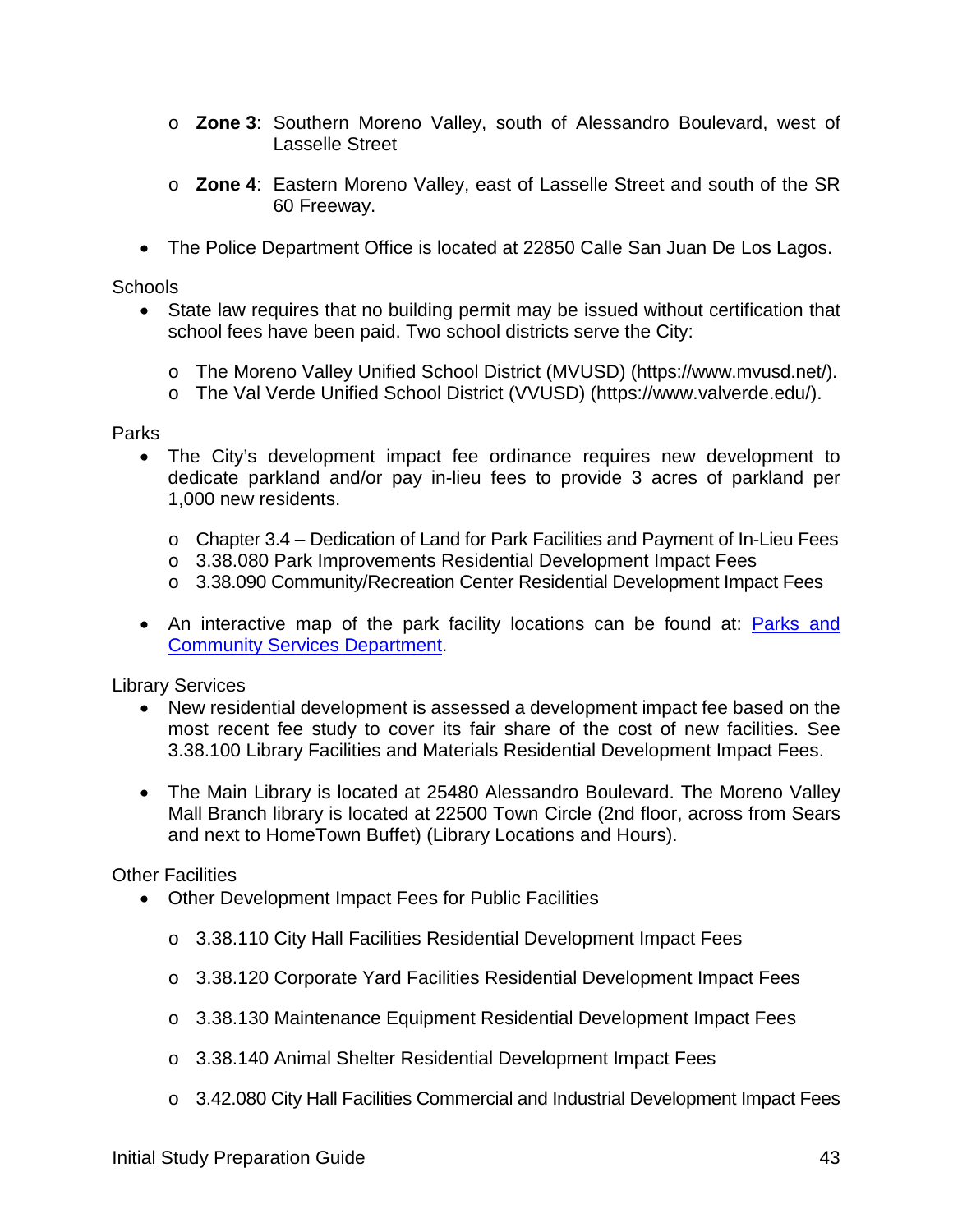- o **Zone 3**: Southern Moreno Valley, south of Alessandro Boulevard, west of Lasselle Street
- o **Zone 4**: Eastern Moreno Valley, east of Lasselle Street and south of the SR 60 Freeway.
- The Police Department Office is located at 22850 Calle San Juan De Los Lagos.

#### Schools

- State law requires that no building permit may be issued without certification that school fees have been paid. Two school districts serve the City:
	- o The Moreno Valley Unified School District (MVUSD) [\(https://www.mvusd.net/\)](https://www.mvusd.net/).
	- o The Val Verde Unified School District (VVUSD) [\(https://www.valverde.edu/\)](https://www.valverde.edu/).

Parks

- The City's development impact fee ordinance requires new development to dedicate parkland and/or pay in-lieu fees to provide 3 acres of parkland per 1,000 new residents.
	- o Chapter 3.4 Dedication of Land for Park Facilities and Payment of In-Lieu Fees
	- o 3.38.080 Park Improvements Residential Development Impact Fees
	- o 3.38.090 Community/Recreation Center Residential Development Impact Fees
- An interactive map of the park facility locations can be found at: **Parks and** [Community Services Department.](http://moval.maps.arcgis.com/apps/Shortlist/index.html?appid=da913fd72d024db09f9c37423371572b)

Library Services

- New residential development is assessed a development impact fee based on the most recent fee study to cover its fair share of the cost of new facilities. See 3.38.100 Library Facilities and Materials Residential Development Impact Fees.
- The Main Library is located at 25480 Alessandro Boulevard. The Moreno Valley Mall Branch library is located at 22500 Town Circle (2nd floor, across from Sears and next to HomeTown Buffet) [\(Library Locations and Hours\)](http://www.moval.org/mv-library/index.html).

Other Facilities

- Other Development Impact Fees for Public Facilities
	- o 3.38.110 City Hall Facilities Residential Development Impact Fees
	- o 3.38.120 Corporate Yard Facilities Residential Development Impact Fees
	- o 3.38.130 Maintenance Equipment Residential Development Impact Fees
	- o 3.38.140 Animal Shelter Residential Development Impact Fees
	- o 3.42.080 City Hall Facilities Commercial and Industrial Development Impact Fees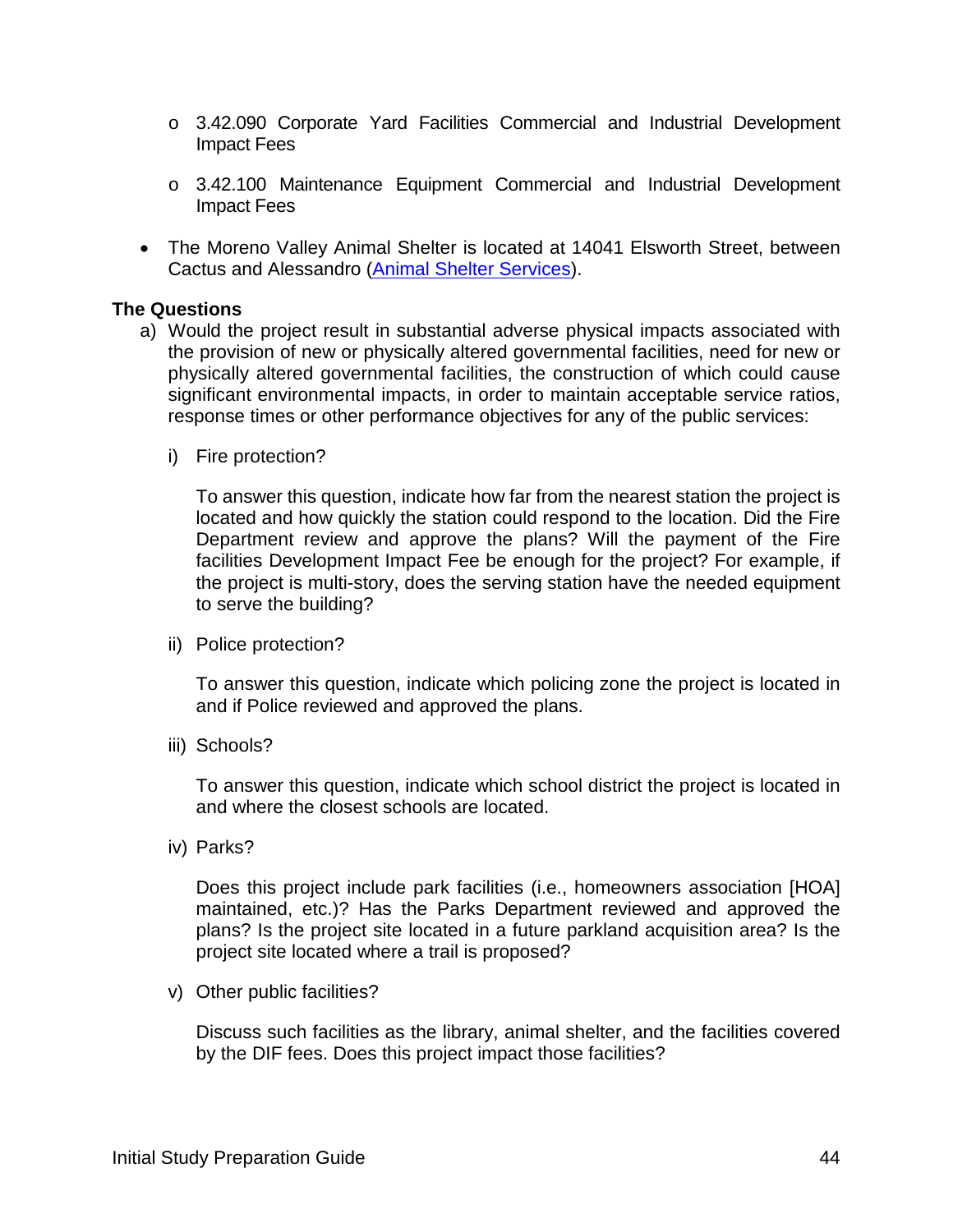- o 3.42.090 Corporate Yard Facilities Commercial and Industrial Development Impact Fees
- o 3.42.100 Maintenance Equipment Commercial and Industrial Development Impact Fees
- The Moreno Valley Animal Shelter is located at 14041 Elsworth Street, between Cactus and Alessandro [\(Animal Shelter Services\)](http://www.moval.org/resident_services/animal/index-animal.html).

#### **The Questions**

- a) Would the project result in substantial adverse physical impacts associated with the provision of new or physically altered governmental facilities, need for new or physically altered governmental facilities, the construction of which could cause significant environmental impacts, in order to maintain acceptable service ratios, response times or other performance objectives for any of the public services:
	- i) Fire protection?

To answer this question, indicate how far from the nearest station the project is located and how quickly the station could respond to the location. Did the Fire Department review and approve the plans? Will the payment of the Fire facilities Development Impact Fee be enough for the project? For example, if the project is multi-story, does the serving station have the needed equipment to serve the building?

ii) Police protection?

To answer this question, indicate which policing zone the project is located in and if Police reviewed and approved the plans.

iii) Schools?

To answer this question, indicate which school district the project is located in and where the closest schools are located.

iv) Parks?

Does this project include park facilities (i.e., homeowners association [HOA] maintained, etc.)? Has the Parks Department reviewed and approved the plans? Is the project site located in a future parkland acquisition area? Is the project site located where a trail is proposed?

v) Other public facilities?

Discuss such facilities as the library, animal shelter, and the facilities covered by the DIF fees. Does this project impact those facilities?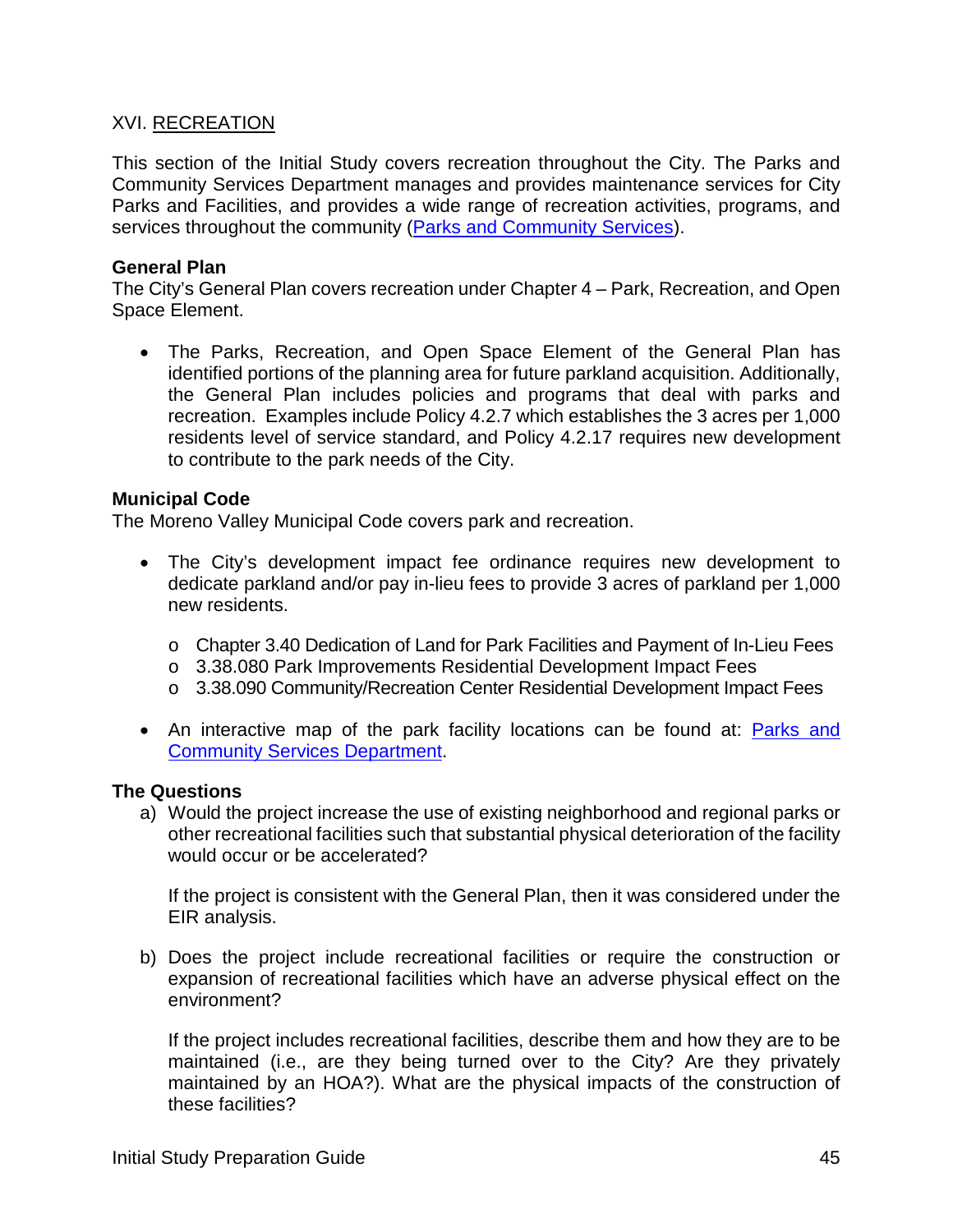#### XVI. RECREATION

This section of the Initial Study covers recreation throughout the City. The Parks and Community Services Department manages and provides maintenance services for City Parks and Facilities, and provides a wide range of recreation activities, programs, and services throughout the community [\(Parks and Community Services\)](http://www.moval.org/city_hall/departments/pcs/index-parks.shtml).

#### **General Plan**

The City's General Plan covers recreation under Chapter 4 – Park, Recreation, and Open Space Element.

• The Parks, Recreation, and Open Space Element of the General Plan has identified portions of the planning area for future parkland acquisition. Additionally, the General Plan includes policies and programs that deal with parks and recreation. Examples include Policy 4.2.7 which establishes the 3 acres per 1,000 residents level of service standard, and Policy 4.2.17 requires new development to contribute to the park needs of the City.

#### **Municipal Code**

The Moreno Valley Municipal Code covers park and recreation.

- The City's development impact fee ordinance requires new development to dedicate parkland and/or pay in-lieu fees to provide 3 acres of parkland per 1,000 new residents.
	- o Chapter 3.40 Dedication of Land for Park Facilities and Payment of In-Lieu Fees
	- o 3.38.080 Park Improvements Residential Development Impact Fees
	- o 3.38.090 Community/Recreation Center Residential Development Impact Fees
- An interactive map of the park facility locations can be found at: Parks and [Community Services Department.](http://moval.maps.arcgis.com/apps/Shortlist/index.html?appid=da913fd72d024db09f9c37423371572b)

#### **The Questions**

a) Would the project increase the use of existing neighborhood and regional parks or other recreational facilities such that substantial physical deterioration of the facility would occur or be accelerated?

If the project is consistent with the General Plan, then it was considered under the EIR analysis.

b) Does the project include recreational facilities or require the construction or expansion of recreational facilities which have an adverse physical effect on the environment?

If the project includes recreational facilities, describe them and how they are to be maintained (i.e., are they being turned over to the City? Are they privately maintained by an HOA?). What are the physical impacts of the construction of these facilities?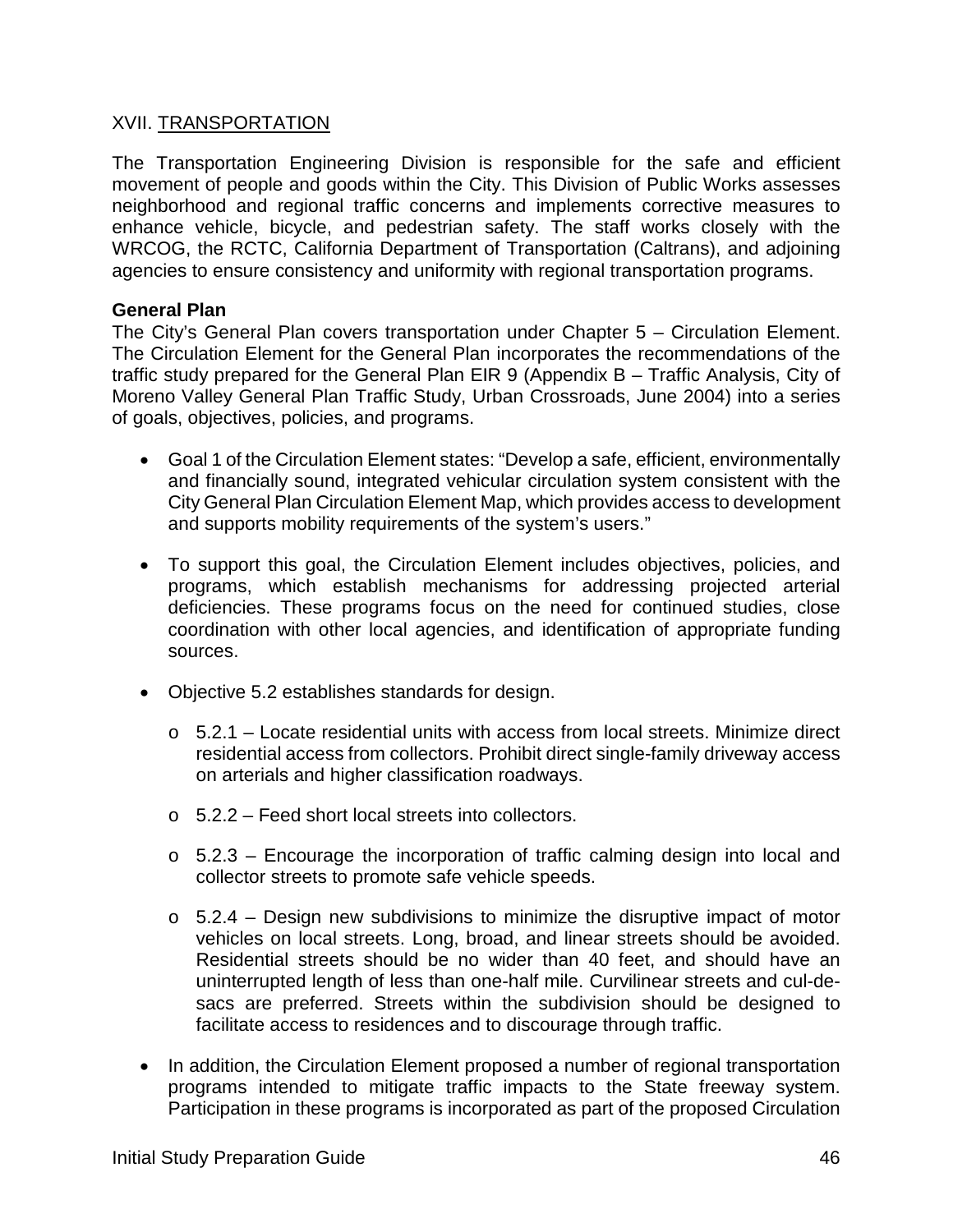#### XVII. TRANSPORTATION

The Transportation Engineering Division is responsible for the safe and efficient movement of people and goods within the City. This Division of Public Works assesses neighborhood and regional traffic concerns and implements corrective measures to enhance vehicle, bicycle, and pedestrian safety. The staff works closely with the WRCOG, the RCTC, California Department of Transportation (Caltrans), and adjoining agencies to ensure consistency and uniformity with regional transportation programs.

#### **General Plan**

The City's General Plan covers transportation under Chapter 5 – Circulation Element. The Circulation Element for the General Plan incorporates the recommendations of the traffic study prepared for the General Plan EIR 9 (Appendix B – Traffic Analysis, City of Moreno Valley General Plan Traffic Study, Urban Crossroads, June 2004) into a series of goals, objectives, policies, and programs.

- Goal 1 of the Circulation Element states: "Develop a safe, efficient, environmentally and financially sound, integrated vehicular circulation system consistent with the City General Plan Circulation Element Map, which provides access to development and supports mobility requirements of the system's users."
- To support this goal, the Circulation Element includes objectives, policies, and programs, which establish mechanisms for addressing projected arterial deficiencies. These programs focus on the need for continued studies, close coordination with other local agencies, and identification of appropriate funding sources.
- Objective 5.2 establishes standards for design.
	- $\circ$  5.2.1 Locate residential units with access from local streets. Minimize direct residential access from collectors. Prohibit direct single-family driveway access on arterials and higher classification roadways.
	- o 5.2.2 Feed short local streets into collectors.
	- o 5.2.3 Encourage the incorporation of traffic calming design into local and collector streets to promote safe vehicle speeds.
	- $\circ$  5.2.4 Design new subdivisions to minimize the disruptive impact of motor vehicles on local streets. Long, broad, and linear streets should be avoided. Residential streets should be no wider than 40 feet, and should have an uninterrupted length of less than one-half mile. Curvilinear streets and cul-desacs are preferred. Streets within the subdivision should be designed to facilitate access to residences and to discourage through traffic.
- In addition, the Circulation Element proposed a number of regional transportation programs intended to mitigate traffic impacts to the State freeway system. Participation in these programs is incorporated as part of the proposed Circulation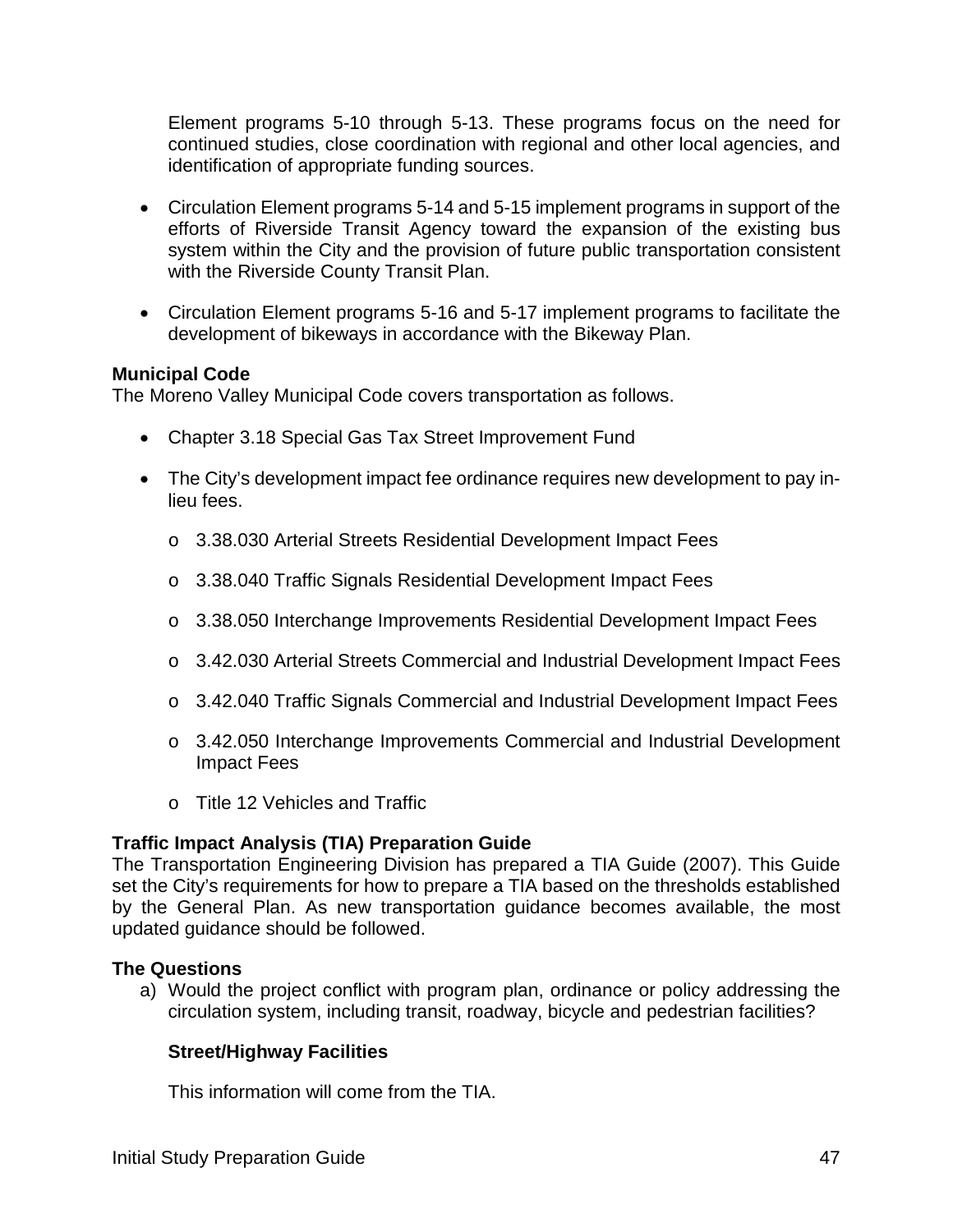Element programs 5-10 through 5-13. These programs focus on the need for continued studies, close coordination with regional and other local agencies, and identification of appropriate funding sources.

- Circulation Element programs 5-14 and 5-15 implement programs in support of the efforts of Riverside Transit Agency toward the expansion of the existing bus system within the City and the provision of future public transportation consistent with the Riverside County Transit Plan.
- Circulation Element programs 5-16 and 5-17 implement programs to facilitate the development of bikeways in accordance with the Bikeway Plan.

#### **Municipal Code**

The Moreno Valley Municipal Code covers transportation as follows.

- Chapter 3.18 Special Gas Tax Street Improvement Fund
- The City's development impact fee ordinance requires new development to pay inlieu fees.
	- o 3.38.030 Arterial Streets Residential Development Impact Fees
	- o 3.38.040 Traffic Signals Residential Development Impact Fees
	- o 3.38.050 Interchange Improvements Residential Development Impact Fees
	- o 3.42.030 Arterial Streets Commercial and Industrial Development Impact Fees
	- o 3.42.040 Traffic Signals Commercial and Industrial Development Impact Fees
	- o 3.42.050 Interchange Improvements Commercial and Industrial Development Impact Fees
	- o Title 12 Vehicles and Traffic

#### **Traffic Impact Analysis (TIA) Preparation Guide**

The Transportation Engineering Division has prepared a TIA Guide (2007). This Guide set the City's requirements for how to prepare a TIA based on the thresholds established by the General Plan. As new transportation guidance becomes available, the most updated guidance should be followed.

#### **The Questions**

a) Would the project conflict with program plan, ordinance or policy addressing the circulation system, including transit, roadway, bicycle and pedestrian facilities?

#### **Street/Highway Facilities**

This information will come from the TIA.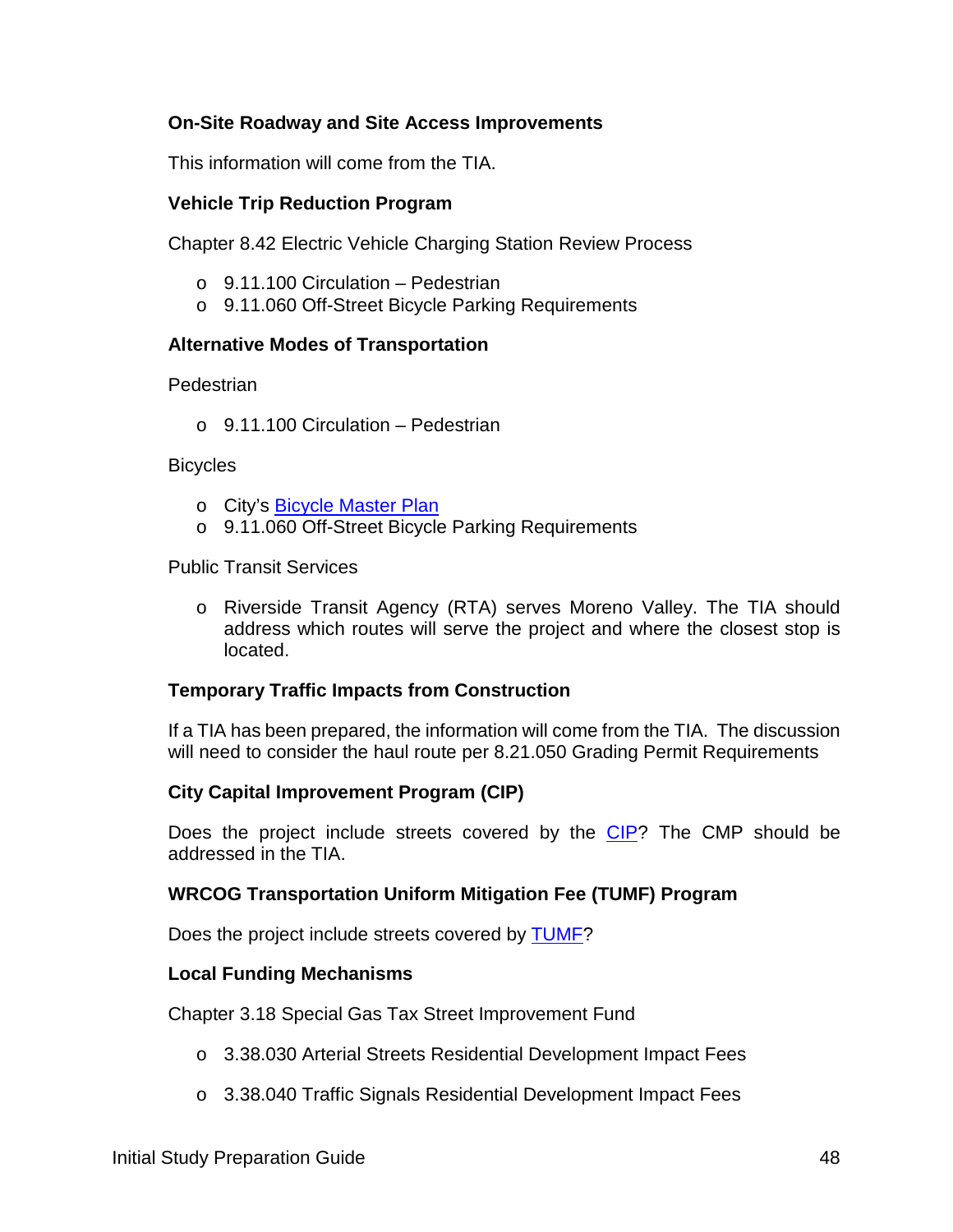#### **On-Site Roadway and Site Access Improvements**

This information will come from the TIA.

#### **Vehicle Trip Reduction Program**

Chapter 8.42 Electric Vehicle Charging Station Review Process

- $\circ$  9.11.100 Circulation Pedestrian
- o 9.11.060 Off-Street Bicycle Parking Requirements

#### **Alternative Modes of Transportation**

**Pedestrian** 

 $\circ$  9.11.100 Circulation – Pedestrian

**Bicycles** 

- o City's [Bicycle Master Plan](http://www.moval.org/city_hall/departments/pub-works/transportation/pdfs/BicycleMasterPlan.pdf)
- o 9.11.060 Off-Street Bicycle Parking Requirements

Public Transit Services

o Riverside Transit Agency (RTA) serves Moreno Valley. The TIA should address which routes will serve the project and where the closest stop is located.

#### **Temporary Traffic Impacts from Construction**

If a TIA has been prepared, the information will come from the TIA. The discussion will need to consider the haul route per 8.21.050 Grading Permit Requirements

#### **City Capital Improvement Program (CIP)**

Does the project include streets covered by the [CIP?](http://www.moreno-valley.ca.us/city_hall/departments/pub-works/capital-proj.shtml) The CMP should be addressed in the TIA.

#### **WRCOG Transportation Uniform Mitigation Fee (TUMF) Program**

Does the project include streets covered by [TUMF?](http://www.wrcog.cog.ca.us/174/TUMF)

#### **Local Funding Mechanisms**

Chapter 3.18 Special Gas Tax Street Improvement Fund

- o 3.38.030 Arterial Streets Residential Development Impact Fees
- o 3.38.040 Traffic Signals Residential Development Impact Fees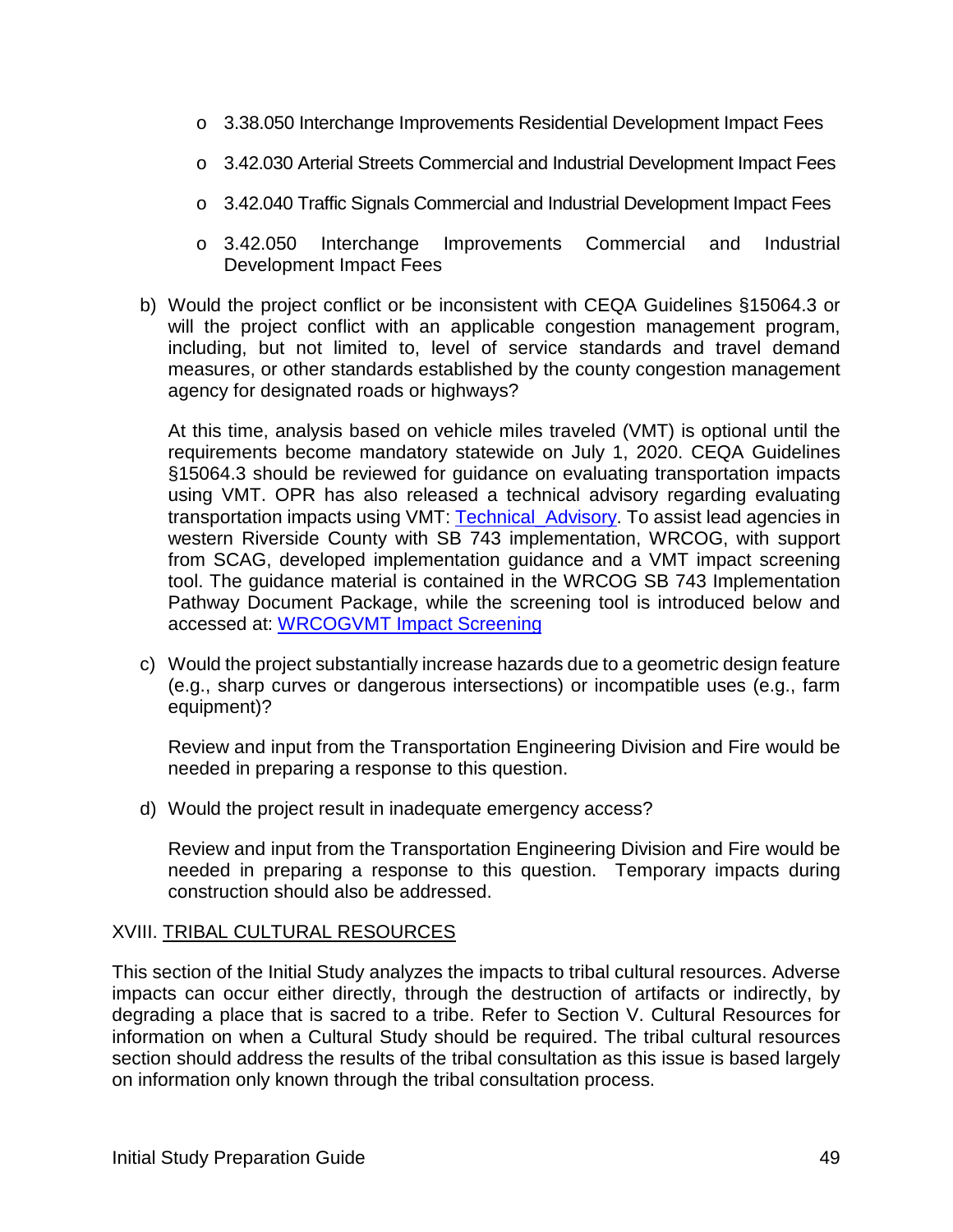- o 3.38.050 Interchange Improvements Residential Development Impact Fees
- o 3.42.030 Arterial Streets Commercial and Industrial Development Impact Fees
- o 3.42.040 Traffic Signals Commercial and Industrial Development Impact Fees
- o 3.42.050 Interchange Improvements Commercial and Industrial Development Impact Fees
- b) Would the project conflict or be inconsistent with CEQA Guidelines §15064.3 or will the project conflict with an applicable congestion management program, including, but not limited to, level of service standards and travel demand measures, or other standards established by the county congestion management agency for designated roads or highways?

At this time, analysis based on vehicle miles traveled (VMT) is optional until the requirements become mandatory statewide on July 1, 2020. CEQA Guidelines §15064.3 should be reviewed for guidance on evaluating transportation impacts using VMT. OPR has also released a technical advisory regarding evaluating transportation impacts using VMT: [Technical\\_Advisory.](http://opr.ca.gov/docs/20190122-743_Technical_Advisory.pdf) To assist lead agencies in western Riverside County with SB 743 implementation, WRCOG, with support from SCAG, developed implementation guidance and a VMT impact screening tool. The guidance material is contained in the WRCOG SB 743 Implementation Pathway Document Package, while the screening tool is introduced below and accessed at: [WRCOGVMT Impact Screening](http://gis.fehrandpeers.com/WRCOGVMT/)

c) Would the project substantially increase hazards due to a geometric design feature (e.g., sharp curves or dangerous intersections) or incompatible uses (e.g., farm equipment)?

Review and input from the Transportation Engineering Division and Fire would be needed in preparing a response to this question.

d) Would the project result in inadequate emergency access?

Review and input from the Transportation Engineering Division and Fire would be needed in preparing a response to this question. Temporary impacts during construction should also be addressed.

#### XVIII. TRIBAL CULTURAL RESOURCES

This section of the Initial Study analyzes the impacts to tribal cultural resources. Adverse impacts can occur either directly, through the destruction of artifacts or indirectly, by degrading a place that is sacred to a tribe. Refer to Section V. Cultural Resources for information on when a Cultural Study should be required. The tribal cultural resources section should address the results of the tribal consultation as this issue is based largely on information only known through the tribal consultation process.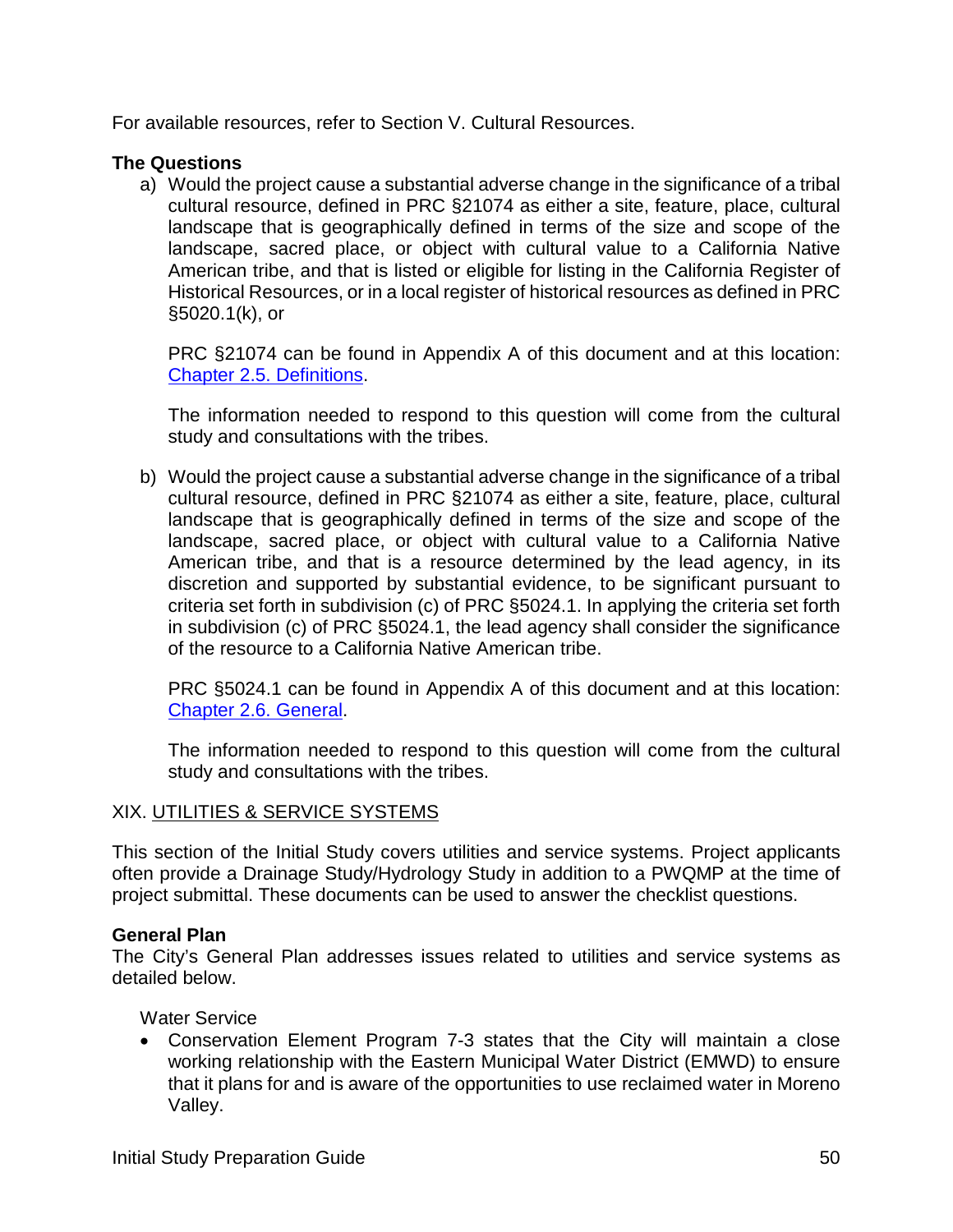For available resources, refer to Section V. Cultural Resources.

#### **The Questions**

a) Would the project cause a substantial adverse change in the significance of a tribal cultural resource, defined in PRC §21074 as either a site, feature, place, cultural landscape that is geographically defined in terms of the size and scope of the landscape, sacred place, or object with cultural value to a California Native American tribe, and that is listed or eligible for listing in the California Register of Historical Resources, or in a local register of historical resources as defined in PRC §5020.1(k), or

PRC §21074 can be found in Appendix A of this document and at this location: [Chapter 2.5. Definitions.](https://leginfo.legislature.ca.gov/faces/codes_displaySection.xhtml?lawCode=PRC§ionNum=21074)

The information needed to respond to this question will come from the cultural study and consultations with the tribes.

b) Would the project cause a substantial adverse change in the significance of a tribal cultural resource, defined in PRC §21074 as either a site, feature, place, cultural landscape that is geographically defined in terms of the size and scope of the landscape, sacred place, or object with cultural value to a California Native American tribe, and that is a resource determined by the lead agency, in its discretion and supported by substantial evidence, to be significant pursuant to criteria set forth in subdivision (c) of PRC §5024.1. In applying the criteria set forth in subdivision (c) of PRC §5024.1, the lead agency shall consider the significance of the resource to a California Native American tribe.

PRC §5024.1 can be found in Appendix A of this document and at this location: [Chapter 2.6. General.](http://leginfo.legislature.ca.gov/faces/codes_displaySection.xhtml?lawCode=PRC§ionNum=21084.1)

The information needed to respond to this question will come from the cultural study and consultations with the tribes.

#### XIX. UTILITIES & SERVICE SYSTEMS

This section of the Initial Study covers utilities and service systems. Project applicants often provide a Drainage Study/Hydrology Study in addition to a PWQMP at the time of project submittal. These documents can be used to answer the checklist questions.

#### **General Plan**

The City's General Plan addresses issues related to utilities and service systems as detailed below.

Water Service

• Conservation Element Program 7-3 states that the City will maintain a close working relationship with the Eastern Municipal Water District (EMWD) to ensure that it plans for and is aware of the opportunities to use reclaimed water in Moreno Valley.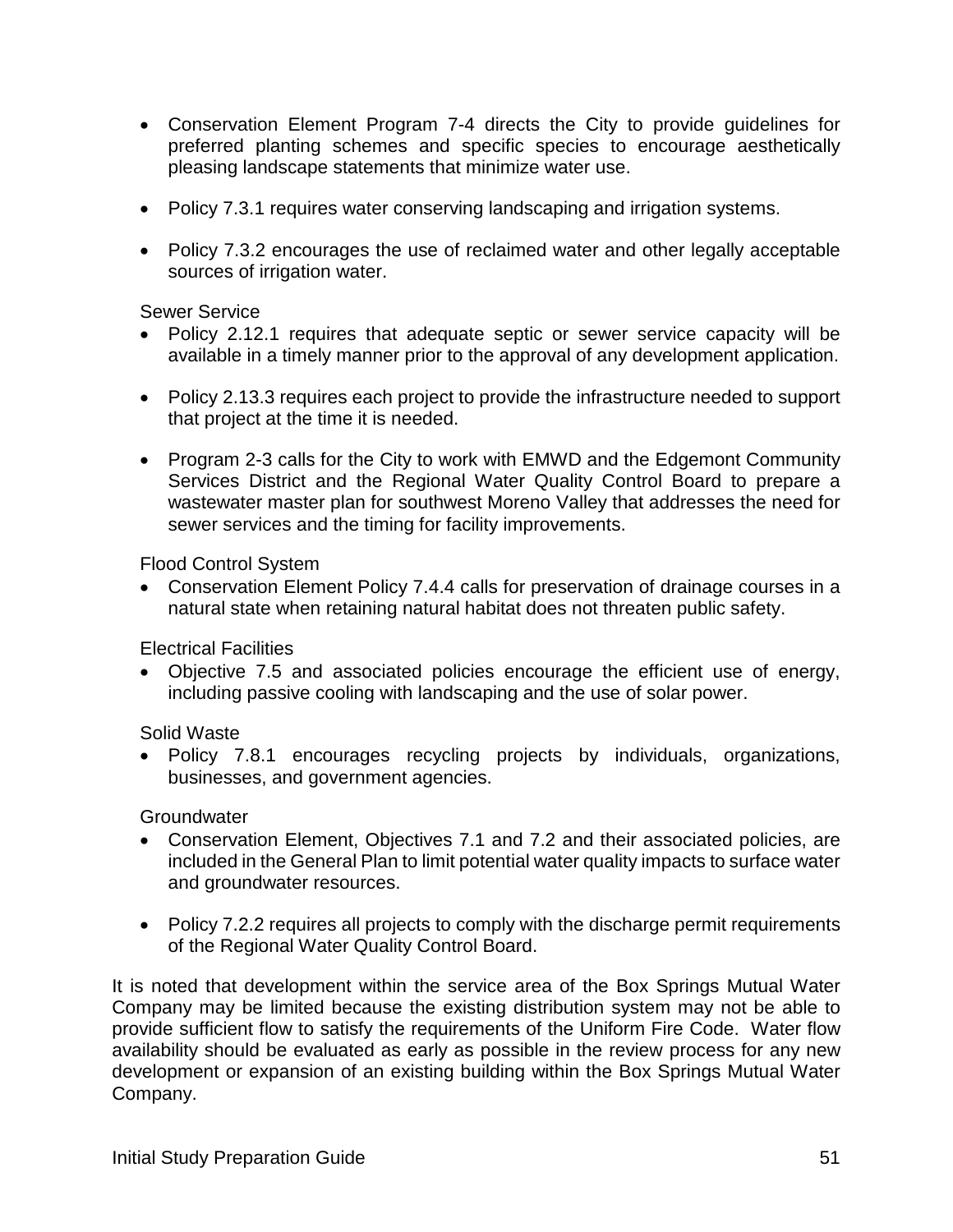- Conservation Element Program 7-4 directs the City to provide guidelines for preferred planting schemes and specific species to encourage aesthetically pleasing landscape statements that minimize water use.
- Policy 7.3.1 requires water conserving landscaping and irrigation systems.
- Policy 7.3.2 encourages the use of reclaimed water and other legally acceptable sources of irrigation water.

#### Sewer Service

- Policy 2.12.1 requires that adequate septic or sewer service capacity will be available in a timely manner prior to the approval of any development application.
- Policy 2.13.3 requires each project to provide the infrastructure needed to support that project at the time it is needed.
- Program 2-3 calls for the City to work with EMWD and the Edgemont Community Services District and the Regional Water Quality Control Board to prepare a wastewater master plan for southwest Moreno Valley that addresses the need for sewer services and the timing for facility improvements.

Flood Control System

• Conservation Element Policy 7.4.4 calls for preservation of drainage courses in a natural state when retaining natural habitat does not threaten public safety.

Electrical Facilities

• Objective 7.5 and associated policies encourage the efficient use of energy, including passive cooling with landscaping and the use of solar power.

Solid Waste

• Policy 7.8.1 encourages recycling projects by individuals, organizations, businesses, and government agencies.

**Groundwater** 

- Conservation Element, Objectives 7.1 and 7.2 and their associated policies, are included in the General Plan to limit potential water quality impacts to surface water and groundwater resources.
- Policy 7.2.2 requires all projects to comply with the discharge permit requirements of the Regional Water Quality Control Board.

It is noted that development within the service area of the Box Springs Mutual Water Company may be limited because the existing distribution system may not be able to provide sufficient flow to satisfy the requirements of the Uniform Fire Code. Water flow availability should be evaluated as early as possible in the review process for any new development or expansion of an existing building within the Box Springs Mutual Water Company.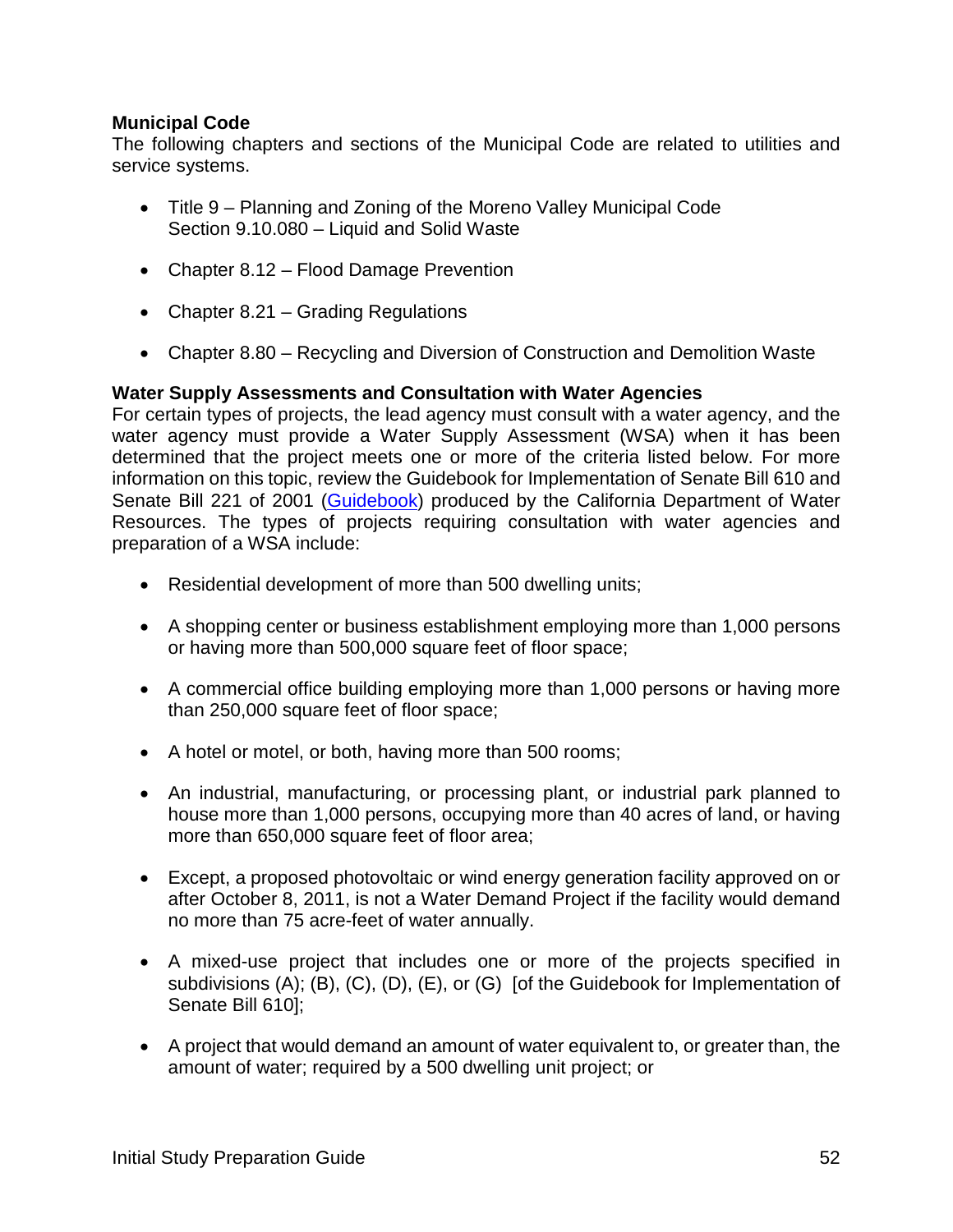#### **Municipal Code**

The following chapters and sections of the Municipal Code are related to utilities and service systems.

- Title 9 Planning and Zoning of the Moreno Valley Municipal Code Section 9.10.080 – Liquid and Solid Waste
- Chapter 8.12 Flood Damage Prevention
- Chapter 8.21 Grading Regulations
- Chapter 8.80 Recycling and Diversion of Construction and Demolition Waste

#### **Water Supply Assessments and Consultation with Water Agencies**

For certain types of projects, the lead agency must consult with a water agency, and the water agency must provide a Water Supply Assessment (WSA) when it has been determined that the project meets one or more of the criteria listed below. For more information on this topic, review the Guidebook for Implementation of Senate Bill 610 and Senate Bill 221 of 2001 [\(Guidebook\)](https://water.ca.gov/LegacyFiles/pubs/use/sb_610_sb_221_guidebook/guidebook.pdf) produced by the California Department of Water Resources. The types of projects requiring consultation with water agencies and preparation of a WSA include:

- Residential development of more than 500 dwelling units;
- A shopping center or business establishment employing more than 1,000 persons or having more than 500,000 square feet of floor space;
- A commercial office building employing more than 1,000 persons or having more than 250,000 square feet of floor space;
- A hotel or motel, or both, having more than 500 rooms;
- An industrial, manufacturing, or processing plant, or industrial park planned to house more than 1,000 persons, occupying more than 40 acres of land, or having more than 650,000 square feet of floor area;
- Except, a proposed photovoltaic or wind energy generation facility approved on or after October 8, 2011, is not a Water Demand Project if the facility would demand no more than 75 acre-feet of water annually.
- A mixed-use project that includes one or more of the projects specified in subdivisions (A); (B), (C), (D), (E), or (G) [of the Guidebook for Implementation of Senate Bill 610];
- A project that would demand an amount of water equivalent to, or greater than, the amount of water; required by a 500 dwelling unit project; or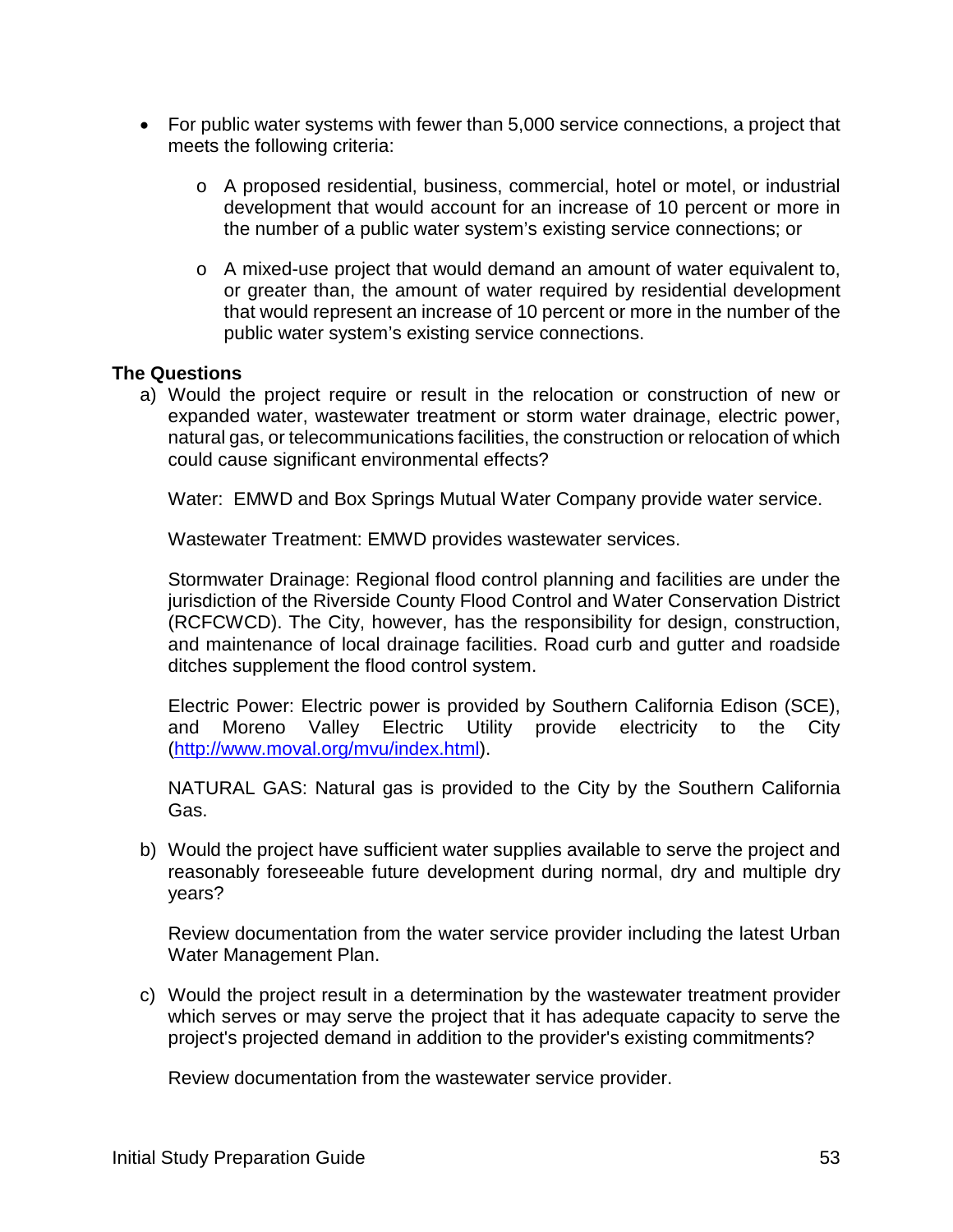- For public water systems with fewer than 5,000 service connections, a project that meets the following criteria:
	- o A proposed residential, business, commercial, hotel or motel, or industrial development that would account for an increase of 10 percent or more in the number of a public water system's existing service connections; or
	- o A mixed-use project that would demand an amount of water equivalent to, or greater than, the amount of water required by residential development that would represent an increase of 10 percent or more in the number of the public water system's existing service connections.

#### **The Questions**

a) Would the project require or result in the relocation or construction of new or expanded water, wastewater treatment or storm water drainage, electric power, natural gas, or telecommunications facilities, the construction or relocation of which could cause significant environmental effects?

Water: EMWD and Box Springs Mutual Water Company provide water service.

Wastewater Treatment: EMWD provides wastewater services.

Stormwater Drainage: Regional flood control planning and facilities are under the jurisdiction of the Riverside County Flood Control and Water Conservation District (RCFCWCD). The City, however, has the responsibility for design, construction, and maintenance of local drainage facilities. Road curb and gutter and roadside ditches supplement the flood control system.

Electric Power: Electric power is provided by Southern California Edison (SCE), and Moreno Valley Electric Utility provide electricity to the City [\(http://www.moval.org/mvu/index.html\)](http://www.moval.org/mvu/index.html).

NATURAL GAS: Natural gas is provided to the City by the Southern California Gas.

b) Would the project have sufficient water supplies available to serve the project and reasonably foreseeable future development during normal, dry and multiple dry years?

Review documentation from the water service provider including the latest Urban Water Management Plan.

c) Would the project result in a determination by the wastewater treatment provider which serves or may serve the project that it has adequate capacity to serve the project's projected demand in addition to the provider's existing commitments?

Review documentation from the wastewater service provider.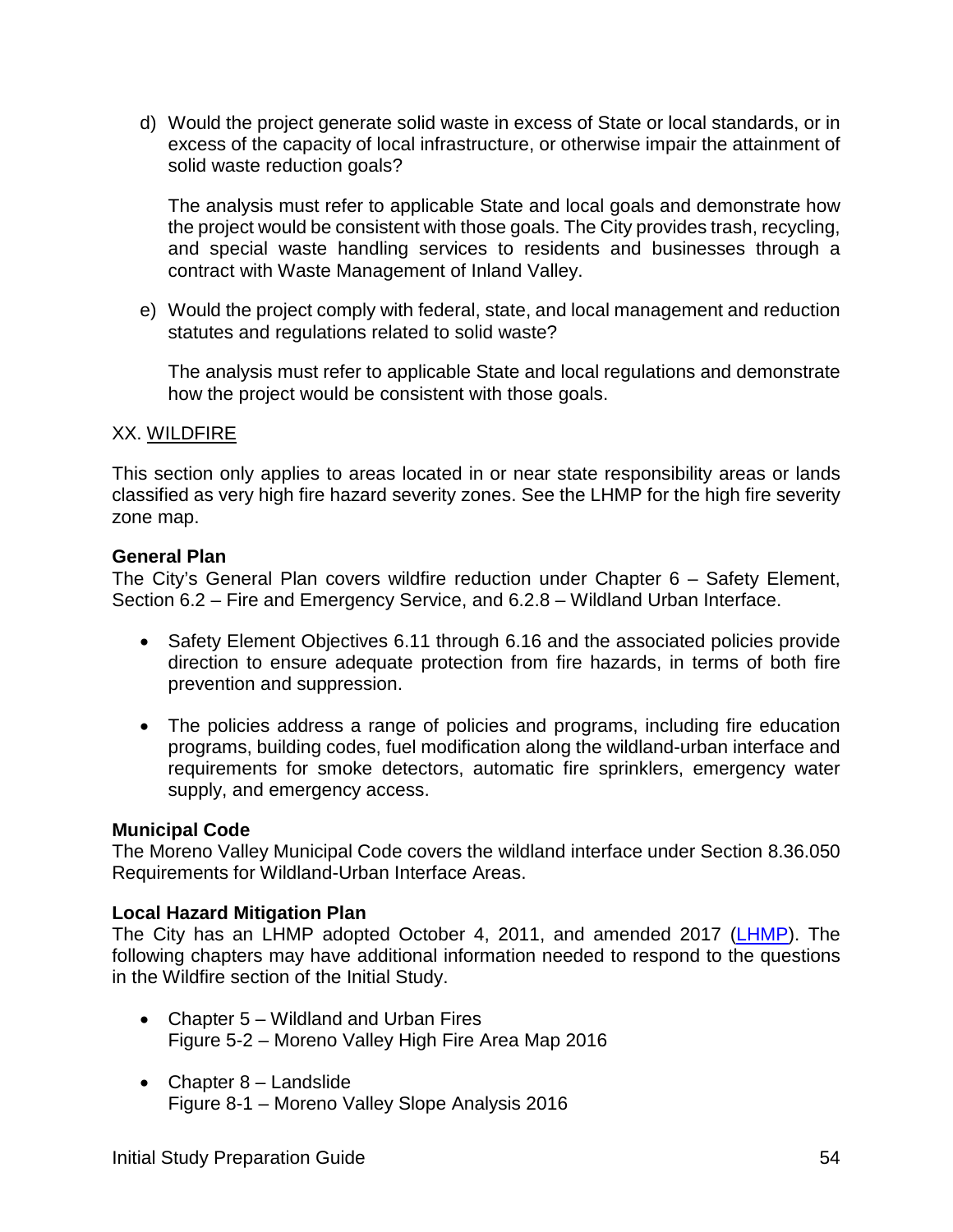d) Would the project generate solid waste in excess of State or local standards, or in excess of the capacity of local infrastructure, or otherwise impair the attainment of solid waste reduction goals?

The analysis must refer to applicable State and local goals and demonstrate how the project would be consistent with those goals. The City provides trash, recycling, and special waste handling services to residents and businesses through a contract with Waste Management of Inland Valley.

e) Would the project comply with federal, state, and local management and reduction statutes and regulations related to solid waste?

The analysis must refer to applicable State and local regulations and demonstrate how the project would be consistent with those goals.

#### XX. WILDFIRE

This section only applies to areas located in or near state responsibility areas or lands classified as very high fire hazard severity zones. See the LHMP for the high fire severity zone map.

#### **General Plan**

The City's General Plan covers wildfire reduction under Chapter 6 – Safety Element, Section 6.2 – Fire and Emergency Service, and 6.2.8 – Wildland Urban Interface.

- Safety Element Objectives 6.11 through 6.16 and the associated policies provide direction to ensure adequate protection from fire hazards, in terms of both fire prevention and suppression.
- The policies address a range of policies and programs, including fire education programs, building codes, fuel modification along the wildland-urban interface and requirements for smoke detectors, automatic fire sprinklers, emergency water supply, and emergency access.

#### **Municipal Code**

The Moreno Valley Municipal Code covers the wildland interface under Section 8.36.050 Requirements for Wildland-Urban Interface Areas.

#### **Local Hazard Mitigation Plan**

The City has an LHMP adopted October 4, 2011, and amended 2017 [\(LHMP\)](http://www.moval.org/city_hall/departments/fire/pdfs/haz-mit-plan.pdf). The following chapters may have additional information needed to respond to the questions in the Wildfire section of the Initial Study.

- Chapter 5 Wildland and Urban Fires Figure 5-2 – Moreno Valley High Fire Area Map 2016
- Chapter 8 Landslide Figure 8-1 – Moreno Valley Slope Analysis 2016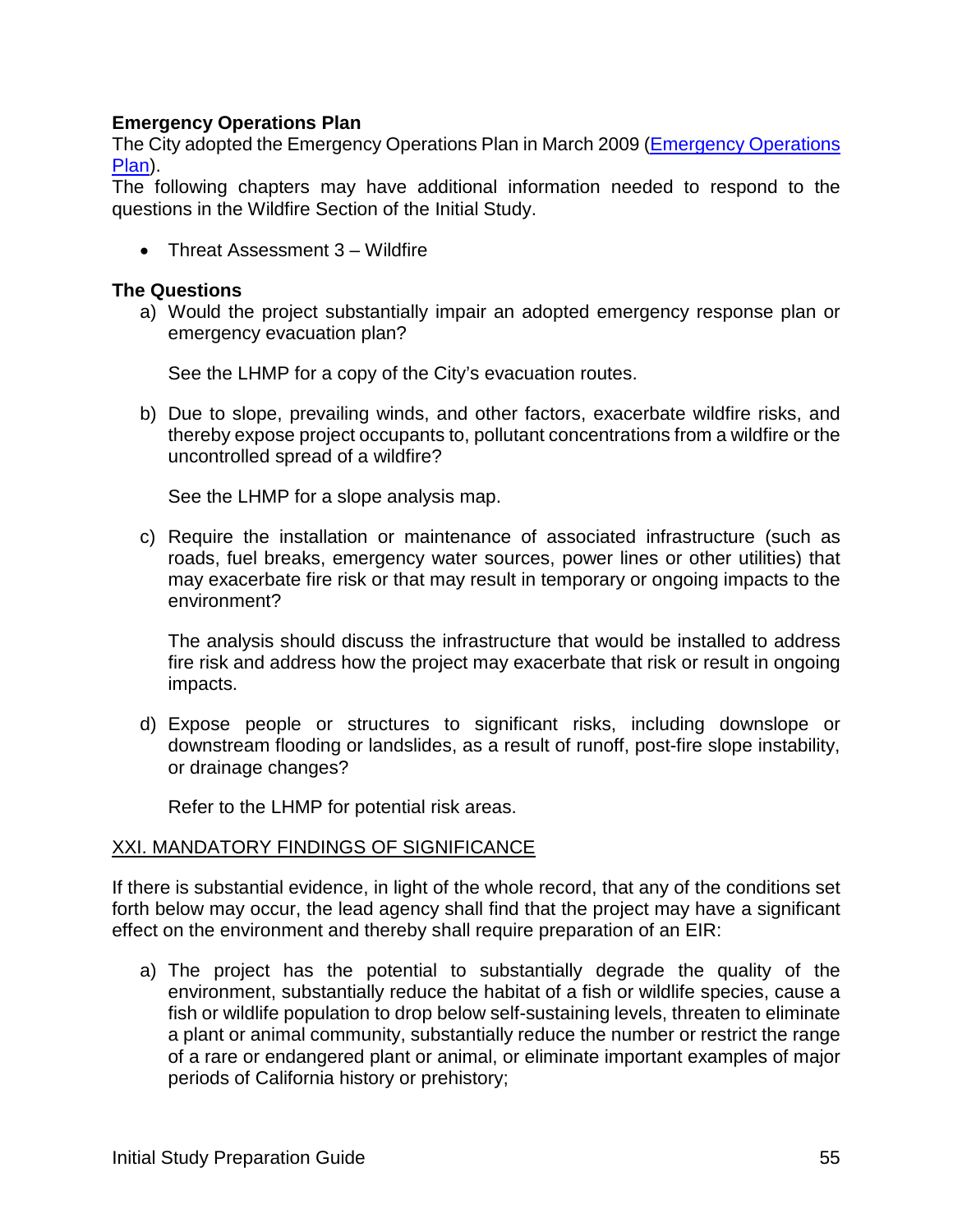#### **Emergency Operations Plan**

The City adopted the Emergency Operations Plan in March 2009 [\(Emergency Operations](http://www.moval.org/city_hall/departments/fire/pdfs/mv-eop-0309.pdf)  [Plan\)](http://www.moval.org/city_hall/departments/fire/pdfs/mv-eop-0309.pdf).

The following chapters may have additional information needed to respond to the questions in the Wildfire Section of the Initial Study.

• Threat Assessment 3 – Wildfire

#### **The Questions**

a) Would the project substantially impair an adopted emergency response plan or emergency evacuation plan?

See the LHMP for a copy of the City's evacuation routes.

b) Due to slope, prevailing winds, and other factors, exacerbate wildfire risks, and thereby expose project occupants to, pollutant concentrations from a wildfire or the uncontrolled spread of a wildfire?

See the LHMP for a slope analysis map.

c) Require the installation or maintenance of associated infrastructure (such as roads, fuel breaks, emergency water sources, power lines or other utilities) that may exacerbate fire risk or that may result in temporary or ongoing impacts to the environment?

The analysis should discuss the infrastructure that would be installed to address fire risk and address how the project may exacerbate that risk or result in ongoing impacts.

d) Expose people or structures to significant risks, including downslope or downstream flooding or landslides, as a result of runoff, post-fire slope instability, or drainage changes?

Refer to the LHMP for potential risk areas.

#### XXI. MANDATORY FINDINGS OF SIGNIFICANCE

If there is substantial evidence, in light of the whole record, that any of the conditions set forth below may occur, the lead agency shall find that the project may have a significant effect on the environment and thereby shall require preparation of an EIR:

a) The project has the potential to substantially degrade the quality of the environment, substantially reduce the habitat of a fish or wildlife species, cause a fish or wildlife population to drop below self-sustaining levels, threaten to eliminate a plant or animal community, substantially reduce the number or restrict the range of a rare or endangered plant or animal, or eliminate important examples of major periods of California history or prehistory;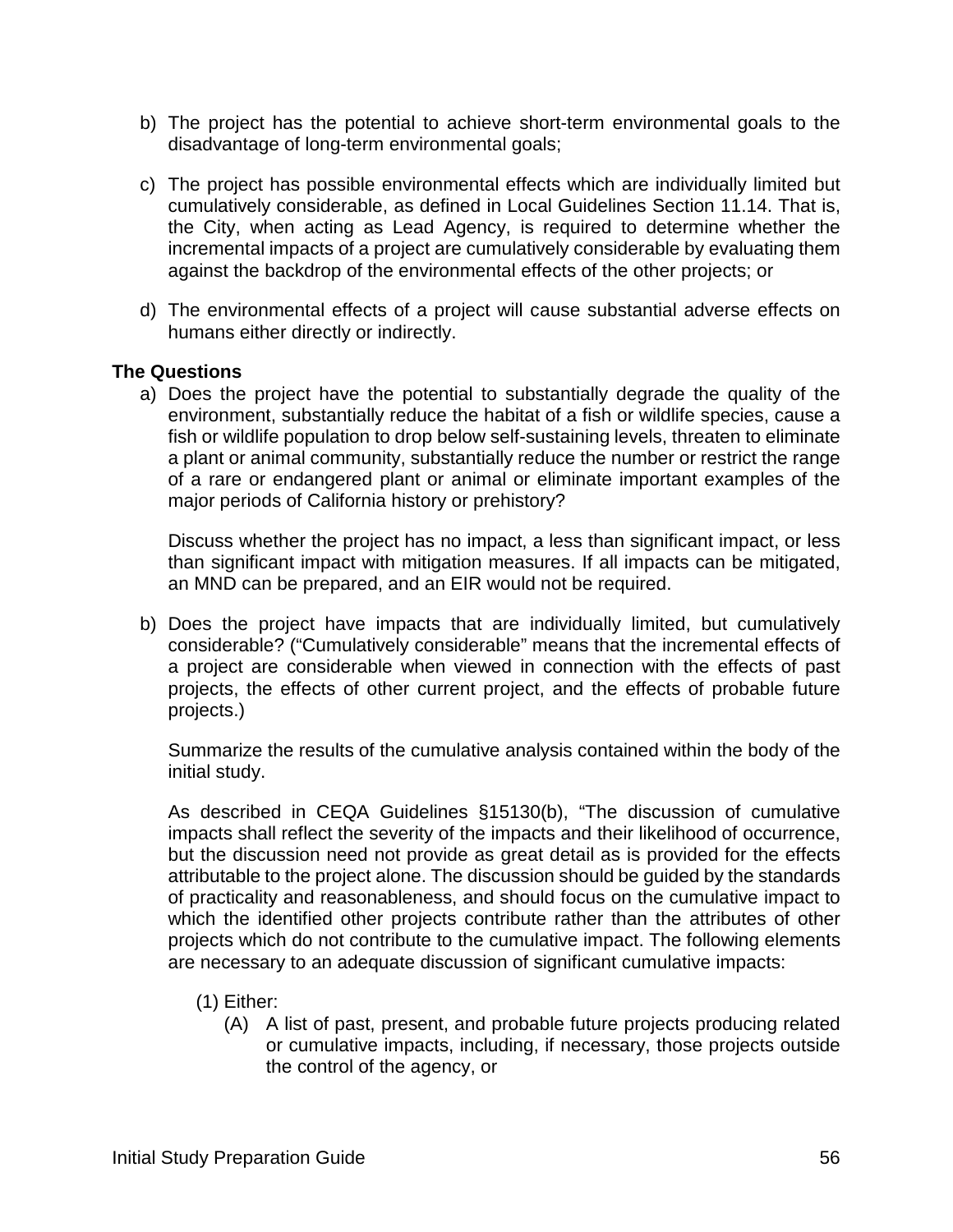- b) The project has the potential to achieve short-term environmental goals to the disadvantage of long-term environmental goals;
- c) The project has possible environmental effects which are individually limited but cumulatively considerable, as defined in Local Guidelines Section 11.14. That is, the City, when acting as Lead Agency, is required to determine whether the incremental impacts of a project are cumulatively considerable by evaluating them against the backdrop of the environmental effects of the other projects; or
- d) The environmental effects of a project will cause substantial adverse effects on humans either directly or indirectly.

#### **The Questions**

a) Does the project have the potential to substantially degrade the quality of the environment, substantially reduce the habitat of a fish or wildlife species, cause a fish or wildlife population to drop below self-sustaining levels, threaten to eliminate a plant or animal community, substantially reduce the number or restrict the range of a rare or endangered plant or animal or eliminate important examples of the major periods of California history or prehistory?

Discuss whether the project has no impact, a less than significant impact, or less than significant impact with mitigation measures. If all impacts can be mitigated, an MND can be prepared, and an EIR would not be required.

b) Does the project have impacts that are individually limited, but cumulatively considerable? ("Cumulatively considerable" means that the incremental effects of a project are considerable when viewed in connection with the effects of past projects, the effects of other current project, and the effects of probable future projects.)

Summarize the results of the cumulative analysis contained within the body of the initial study.

As described in CEQA Guidelines §15130(b), "The discussion of cumulative impacts shall reflect the severity of the impacts and their likelihood of occurrence, but the discussion need not provide as great detail as is provided for the effects attributable to the project alone. The discussion should be guided by the standards of practicality and reasonableness, and should focus on the cumulative impact to which the identified other projects contribute rather than the attributes of other projects which do not contribute to the cumulative impact. The following elements are necessary to an adequate discussion of significant cumulative impacts:

- (1) Either:
	- (A) A list of past, present, and probable future projects producing related or cumulative impacts, including, if necessary, those projects outside the control of the agency, or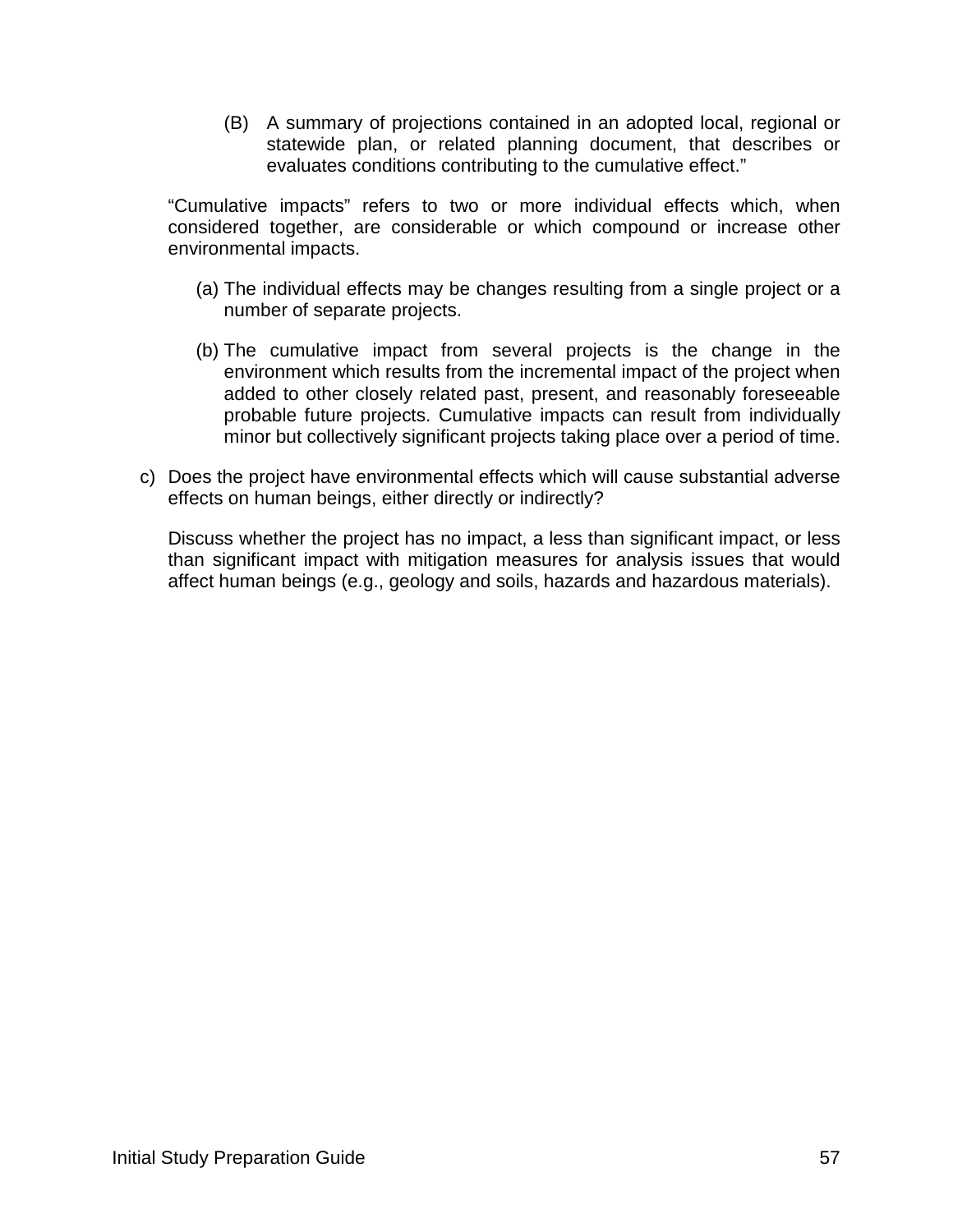(B) A summary of projections contained in an adopted local, regional or statewide plan, or related planning document, that describes or evaluates conditions contributing to the cumulative effect."

"Cumulative impacts" refers to two or more individual effects which, when considered together, are considerable or which compound or increase other environmental impacts.

- (a) The individual effects may be changes resulting from a single project or a number of separate projects.
- (b) The cumulative impact from several projects is the change in the environment which results from the incremental impact of the project when added to other closely related past, present, and reasonably foreseeable probable future projects. Cumulative impacts can result from individually minor but collectively significant projects taking place over a period of time.
- c) Does the project have environmental effects which will cause substantial adverse effects on human beings, either directly or indirectly?

Discuss whether the project has no impact, a less than significant impact, or less than significant impact with mitigation measures for analysis issues that would affect human beings (e.g., geology and soils, hazards and hazardous materials).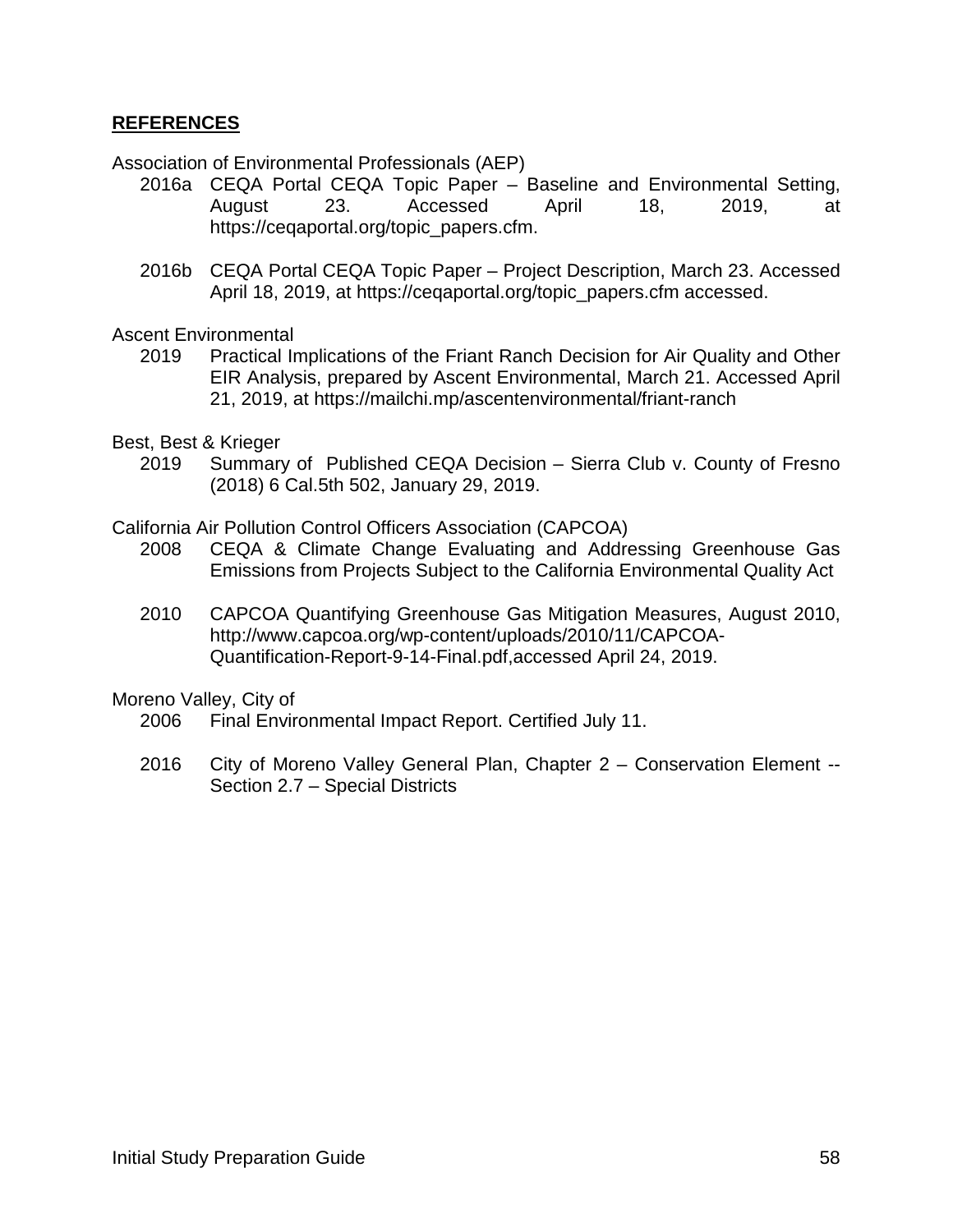#### <span id="page-59-0"></span>**REFERENCES**

Association of Environmental Professionals (AEP)

- 2016a CEQA Portal CEQA Topic Paper Baseline and Environmental Setting, August 23. Accessed April 18, 2019, at https://ceqaportal.org/topic\_papers.cfm.
- 2016b CEQA Portal CEQA Topic Paper Project Description, March 23. Accessed April 18, 2019, at https://ceqaportal.org/topic\_papers.cfm accessed.

Ascent Environmental

- 2019 Practical Implications of the Friant Ranch Decision for Air Quality and Other EIR Analysis, prepared by Ascent Environmental, March 21. Accessed April 21, 2019, at https://mailchi.mp/ascentenvironmental/friant-ranch
- Best, Best & Krieger
	- 2019 Summary of Published CEQA Decision Sierra Club v. County of Fresno (2018) 6 Cal.5th 502, January 29, 2019.

California Air Pollution Control Officers Association (CAPCOA)

- 2008 CEQA & Climate Change Evaluating and Addressing Greenhouse Gas Emissions from Projects Subject to the California Environmental Quality Act
- 2010 CAPCOA Quantifying Greenhouse Gas Mitigation Measures, August 2010, http://www.capcoa.org/wp-content/uploads/2010/11/CAPCOA-Quantification-Report-9-14-Final.pdf,accessed April 24, 2019.

Moreno Valley, City of

- 2006 Final Environmental Impact Report. Certified July 11.
- 2016 City of Moreno Valley General Plan, Chapter 2 Conservation Element -- Section 2.7 – Special Districts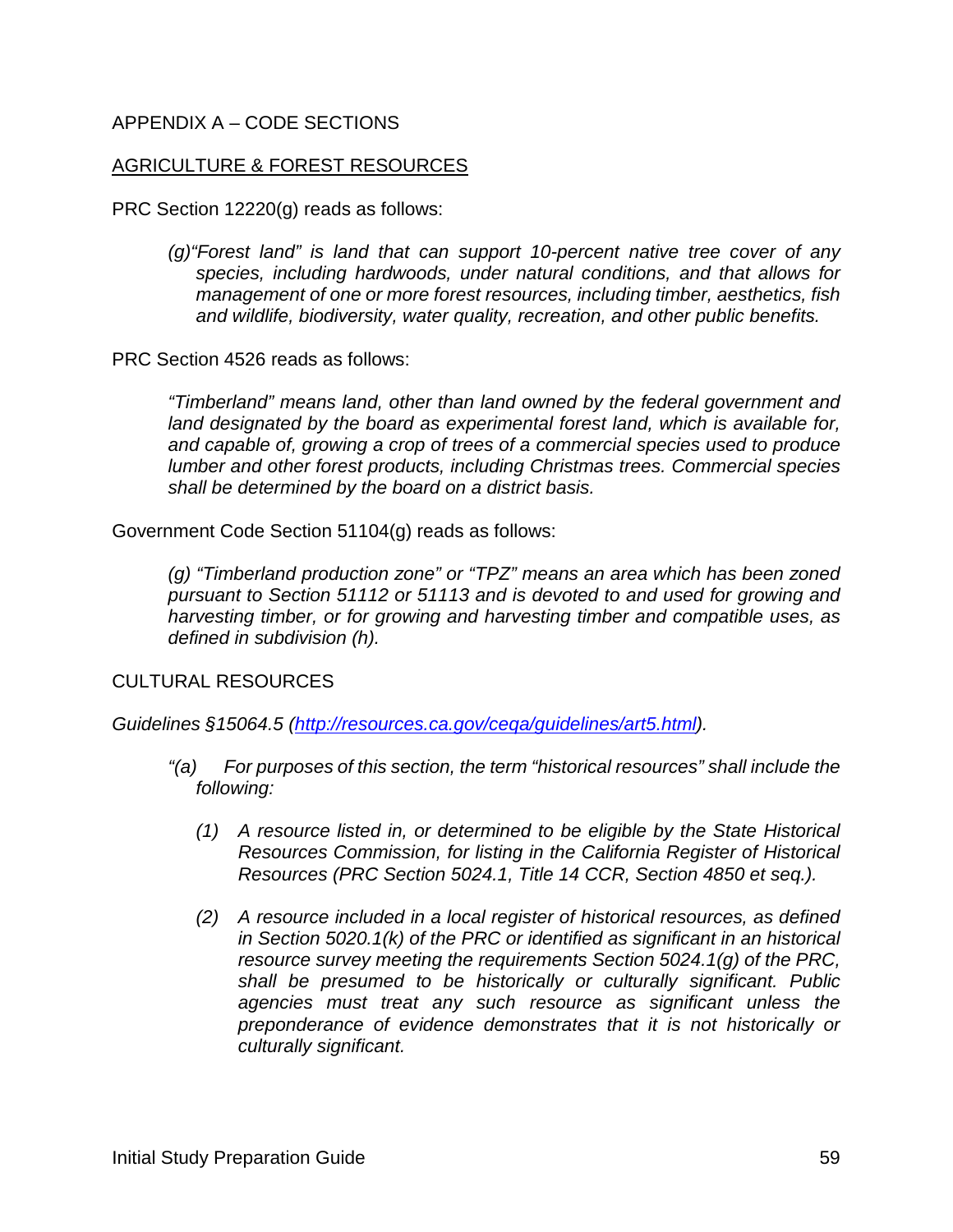#### APPENDIX A – CODE SECTIONS

#### AGRICULTURE & FOREST RESOURCES

PRC Section 12220(g) reads as follows:

*(g)"Forest land" is land that can support 10-percent native tree cover of any species, including hardwoods, under natural conditions, and that allows for management of one or more forest resources, including timber, aesthetics, fish and wildlife, biodiversity, water quality, recreation, and other public benefits.*

PRC Section 4526 reads as follows:

*"Timberland" means land, other than land owned by the federal government and land designated by the board as experimental forest land, which is available for, and capable of, growing a crop of trees of a commercial species used to produce lumber and other forest products, including Christmas trees. Commercial species shall be determined by the board on a district basis.*

Government Code Section 51104(g) reads as follows:

*(g) "Timberland production zone" or "TPZ" means an area which has been zoned pursuant to Section 51112 or 51113 and is devoted to and used for growing and harvesting timber, or for growing and harvesting timber and compatible uses, as defined in subdivision (h).*

CULTURAL RESOURCES

*Guidelines §15064.5 [\(http://resources.ca.gov/ceqa/guidelines/art5.html\)](http://resources.ca.gov/ceqa/guidelines/art5.html).*

- *"(a) For purposes of this section, the term "historical resources" shall include the following:*
	- *(1) A resource listed in, or determined to be eligible by the State Historical Resources Commission, for listing in the California Register of Historical Resources (PRC Section 5024.1, Title 14 CCR, Section 4850 et seq.).*
	- *(2) A resource included in a local register of historical resources, as defined in Section 5020.1(k) of the PRC or identified as significant in an historical resource survey meeting the requirements Section 5024.1(g) of the PRC, shall be presumed to be historically or culturally significant. Public agencies must treat any such resource as significant unless the preponderance of evidence demonstrates that it is not historically or culturally significant.*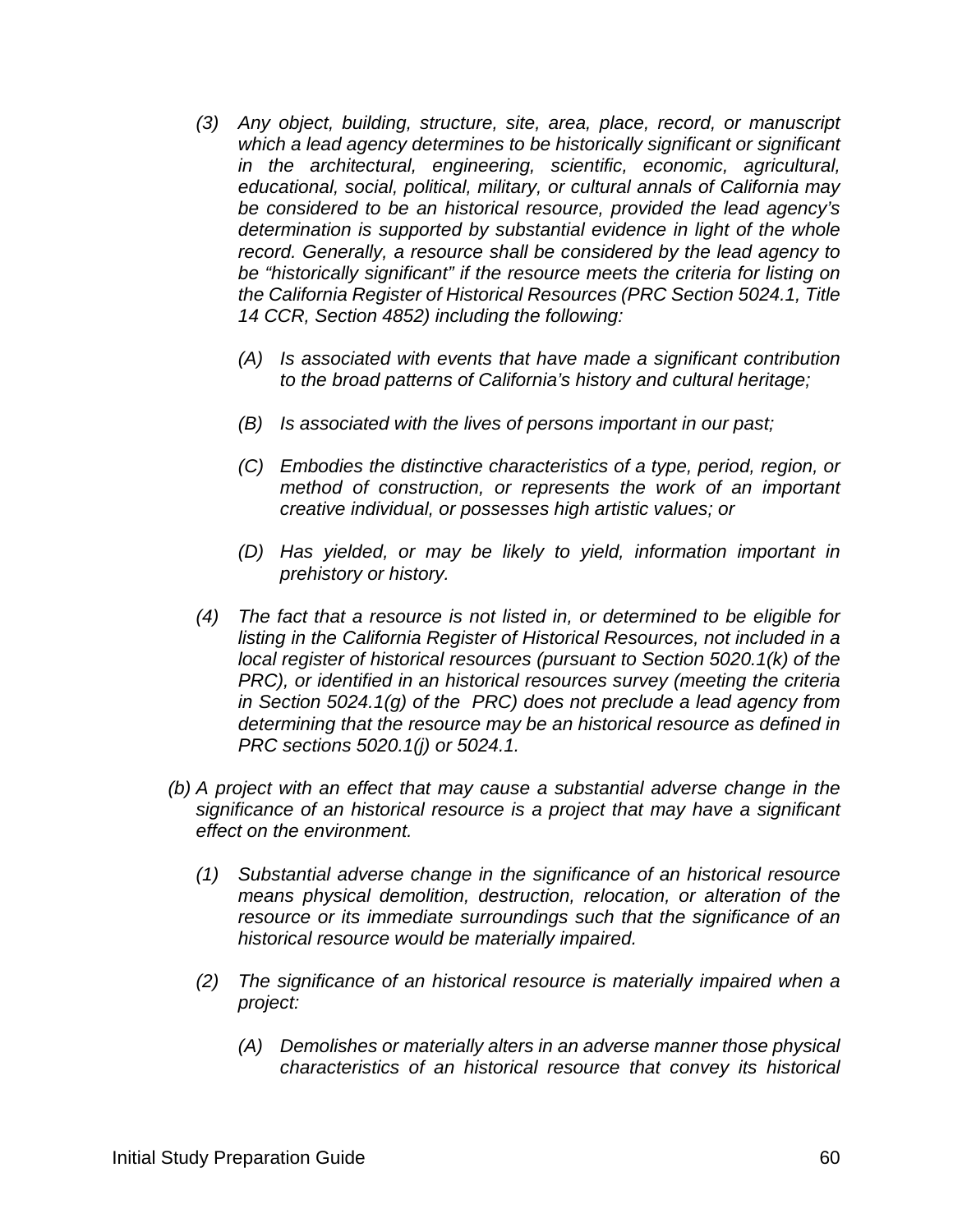- *(3) Any object, building, structure, site, area, place, record, or manuscript which a lead agency determines to be historically significant or significant in the architectural, engineering, scientific, economic, agricultural, educational, social, political, military, or cultural annals of California may be considered to be an historical resource, provided the lead agency's determination is supported by substantial evidence in light of the whole record. Generally, a resource shall be considered by the lead agency to be "historically significant" if the resource meets the criteria for listing on the California Register of Historical Resources (PRC Section 5024.1, Title 14 CCR, Section 4852) including the following:*
	- *(A) Is associated with events that have made a significant contribution to the broad patterns of California's history and cultural heritage;*
	- *(B) Is associated with the lives of persons important in our past;*
	- *(C) Embodies the distinctive characteristics of a type, period, region, or method of construction, or represents the work of an important creative individual, or possesses high artistic values; or*
	- *(D) Has yielded, or may be likely to yield, information important in prehistory or history.*
- *(4) The fact that a resource is not listed in, or determined to be eligible for listing in the California Register of Historical Resources, not included in a local register of historical resources (pursuant to Section 5020.1(k) of the PRC), or identified in an historical resources survey (meeting the criteria in Section 5024.1(g) of the PRC) does not preclude a lead agency from determining that the resource may be an historical resource as defined in PRC sections 5020.1(j) or 5024.1.*
- *(b) A project with an effect that may cause a substantial adverse change in the significance of an historical resource is a project that may have a significant effect on the environment.*
	- *(1) Substantial adverse change in the significance of an historical resource means physical demolition, destruction, relocation, or alteration of the resource or its immediate surroundings such that the significance of an historical resource would be materially impaired.*
	- *(2) The significance of an historical resource is materially impaired when a project:*
		- *(A) Demolishes or materially alters in an adverse manner those physical characteristics of an historical resource that convey its historical*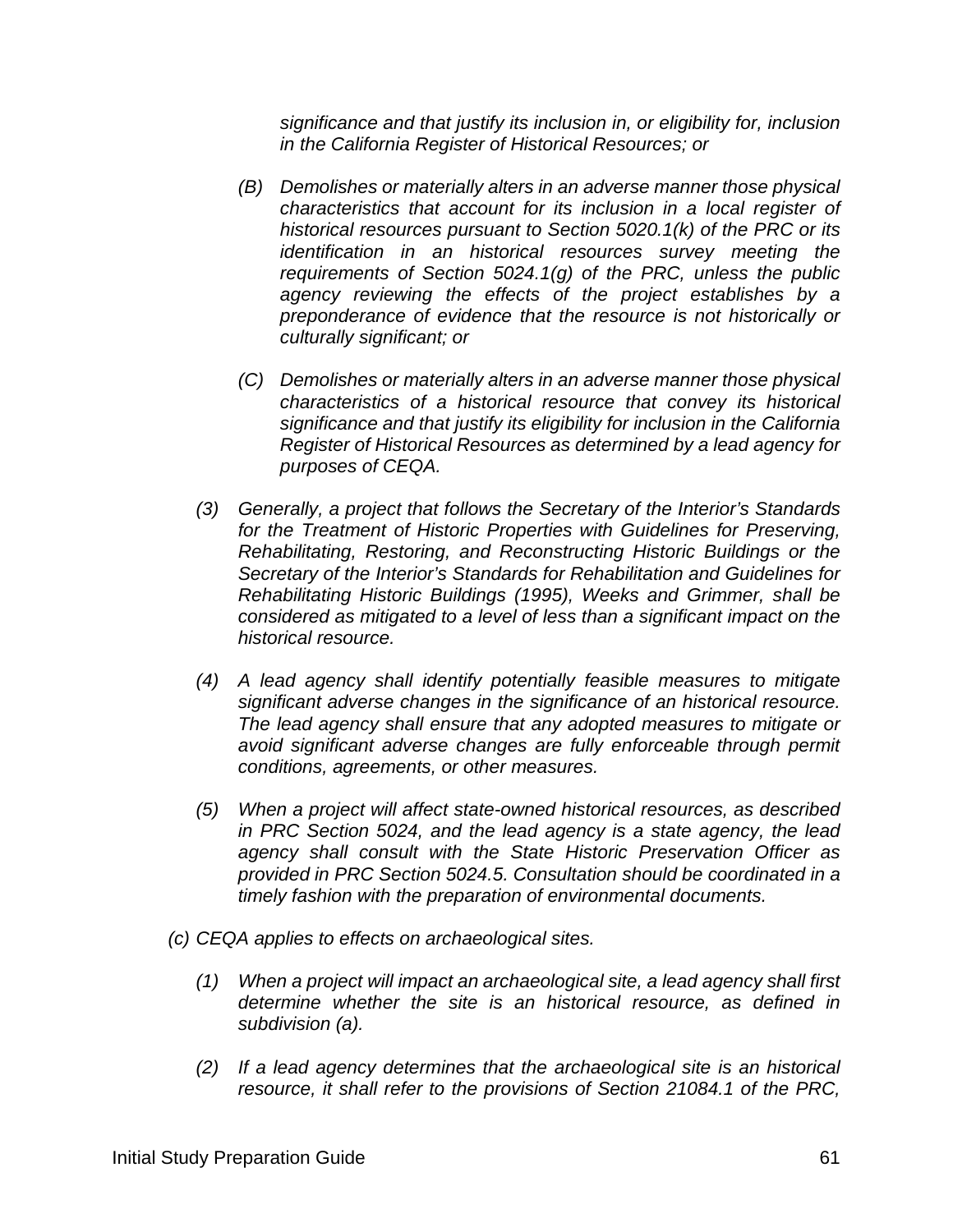*significance and that justify its inclusion in, or eligibility for, inclusion in the California Register of Historical Resources; or*

- *(B) Demolishes or materially alters in an adverse manner those physical characteristics that account for its inclusion in a local register of historical resources pursuant to Section 5020.1(k) of the PRC or its identification in an historical resources survey meeting the requirements of Section 5024.1(g) of the PRC, unless the public agency reviewing the effects of the project establishes by a preponderance of evidence that the resource is not historically or culturally significant; or*
- *(C) Demolishes or materially alters in an adverse manner those physical characteristics of a historical resource that convey its historical significance and that justify its eligibility for inclusion in the California Register of Historical Resources as determined by a lead agency for purposes of CEQA.*
- *(3) Generally, a project that follows the Secretary of the Interior's Standards for the Treatment of Historic Properties with Guidelines for Preserving, Rehabilitating, Restoring, and Reconstructing Historic Buildings or the Secretary of the Interior's Standards for Rehabilitation and Guidelines for Rehabilitating Historic Buildings (1995), Weeks and Grimmer, shall be considered as mitigated to a level of less than a significant impact on the historical resource.*
- *(4) A lead agency shall identify potentially feasible measures to mitigate significant adverse changes in the significance of an historical resource. The lead agency shall ensure that any adopted measures to mitigate or avoid significant adverse changes are fully enforceable through permit conditions, agreements, or other measures.*
- *(5) When a project will affect state-owned historical resources, as described in PRC Section 5024, and the lead agency is a state agency, the lead agency shall consult with the State Historic Preservation Officer as provided in PRC Section 5024.5. Consultation should be coordinated in a timely fashion with the preparation of environmental documents.*
- *(c) CEQA applies to effects on archaeological sites.*
	- *(1) When a project will impact an archaeological site, a lead agency shall first determine whether the site is an historical resource, as defined in subdivision (a).*
	- *(2) If a lead agency determines that the archaeological site is an historical resource, it shall refer to the provisions of Section 21084.1 of the PRC,*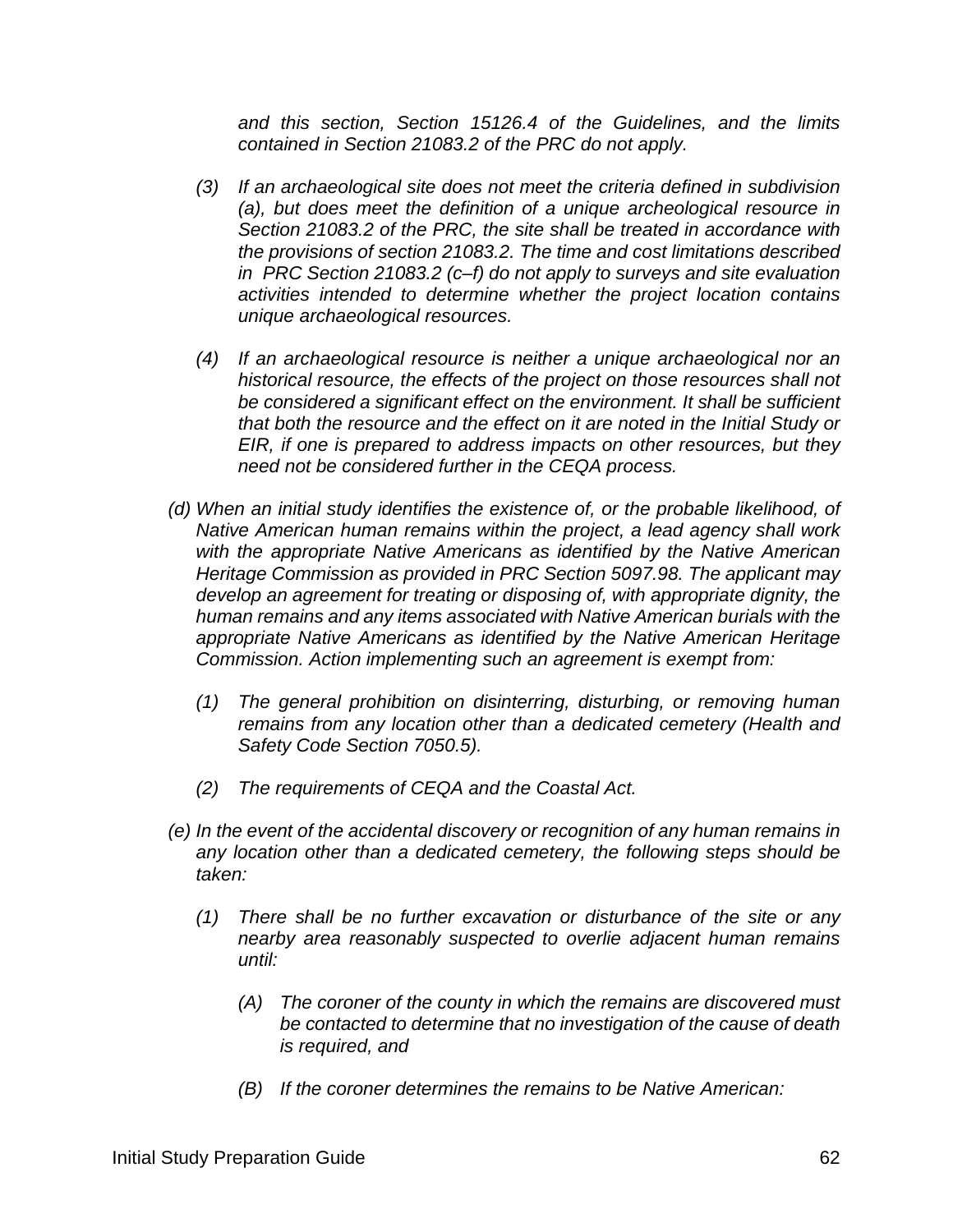*and this section, Section 15126.4 of the Guidelines, and the limits contained in Section 21083.2 of the PRC do not apply.*

- *(3) If an archaeological site does not meet the criteria defined in subdivision (a), but does meet the definition of a unique archeological resource in Section 21083.2 of the PRC, the site shall be treated in accordance with the provisions of section 21083.2. The time and cost limitations described in PRC Section 21083.2 (c–f) do not apply to surveys and site evaluation activities intended to determine whether the project location contains unique archaeological resources.*
- *(4) If an archaeological resource is neither a unique archaeological nor an historical resource, the effects of the project on those resources shall not be considered a significant effect on the environment. It shall be sufficient that both the resource and the effect on it are noted in the Initial Study or EIR, if one is prepared to address impacts on other resources, but they need not be considered further in the CEQA process.*
- *(d) When an initial study identifies the existence of, or the probable likelihood, of Native American human remains within the project, a lead agency shall work with the appropriate Native Americans as identified by the Native American Heritage Commission as provided in PRC Section 5097.98. The applicant may develop an agreement for treating or disposing of, with appropriate dignity, the human remains and any items associated with Native American burials with the appropriate Native Americans as identified by the Native American Heritage Commission. Action implementing such an agreement is exempt from:*
	- *(1) The general prohibition on disinterring, disturbing, or removing human remains from any location other than a dedicated cemetery (Health and Safety Code Section 7050.5).*
	- *(2) The requirements of CEQA and the Coastal Act.*
- *(e) In the event of the accidental discovery or recognition of any human remains in any location other than a dedicated cemetery, the following steps should be taken:*
	- *(1) There shall be no further excavation or disturbance of the site or any nearby area reasonably suspected to overlie adjacent human remains until:*
		- *(A) The coroner of the county in which the remains are discovered must be contacted to determine that no investigation of the cause of death is required, and*
		- *(B) If the coroner determines the remains to be Native American:*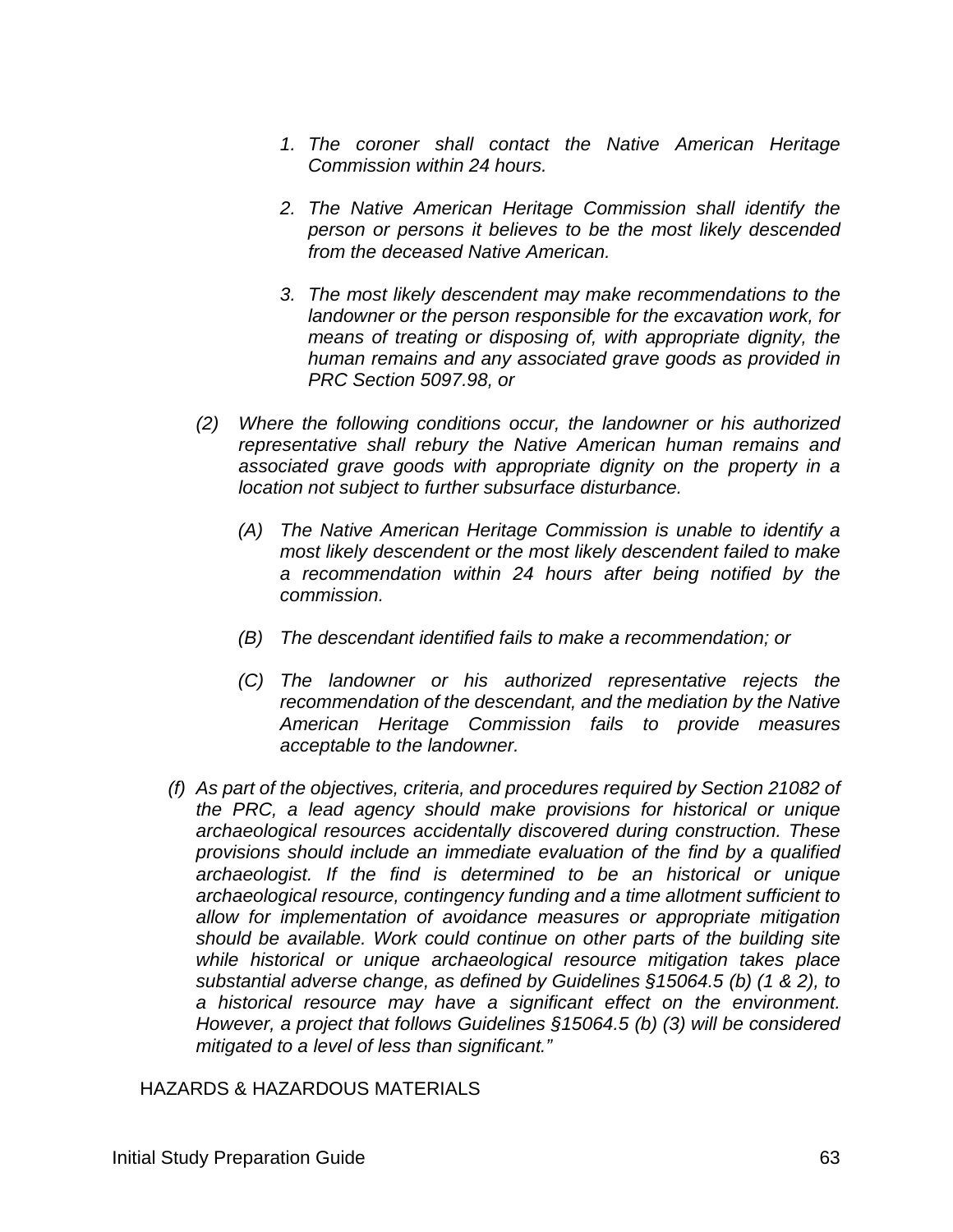- *1. The coroner shall contact the Native American Heritage Commission within 24 hours.*
- *2. The Native American Heritage Commission shall identify the person or persons it believes to be the most likely descended from the deceased Native American.*
- *3. The most likely descendent may make recommendations to the landowner or the person responsible for the excavation work, for means of treating or disposing of, with appropriate dignity, the human remains and any associated grave goods as provided in PRC Section 5097.98, or*
- *(2) Where the following conditions occur, the landowner or his authorized representative shall rebury the Native American human remains and associated grave goods with appropriate dignity on the property in a location not subject to further subsurface disturbance.*
	- *(A) The Native American Heritage Commission is unable to identify a most likely descendent or the most likely descendent failed to make a recommendation within 24 hours after being notified by the commission.*
	- *(B) The descendant identified fails to make a recommendation; or*
	- *(C) The landowner or his authorized representative rejects the recommendation of the descendant, and the mediation by the Native American Heritage Commission fails to provide measures acceptable to the landowner.*
- *(f) As part of the objectives, criteria, and procedures required by Section 21082 of the PRC, a lead agency should make provisions for historical or unique archaeological resources accidentally discovered during construction. These provisions should include an immediate evaluation of the find by a qualified archaeologist. If the find is determined to be an historical or unique archaeological resource, contingency funding and a time allotment sufficient to allow for implementation of avoidance measures or appropriate mitigation should be available. Work could continue on other parts of the building site while historical or unique archaeological resource mitigation takes place substantial adverse change, as defined by Guidelines §15064.5 (b) (1 & 2), to a historical resource may have a significant effect on the environment. However, a project that follows Guidelines §15064.5 (b) (3) will be considered mitigated to a level of less than significant."*

HAZARDS & HAZARDOUS MATERIALS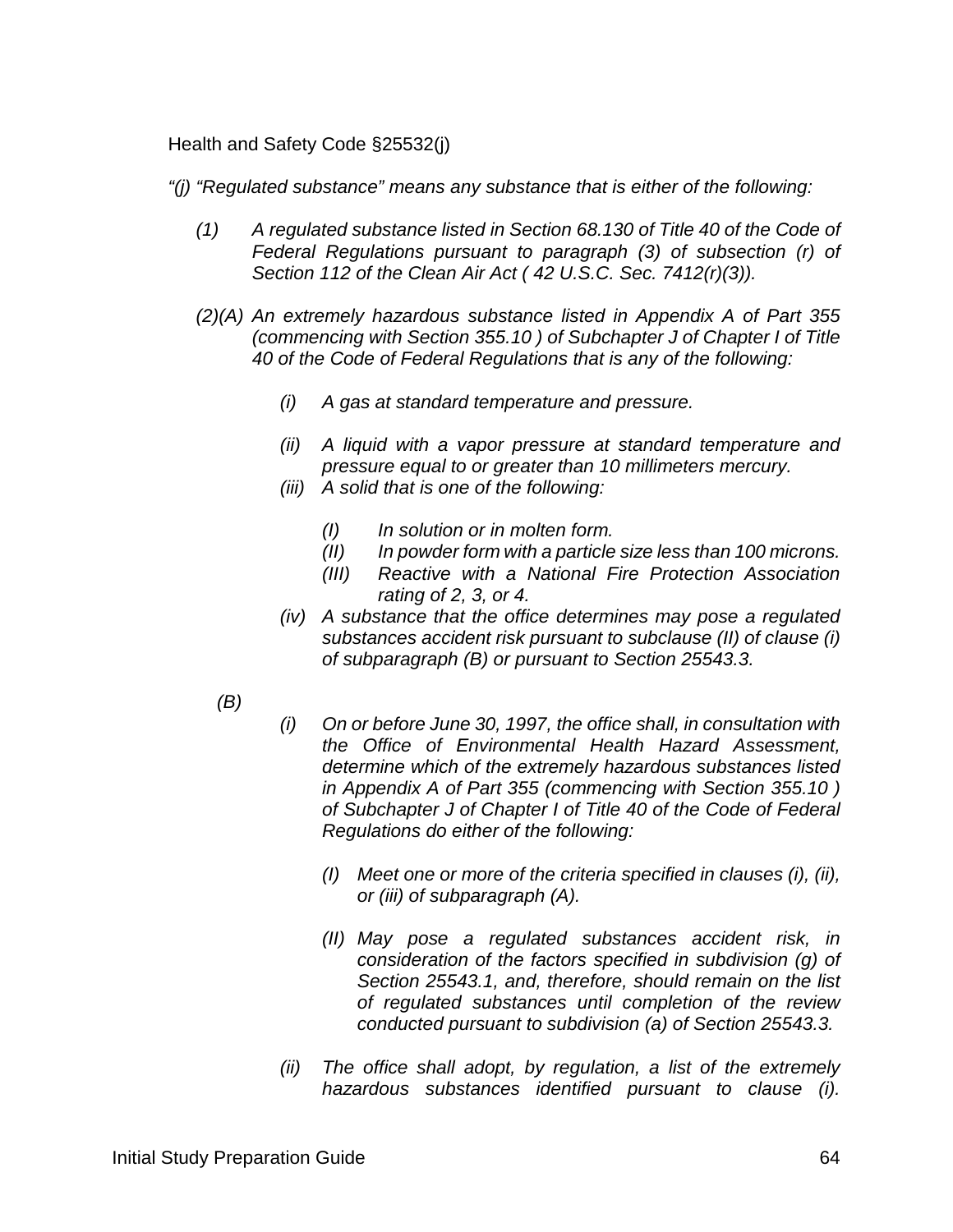Health and Safety Code §25532(j)

*"(j) "Regulated substance" means any substance that is either of the following:*

- *(1) A regulated substance listed in Section 68.130 of Title 40 of the Code of Federal Regulations pursuant to paragraph (3) of subsection (r) of Section 112 of the Clean Air Act ( 42 U.S.C. Sec. 7412(r)(3)).*
- *(2)(A) An extremely hazardous substance listed in Appendix A of Part 355 (commencing with Section 355.10 ) of Subchapter J of Chapter I of Title 40 of the Code of Federal Regulations that is any of the following:*
	- *(i) A gas at standard temperature and pressure.*
	- *(ii) A liquid with a vapor pressure at standard temperature and pressure equal to or greater than 10 millimeters mercury.*
	- *(iii) A solid that is one of the following:*
		- *(I) In solution or in molten form.*
		- *(II) In powder form with a particle size less than 100 microns.*
		- *(III) Reactive with a National Fire Protection Association rating of 2, 3, or 4.*
	- *(iv) A substance that the office determines may pose a regulated substances accident risk pursuant to subclause (II) of clause (i) of subparagraph (B) or pursuant to [Section 25543.3.](https://1.next.westlaw.com/Link/Document/FullText?findType=L&originatingContext=document&transitionType=DocumentItem&pubNum=1000213&refType=LQ&originatingDoc=Ia1110b5000cb11e8be67d32f2a5ba06a&cite=CAHSS25543.3)*
	- *(B)*
- *(i) On or before June 30, 1997, the office shall, in consultation with the Office of Environmental Health Hazard Assessment, determine which of the extremely hazardous substances listed in Appendix A of Part 355 (commencing with Section 355.10 ) of Subchapter J of Chapter I of Title 40 of the Code of Federal Regulations do either of the following:*
	- *(I) Meet one or more of the criteria specified in clauses (i), (ii), or (iii) of subparagraph (A).*
	- *(II) May pose a regulated substances accident risk, in consideration of the factors specified in subdivision (g) of Section 25543.1, and, therefore, should remain on the list of regulated substances until completion of the review conducted pursuant to subdivision (a) of Section 25543.3.*
- *(ii) The office shall adopt, by regulation, a list of the extremely hazardous substances identified pursuant to clause (i).*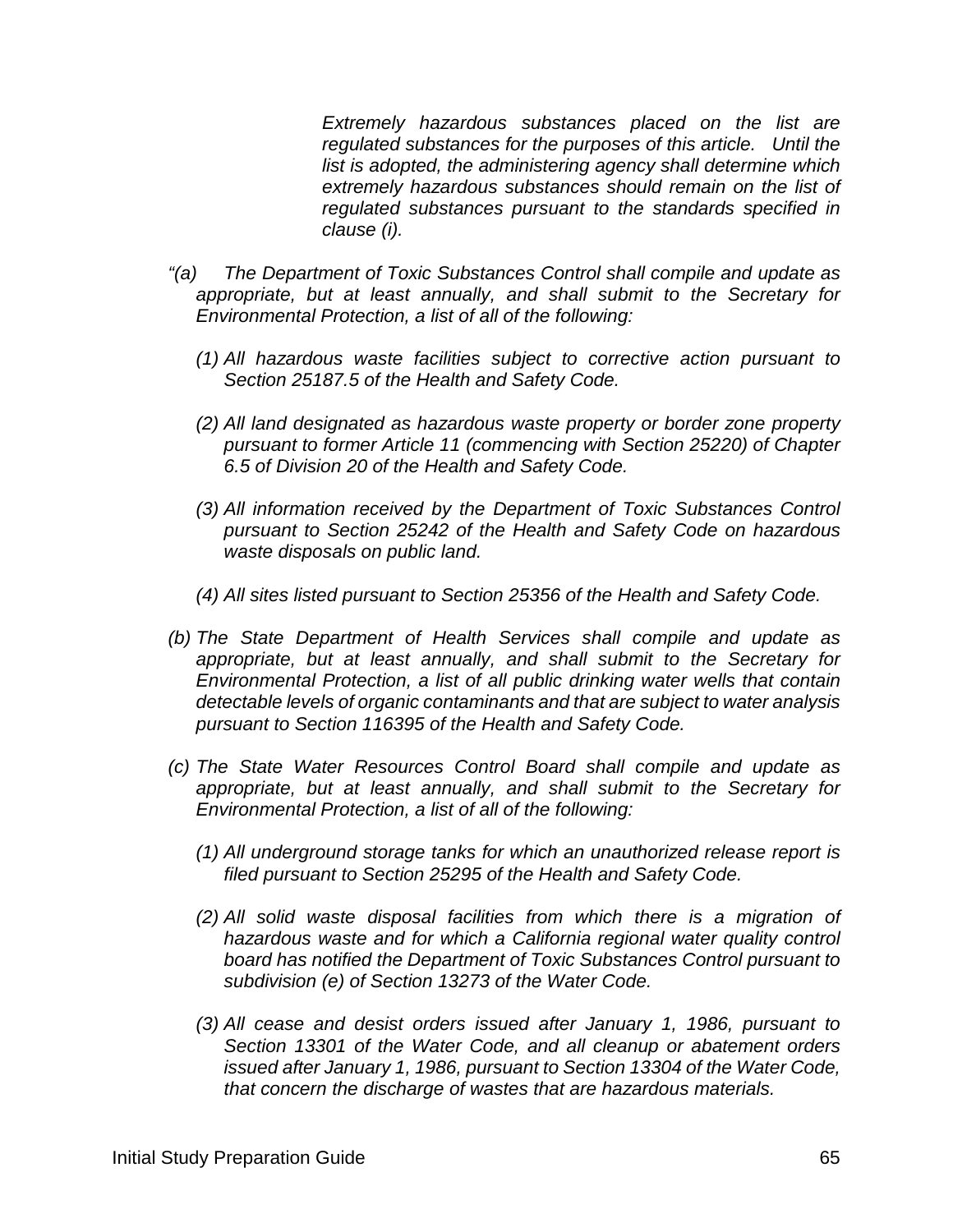*Extremely hazardous substances placed on the list are regulated substances for the purposes of this article. Until the list is adopted, the administering agency shall determine which extremely hazardous substances should remain on the list of regulated substances pursuant to the standards specified in clause (i).*

- *"(a) The Department of Toxic Substances Control shall compile and update as appropriate, but at least annually, and shall submit to the Secretary for Environmental Protection, a list of all of the following:*
	- *(1) All hazardous waste facilities subject to corrective action pursuant to Section 25187.5 of the Health and Safety Code.*
	- *(2) All land designated as hazardous waste property or border zone property pursuant to former Article 11 (commencing with Section 25220) of Chapter 6.5 of Division 20 of the Health and Safety Code.*
	- *(3) All information received by the Department of Toxic Substances Control pursuant to Section 25242 of the Health and Safety Code on hazardous waste disposals on public land.*
	- *(4) All sites listed pursuant to Section 25356 of the Health and Safety Code.*
- *(b) The State Department of Health Services shall compile and update as appropriate, but at least annually, and shall submit to the Secretary for Environmental Protection, a list of all public drinking water wells that contain detectable levels of organic contaminants and that are subject to water analysis pursuant to Section 116395 of the Health and Safety Code.*
- *(c) The State Water Resources Control Board shall compile and update as appropriate, but at least annually, and shall submit to the Secretary for Environmental Protection, a list of all of the following:*
	- *(1) All underground storage tanks for which an unauthorized release report is filed pursuant to Section 25295 of the Health and Safety Code.*
	- *(2) All solid waste disposal facilities from which there is a migration of hazardous waste and for which a California regional water quality control board has notified the Department of Toxic Substances Control pursuant to subdivision (e) of Section 13273 of the Water Code.*
	- *(3) All cease and desist orders issued after January 1, 1986, pursuant to Section 13301 of the Water Code, and all cleanup or abatement orders issued after January 1, 1986, pursuant to Section 13304 of the Water Code, that concern the discharge of wastes that are hazardous materials.*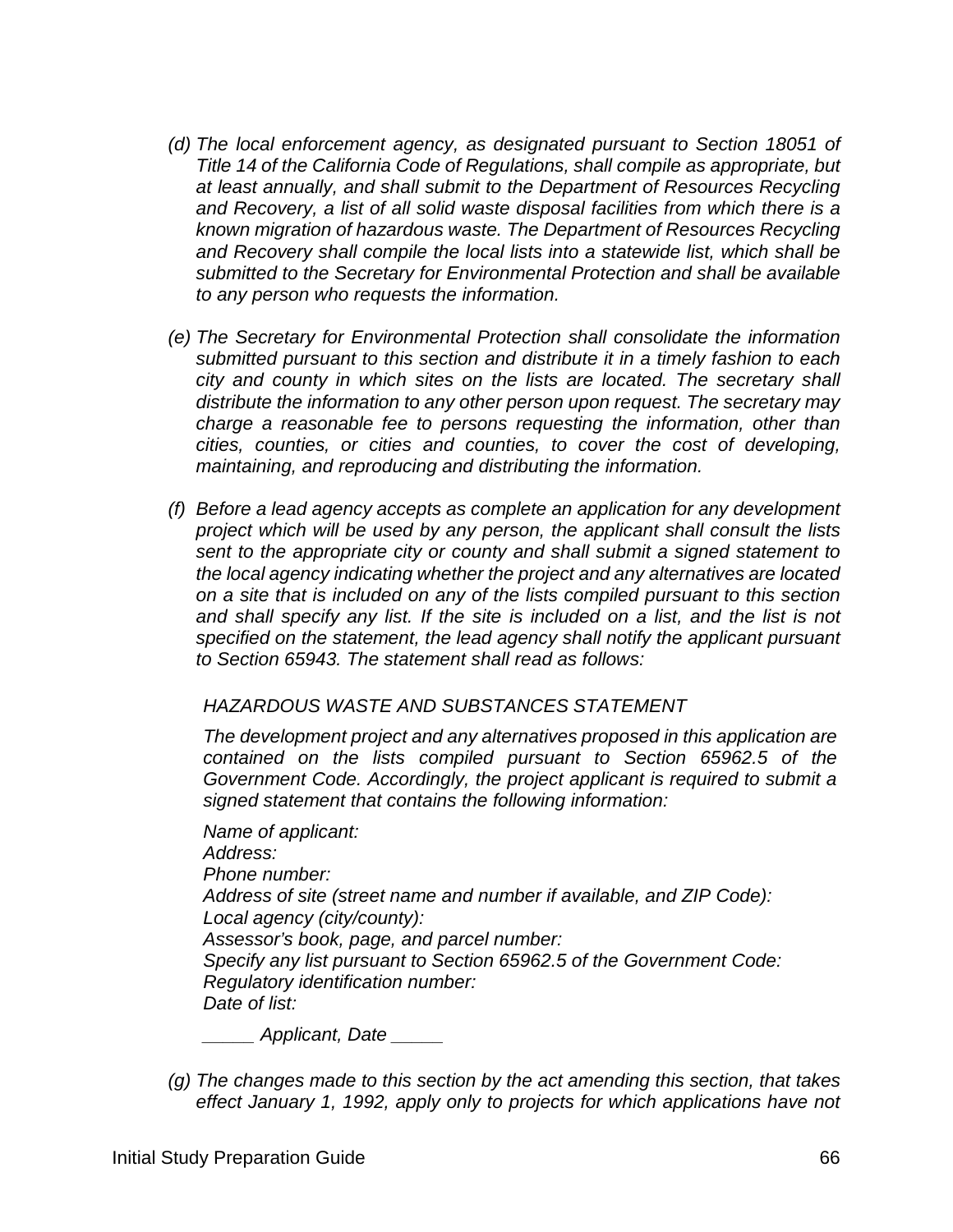- *(d) The local enforcement agency, as designated pursuant to Section 18051 of Title 14 of the California Code of Regulations, shall compile as appropriate, but at least annually, and shall submit to the Department of Resources Recycling and Recovery, a list of all solid waste disposal facilities from which there is a known migration of hazardous waste. The Department of Resources Recycling and Recovery shall compile the local lists into a statewide list, which shall be submitted to the Secretary for Environmental Protection and shall be available to any person who requests the information.*
- *(e) The Secretary for Environmental Protection shall consolidate the information submitted pursuant to this section and distribute it in a timely fashion to each city and county in which sites on the lists are located. The secretary shall distribute the information to any other person upon request. The secretary may charge a reasonable fee to persons requesting the information, other than cities, counties, or cities and counties, to cover the cost of developing, maintaining, and reproducing and distributing the information.*
- *(f) Before a lead agency accepts as complete an application for any development project which will be used by any person, the applicant shall consult the lists sent to the appropriate city or county and shall submit a signed statement to the local agency indicating whether the project and any alternatives are located on a site that is included on any of the lists compiled pursuant to this section*  and shall specify any list. If the site is included on a list, and the list is not *specified on the statement, the lead agency shall notify the applicant pursuant to Section 65943. The statement shall read as follows:*

#### *HAZARDOUS WASTE AND SUBSTANCES STATEMENT*

*The development project and any alternatives proposed in this application are contained on the lists compiled pursuant to Section 65962.5 of the Government Code. Accordingly, the project applicant is required to submit a signed statement that contains the following information:*

*Name of applicant: Address: Phone number: Address of site (street name and number if available, and ZIP Code): Local agency (city/county): Assessor's book, page, and parcel number: Specify any list pursuant to Section 65962.5 of the Government Code: Regulatory identification number: Date of list:*

*\_\_\_\_\_ Applicant, Date \_\_\_\_\_* 

*(g) The changes made to this section by the act amending this section, that takes effect January 1, 1992, apply only to projects for which applications have not*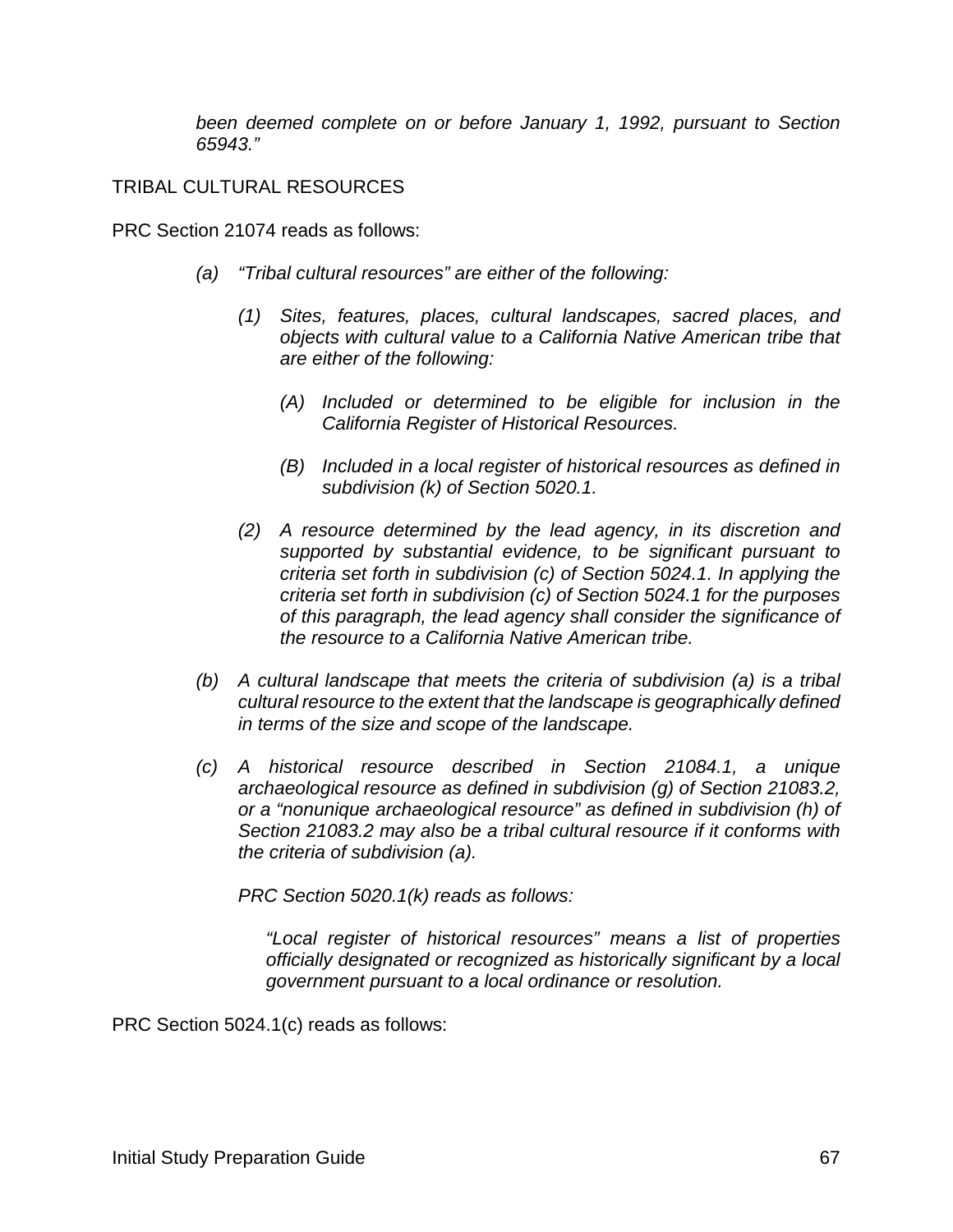*been deemed complete on or before January 1, 1992, pursuant to Section 65943."*

#### TRIBAL CULTURAL RESOURCES

PRC Section 21074 reads as follows:

- *(a) "Tribal cultural resources" are either of the following:*
	- *(1) Sites, features, places, cultural landscapes, sacred places, and objects with cultural value to a California Native American tribe that are either of the following:*
		- *(A) Included or determined to be eligible for inclusion in the California Register of Historical Resources.*
		- *(B) Included in a local register of historical resources as defined in subdivision (k) of Section 5020.1.*
	- *(2) A resource determined by the lead agency, in its discretion and supported by substantial evidence, to be significant pursuant to criteria set forth in subdivision (c) of Section 5024.1. In applying the criteria set forth in subdivision (c) of Section 5024.1 for the purposes of this paragraph, the lead agency shall consider the significance of the resource to a California Native American tribe.*
- *(b) A cultural landscape that meets the criteria of subdivision (a) is a tribal cultural resource to the extent that the landscape is geographically defined in terms of the size and scope of the landscape.*
- *(c) A historical resource described in Section 21084.1, a unique archaeological resource as defined in subdivision (g) of Section 21083.2, or a "nonunique archaeological resource" as defined in subdivision (h) of Section 21083.2 may also be a tribal cultural resource if it conforms with the criteria of subdivision (a).*

*PRC Section 5020.1(k) reads as follows:*

*"Local register of historical resources" means a list of properties officially designated or recognized as historically significant by a local government pursuant to a local ordinance or resolution.*

PRC Section 5024.1(c) reads as follows: